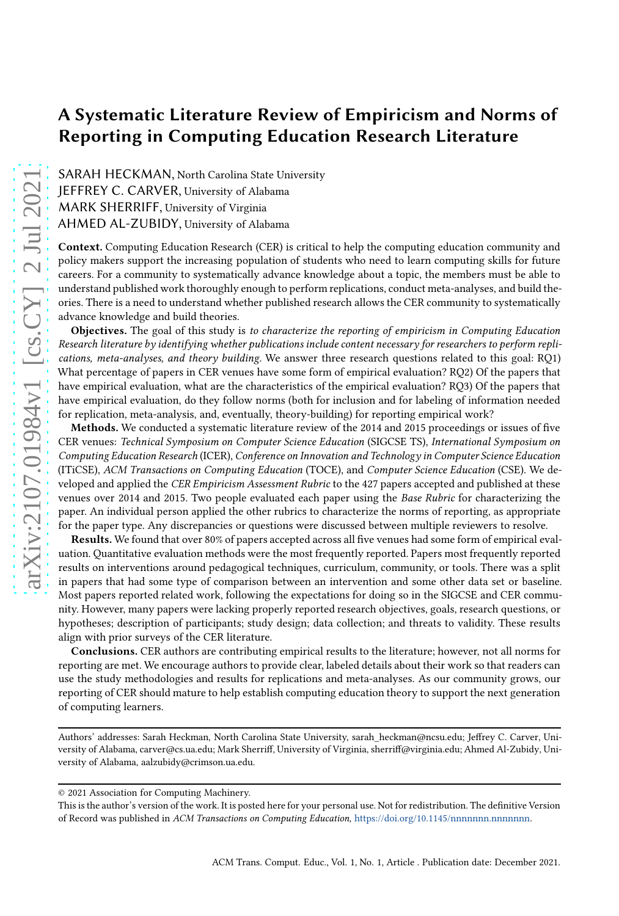# A Systematic Literature Review of Empiricism and Norms of Reporting in Computing Education Research Literature

SARAH HECKMAN, North Carolina State University JEFFREY C. CARVER, University of Alabama MARK SHERRIFF, University of Virginia AHMED AL-ZUBIDY, University of Alabama

Context. Computing Education Research (CER) is critical to help the computing education community and policy makers support the increasing population of students who need to learn computing skills for future careers. For a community to systematically advance knowledge about a topic, the members must be able to understand published work thoroughly enough to perform replications, conduct meta-analyses, and build theories. There is a need to understand whether published research allows the CER community to systematically advance knowledge and build theories.

Objectives. The goal of this study is to characterize the reporting of empiricism in Computing Education Research literature by identifying whether publications include content necessary for researchers to perform replications, meta-analyses, and theory building. We answer three research questions related to this goal: RQ1) What percentage of papers in CER venues have some form of empirical evaluation? RQ2) Of the papers that have empirical evaluation, what are the characteristics of the empirical evaluation? RQ3) Of the papers that have empirical evaluation, do they follow norms (both for inclusion and for labeling of information needed for replication, meta-analysis, and, eventually, theory-building) for reporting empirical work?

Methods. We conducted a systematic literature review of the 2014 and 2015 proceedings or issues of five CER venues: Technical Symposium on Computer Science Education (SIGCSE TS), International Symposium on Computing Education Research (ICER), Conference on Innovation and Technology in Computer Science Education (ITiCSE), ACM Transactions on Computing Education (TOCE), and Computer Science Education (CSE). We developed and applied the CER Empiricism Assessment Rubric to the 427 papers accepted and published at these venues over 2014 and 2015. Two people evaluated each paper using the Base Rubric for characterizing the paper. An individual person applied the other rubrics to characterize the norms of reporting, as appropriate for the paper type. Any discrepancies or questions were discussed between multiple reviewers to resolve.

Results. We found that over 80% of papers accepted across all five venues had some form of empirical evaluation. Quantitative evaluation methods were the most frequently reported. Papers most frequently reported results on interventions around pedagogical techniques, curriculum, community, or tools. There was a split in papers that had some type of comparison between an intervention and some other data set or baseline. Most papers reported related work, following the expectations for doing so in the SIGCSE and CER community. However, many papers were lacking properly reported research objectives, goals, research questions, or hypotheses; description of participants; study design; data collection; and threats to validity. These results align with prior surveys of the CER literature.

Conclusions. CER authors are contributing empirical results to the literature; however, not all norms for reporting are met. We encourage authors to provide clear, labeled details about their work so that readers can use the study methodologies and results for replications and meta-analyses. As our community grows, our reporting of CER should mature to help establish computing education theory to support the next generation of computing learners.

Authors' addresses: Sarah Heckman, North Carolina State University, sarah\_heckman@ncsu.edu; Jeffrey C. Carver, University of Alabama, carver@cs.ua.edu; Mark Sherriff, University of Virginia, sherriff@virginia.edu; Ahmed Al-Zubidy, University of Alabama, aalzubidy@crimson.ua.edu.

<sup>© 2021</sup> Association for Computing Machinery.

This is the author's version of the work. It is posted here for your personal use. Not for redistribution. The definitive Version of Record was published in ACM Transactions on Computing Education, [https://doi.org/10.1145/nnnnnnn.nnnnnnn.](https://doi.org/10.1145/nnnnnnn.nnnnnnn)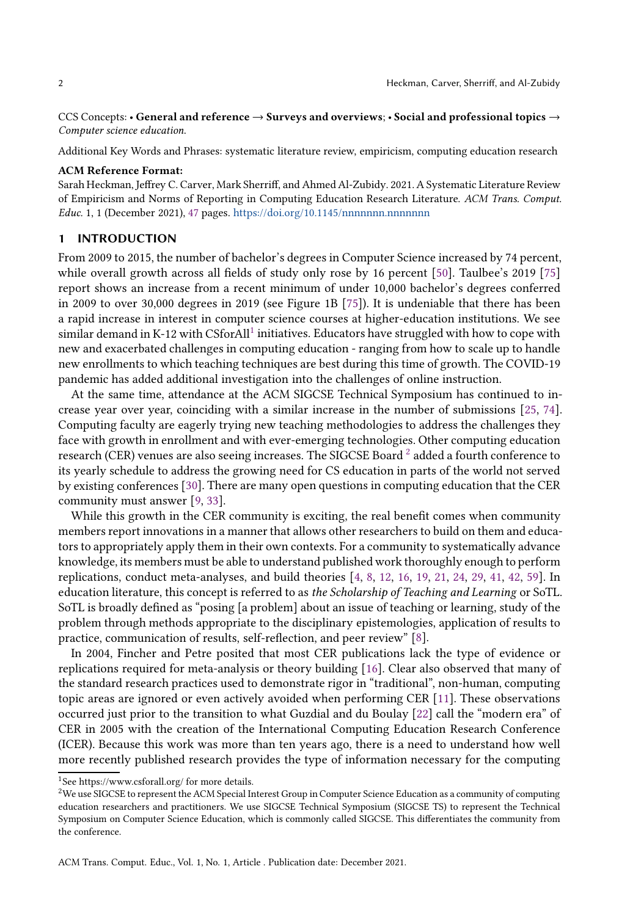CCS Concepts: • General and reference → Surveys and overviews; • Social and professional topics → Computer science education.

Additional Key Words and Phrases: systematic literature review, empiricism, computing education research

### ACM Reference Format:

Sarah Heckman, Jeffrey C. Carver, Mark Sherriff, and Ahmed Al-Zubidy. 2021. A Systematic Literature Review of Empiricism and Norms of Reporting in Computing Education Research Literature. ACM Trans. Comput. Educ. 1, 1 (December 2021), [47](#page-46-0) pages. https://doi.org/10.1145/nnnnnnnn.nnnnnnnn

### 1 INTRODUCTION

From 2009 to 2015, the number of bachelor's degrees in Computer Science increased by 74 percent, while overall growth across all fields of study only rose by 16 percent [\[50\]](#page-36-0). Taulbee's 2019 [\[75\]](#page-38-0) report shows an increase from a recent minimum of under 10,000 bachelor's degrees conferred in 2009 to over 30,000 degrees in 2019 (see Figure 1B [\[75\]](#page-38-0)). It is undeniable that there has been a rapid increase in interest in computer science courses at higher-education institutions. We see similar demand in K-[1](#page-1-0)2 with CSforAll<sup>1</sup> initiatives. Educators have struggled with how to cope with new and exacerbated challenges in computing education - ranging from how to scale up to handle new enrollments to which teaching techniques are best during this time of growth. The COVID-19 pandemic has added additional investigation into the challenges of online instruction.

At the same time, attendance at the ACM SIGCSE Technical Symposium has continued to increase year over year, coinciding with a similar increase in the number of submissions [\[25](#page-35-0), [74\]](#page-38-1). Computing faculty are eagerly trying new teaching methodologies to address the challenges they face with growth in enrollment and with ever-emerging technologies. Other computing education research (CER) venues are also seeing increases. The SIGCSE Board  $^2$  $^2$  added a fourth conference to its yearly schedule to address the growing need for CS education in parts of the world not served by existing conferences [\[30](#page-35-1)]. There are many open questions in computing education that the CER community must answer [\[9,](#page-35-2) [33\]](#page-36-1).

While this growth in the CER community is exciting, the real benefit comes when community members report innovations in a manner that allows other researchers to build on them and educators to appropriately apply them in their own contexts. For a community to systematically advance knowledge, its members must be able to understand published work thoroughly enough to perform replications, conduct meta-analyses, and build theories [\[4,](#page-34-0) [8,](#page-34-1) [12](#page-35-3), [16,](#page-35-4) [19](#page-35-5), [21,](#page-35-6) [24](#page-35-7), [29,](#page-35-8) [41](#page-36-2), [42,](#page-36-3) [59](#page-37-0)]. In education literature, this concept is referred to as the Scholarship of Teaching and Learning or SoTL. SoTL is broadly defined as "posing [a problem] about an issue of teaching or learning, study of the problem through methods appropriate to the disciplinary epistemologies, application of results to practice, communication of results, self-reflection, and peer review" [\[8](#page-34-1)].

In 2004, Fincher and Petre posited that most CER publications lack the type of evidence or replications required for meta-analysis or theory building [\[16\]](#page-35-4). Clear also observed that many of the standard research practices used to demonstrate rigor in "traditional", non-human, computing topic areas are ignored or even actively avoided when performing CER [\[11\]](#page-35-9). These observations occurred just prior to the transition to what Guzdial and du Boulay [\[22](#page-35-10)] call the "modern era" of CER in 2005 with the creation of the International Computing Education Research Conference (ICER). Because this work was more than ten years ago, there is a need to understand how well more recently published research provides the type of information necessary for the computing

 $^1\mathsf{See}\ \text{https://www.csforal.org/}$  for more details.

<span id="page-1-1"></span><span id="page-1-0"></span><sup>&</sup>lt;sup>2</sup>We use SIGCSE to represent the ACM Special Interest Group in Computer Science Education as a community of computing education researchers and practitioners. We use SIGCSE Technical Symposium (SIGCSE TS) to represent the Technical Symposium on Computer Science Education, which is commonly called SIGCSE. This differentiates the community from the conference.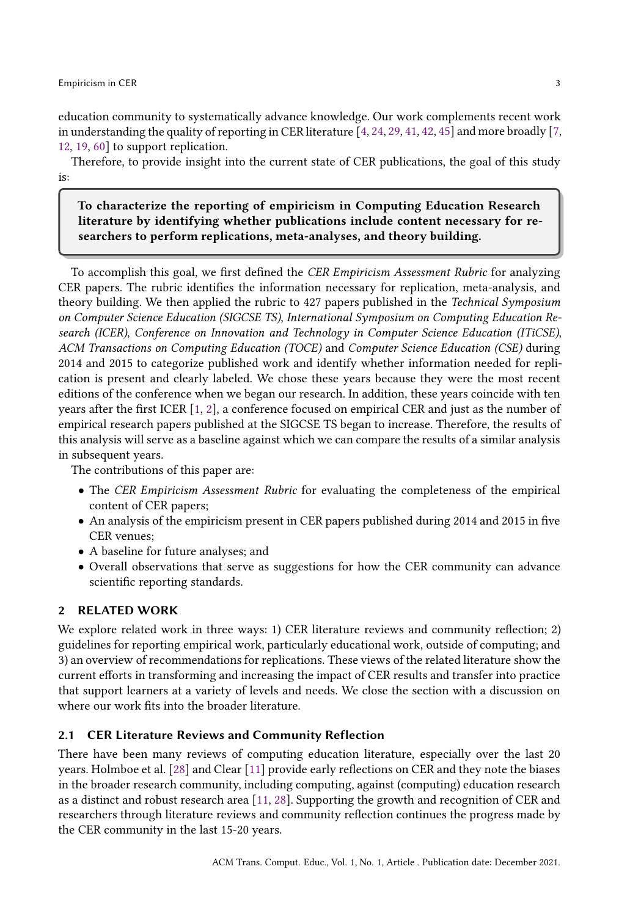education community to systematically advance knowledge. Our work complements recent work in understanding the quality of reporting in CER literature [\[4,](#page-34-0) [24](#page-35-7), [29](#page-35-8), [41](#page-36-2), [42,](#page-36-3) [45\]](#page-36-4) and more broadly [\[7](#page-34-2), [12,](#page-35-3) [19,](#page-35-5) [60\]](#page-37-1) to support replication.

Therefore, to provide insight into the current state of CER publications, the goal of this study is:

To characterize the reporting of empiricism in Computing Education Research literature by identifying whether publications include content necessary for researchers to perform replications, meta-analyses, and theory building.

To accomplish this goal, we first defined the CER Empiricism Assessment Rubric for analyzing CER papers. The rubric identifies the information necessary for replication, meta-analysis, and theory building. We then applied the rubric to 427 papers published in the Technical Symposium on Computer Science Education (SIGCSE TS), International Symposium on Computing Education Research (ICER), Conference on Innovation and Technology in Computer Science Education (ITiCSE), ACM Transactions on Computing Education (TOCE) and Computer Science Education (CSE) during 2014 and 2015 to categorize published work and identify whether information needed for replication is present and clearly labeled. We chose these years because they were the most recent editions of the conference when we began our research. In addition, these years coincide with ten years after the first ICER [\[1](#page-34-3), [2\]](#page-34-4), a conference focused on empirical CER and just as the number of empirical research papers published at the SIGCSE TS began to increase. Therefore, the results of this analysis will serve as a baseline against which we can compare the results of a similar analysis in subsequent years.

The contributions of this paper are:

- The CER Empiricism Assessment Rubric for evaluating the completeness of the empirical content of CER papers;
- An analysis of the empiricism present in CER papers published during 2014 and 2015 in five CER venues;
- A baseline for future analyses; and
- Overall observations that serve as suggestions for how the CER community can advance scientific reporting standards.

### 2 RELATED WORK

We explore related work in three ways: 1) CER literature reviews and community reflection; 2) guidelines for reporting empirical work, particularly educational work, outside of computing; and 3) an overview of recommendations for replications. These views of the related literature show the current efforts in transforming and increasing the impact of CER results and transfer into practice that support learners at a variety of levels and needs. We close the section with a discussion on where our work fits into the broader literature.

### 2.1 CER Literature Reviews and Community Reflection

There have been many reviews of computing education literature, especially over the last 20 years. Holmboe et al. [\[28](#page-35-11)] and Clear [\[11\]](#page-35-9) provide early reflections on CER and they note the biases in the broader research community, including computing, against (computing) education research as a distinct and robust research area [\[11,](#page-35-9) [28\]](#page-35-11). Supporting the growth and recognition of CER and researchers through literature reviews and community reflection continues the progress made by the CER community in the last 15-20 years.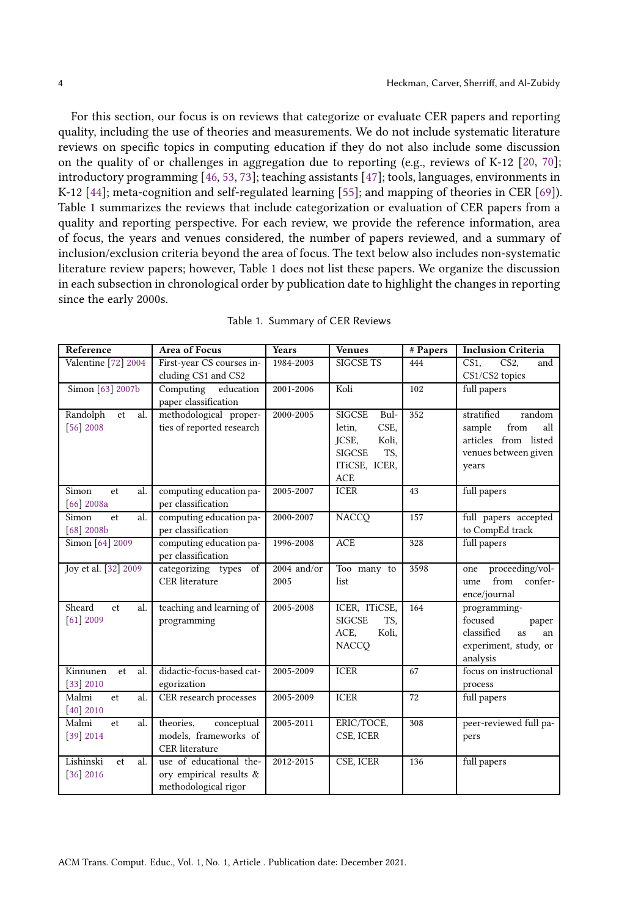For this section, our focus is on reviews that categorize or evaluate CER papers and reporting quality, including the use of theories and measurements. We do not include systematic literature reviews on specific topics in computing education if they do not also include some discussion on the quality of or challenges in aggregation due to reporting (e.g., reviews of K-12 [\[20,](#page-35-12) [70](#page-37-2)]; introductory programming [\[46,](#page-36-5) [53](#page-37-3), [73\]](#page-38-2); teaching assistants [\[47\]](#page-36-6); tools, languages, environments in K-12 [\[44](#page-36-7)]; meta-cognition and self-regulated learning [\[55](#page-37-4)]; and mapping of theories in CER [\[69\]](#page-37-5)). Table 1 summarizes the reviews that include categorization or evaluation of CER papers from a quality and reporting perspective. For each review, we provide the reference information, area of focus, the years and venues considered, the number of papers reviewed, and a summary of inclusion/exclusion criteria beyond the area of focus. The text below also includes non-systematic literature review papers; however, Table 1 does not list these papers. We organize the discussion in each subsection in chronological order by publication date to highlight the changes in reporting since the early 2000s.

| Reference                            | <b>Area of Focus</b>      | <b>Years</b>  | <b>Venues</b>         | # Papers | <b>Inclusion Criteria</b>                 |
|--------------------------------------|---------------------------|---------------|-----------------------|----------|-------------------------------------------|
| Valentine [72] 2004                  | First-year CS courses in- | 1984-2003     | <b>SIGCSE TS</b>      | 444      | CS <sub>1</sub><br>CS <sub>2</sub><br>and |
|                                      | cluding CS1 and CS2       |               |                       |          | CS1/CS2 topics                            |
| Simon [63] 2007b                     | education<br>Computing    | 2001-2006     | Koli                  | 102      | full papers                               |
|                                      | paper classification      |               |                       |          |                                           |
| Randolph<br>et<br>al.                | methodological proper-    | 2000-2005     | <b>SIGCSE</b><br>Bul- | 352      | stratified<br>random                      |
| $[56]$ 2008                          | ties of reported research |               | CSE,<br>letin,        |          | sample<br>from<br>all                     |
|                                      |                           |               | JCSE,<br>Koli,        |          | articles from listed                      |
|                                      |                           |               | <b>SIGCSE</b><br>TS,  |          | venues between given                      |
|                                      |                           |               | ITiCSE, ICER,         |          | years                                     |
|                                      |                           |               | <b>ACE</b>            |          |                                           |
| Simon<br>al.<br>et                   | computing education pa-   | 2005-2007     | <b>ICER</b>           | 43       | full papers                               |
| $[66]$ 2008a                         | per classification        |               |                       |          |                                           |
| Simon<br>al.<br>et                   | computing education pa-   | 2000-2007     | <b>NACCO</b>          | 157      | full papers accepted                      |
| $[68]$ 2008b                         | per classification        |               |                       |          | to CompEd track                           |
| Simon [64] 2009                      | computing education pa-   | 1996-2008     | <b>ACE</b>            | 328      | full papers                               |
|                                      | per classification        |               |                       |          |                                           |
| Joy et al. [32] 2009                 | categorizing types<br>of  | $2004$ and/or | Too many to           | 3598     | proceeding/vol-<br>one                    |
|                                      | <b>CER</b> literature     | 2005          | list                  |          | from<br>confer-<br>ume                    |
|                                      |                           |               |                       |          | ence/journal                              |
| Sheard<br>al.<br>et                  | teaching and learning of  | 2005-2008     | ICER, ITiCSE,         | 164      | programming-                              |
| $[61]$ 2009                          | programming               |               | <b>SIGCSE</b><br>TS,  |          | focused<br>paper                          |
|                                      |                           |               | Koli,<br>ACE,         |          | classified<br><b>as</b><br>an             |
|                                      |                           |               | <b>NACCO</b>          |          | experiment, study, or                     |
|                                      |                           |               |                       |          | analysis                                  |
| $\overline{\text{Kin}}$<br>al.<br>et | didactic-focus-based cat- | 2005-2009     | <b>ICER</b>           | 67       | focus on instructional                    |
| $[33]$ 2010                          | egorization               |               |                       |          | process                                   |
| Malmi<br>et<br>al.                   | CER research processes    | 2005-2009     | <b>ICER</b>           | 72       | full papers                               |
| $[40]$ 2010                          |                           |               |                       |          |                                           |
| Malmi<br>al.<br>et                   | theories,<br>conceptual   | 2005-2011     | ERIC/TOCE,            | 308      | peer-reviewed full pa-                    |
| $[39]$ 2014                          | models, frameworks of     |               | CSE, ICER             |          | pers                                      |
|                                      | <b>CER</b> literature     |               |                       |          |                                           |
| Lishinski<br>et<br>al.               | use of educational the-   | 2012-2015     | CSE, ICER             | 136      | full papers                               |
| $[36]$ 2016                          | ory empirical results &   |               |                       |          |                                           |
|                                      | methodological rigor      |               |                       |          |                                           |

|  | Table 1. Summary of CER Reviews |  |  |
|--|---------------------------------|--|--|
|--|---------------------------------|--|--|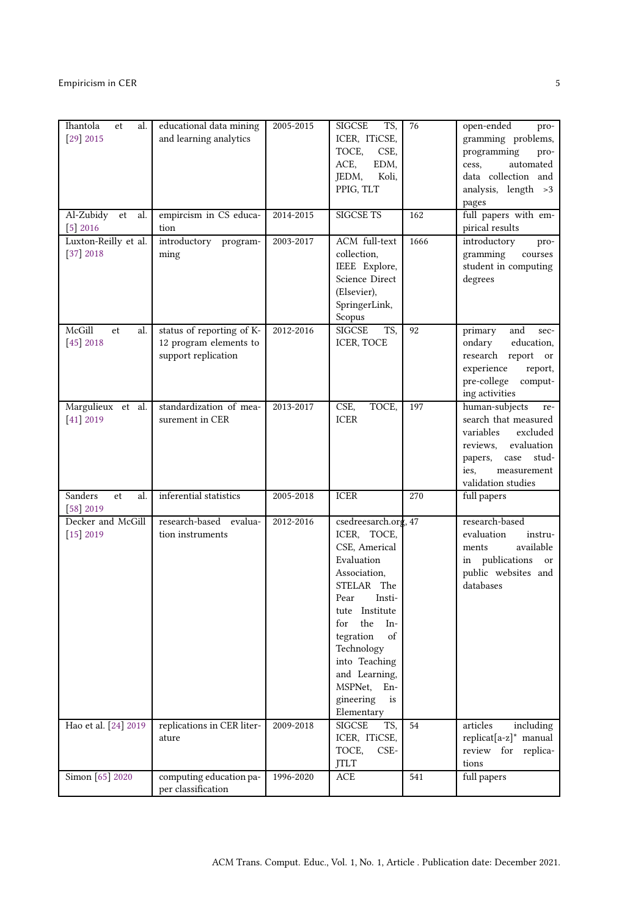| Ihantola<br>al.<br>et<br>$[29]$ 2015<br>Al-Zubidy et<br>al. | educational data mining<br>and learning analytics<br>empircism in CS educa- | 2005-2015<br>2014-2015 | SIGCSE<br>TS,<br>ICER, ITiCSE,<br>TOCE,<br>CSE,<br>ACE,<br>EDM,<br>Koli,<br>JEDM,<br>PPIG, TLT<br><b>SIGCSE TS</b>                                                                                                                                                                              | 76<br>162 | open-ended<br>pro-<br>gramming problems,<br>programming<br>pro-<br>automated<br>cess,<br>data collection and<br>analysis, length >3<br>pages<br>full papers with em-      |
|-------------------------------------------------------------|-----------------------------------------------------------------------------|------------------------|-------------------------------------------------------------------------------------------------------------------------------------------------------------------------------------------------------------------------------------------------------------------------------------------------|-----------|---------------------------------------------------------------------------------------------------------------------------------------------------------------------------|
| $[5]$ 2016                                                  | tion                                                                        |                        |                                                                                                                                                                                                                                                                                                 |           | pirical results                                                                                                                                                           |
| Luxton-Reilly et al.<br>$[37]$ 2018                         | introductory program-<br>ming                                               | 2003-2017              | ACM full-text<br>collection,<br>IEEE Explore,<br>Science Direct<br>(Elsevier),<br>SpringerLink,<br>Scopus                                                                                                                                                                                       | 1666      | introductory<br>pro-<br>gramming<br>courses<br>student in computing<br>degrees                                                                                            |
| McGill<br>al.<br>et<br>$[45]$ 2018                          | status of reporting of K-<br>12 program elements to<br>support replication  | 2012-2016              | <b>SIGCSE</b><br>TS,<br>ICER, TOCE                                                                                                                                                                                                                                                              | 92        | primary<br>and<br>sec-<br>ondary<br>education,<br>research report or<br>experience<br>report,<br>pre-college<br>comput-<br>ing activities                                 |
| Margulieux et al.<br>$[41]$ 2019                            | standardization of mea-<br>surement in CER                                  | 2013-2017              | CSE,<br>TOCE,<br><b>ICER</b>                                                                                                                                                                                                                                                                    | 197       | human-subjects<br>re-<br>search that measured<br>variables<br>excluded<br>reviews,<br>evaluation<br>papers,<br>case<br>stud-<br>ies.<br>measurement<br>validation studies |
| Sanders<br>al.<br>et<br>$[58]$ 2019                         | inferential statistics                                                      | 2005-2018              | <b>ICER</b>                                                                                                                                                                                                                                                                                     | 270       | full papers                                                                                                                                                               |
| Decker and McGill<br>$[15]$ 2019<br>Hao et al. [24] 2019    | research-based evalua-<br>tion instruments<br>replications in CER liter-    | 2012-2016<br>2009-2018 | csedreesarch.org, 47<br>ICER, TOCE,<br>CSE, Americal<br>Evaluation<br>Association,<br>STELAR The<br>Pear<br>Insti-<br>tute Institute<br>the<br>for<br>- In-<br>tegration<br>of<br>Technology<br>into Teaching<br>and Learning,<br>MSPNet, En-<br>gineering<br>is<br>Elementary<br>SIGCSE<br>TS, | 54        | research-based<br>evaluation<br>instru-<br>available<br>ments<br>in publications<br>or<br>public websites and<br>databases<br>articles<br>including                       |
|                                                             | ature                                                                       |                        | ICER, ITiCSE,<br>TOCE,<br>CSE-<br>JTLT                                                                                                                                                                                                                                                          |           | replicat[a-z]* manual<br>review for replica-<br>tions                                                                                                                     |
| Simon [65] 2020                                             | computing education pa-<br>per classification                               | 1996-2020              | ACE                                                                                                                                                                                                                                                                                             | 541       | full papers                                                                                                                                                               |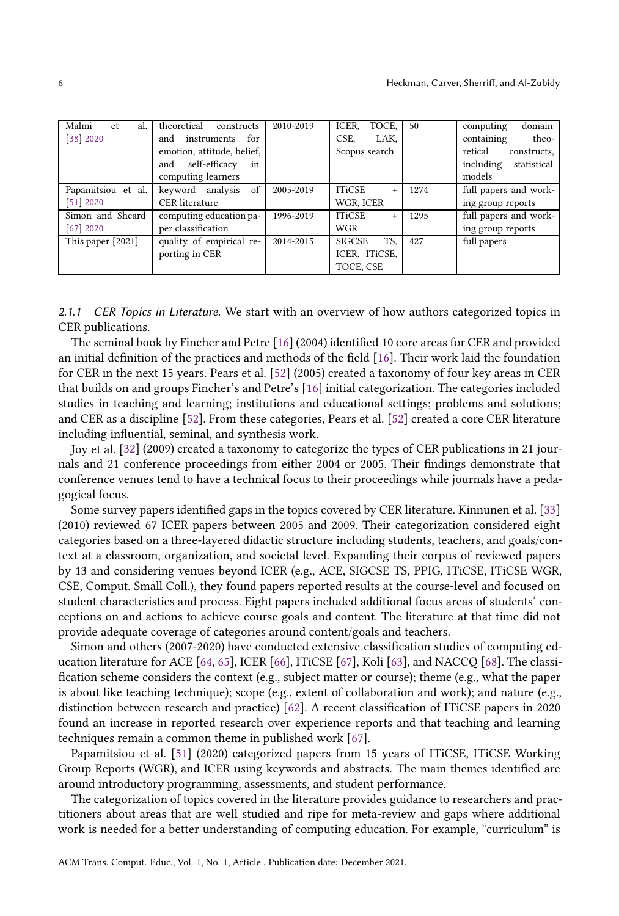| Malmi<br>al.<br>et.     | theoretical<br>constructs  | 2010-2019 | ICER.<br>TOCE,       | 50   | domain<br>computing      |
|-------------------------|----------------------------|-----------|----------------------|------|--------------------------|
| $[38]$ 2020             | instruments for<br>and     |           | CSE.<br>LAK,         |      | containing<br>theo-      |
|                         | emotion, attitude, belief, |           | Scopus search        |      | retical<br>constructs,   |
|                         | self-efficacy<br>in<br>and |           |                      |      | including<br>statistical |
|                         | computing learners         |           |                      |      | models                   |
| Papamitsiou et al.      | keyword analysis of        | 2005-2019 | <b>ITiCSE</b><br>$+$ | 1274 | full papers and work-    |
| [51] 2020               | <b>CER</b> literature      |           | WGR, ICER            |      | ing group reports        |
| Simon and Sheard        | computing education pa-    | 1996-2019 | <b>ITiCSE</b><br>$+$ | 1295 | full papers and work-    |
| $\lceil 67 \rceil$ 2020 | per classification         |           | <b>WGR</b>           |      | ing group reports        |
| This paper [2021]       | quality of empirical re-   | 2014-2015 | <b>SIGCSE</b><br>TS. | 427  | full papers              |
|                         | porting in CER             |           | ICER, ITiCSE,        |      |                          |
|                         |                            |           | TOCE, CSE            |      |                          |

2.1.1 CER Topics in Literature. We start with an overview of how authors categorized topics in CER publications.

The seminal book by Fincher and Petre [\[16](#page-35-4)] (2004) identified 10 core areas for CER and provided an initial definition of the practices and methods of the field [\[16\]](#page-35-4). Their work laid the foundation for CER in the next 15 years. Pears et al. [\[52\]](#page-37-16) (2005) created a taxonomy of four key areas in CER that builds on and groups Fincher's and Petre's [\[16\]](#page-35-4) initial categorization. The categories included studies in teaching and learning; institutions and educational settings; problems and solutions; and CER as a discipline [\[52](#page-37-16)]. From these categories, Pears et al. [\[52](#page-37-16)] created a core CER literature including influential, seminal, and synthesis work.

Joy et al. [\[32](#page-35-13)] (2009) created a taxonomy to categorize the types of CER publications in 21 journals and 21 conference proceedings from either 2004 or 2005. Their findings demonstrate that conference venues tend to have a technical focus to their proceedings while journals have a pedagogical focus.

Some survey papers identified gaps in the topics covered by CER literature. Kinnunen et al. [\[33\]](#page-36-1) (2010) reviewed 67 ICER papers between 2005 and 2009. Their categorization considered eight categories based on a three-layered didactic structure including students, teachers, and goals/context at a classroom, organization, and societal level. Expanding their corpus of reviewed papers by 13 and considering venues beyond ICER (e.g., ACE, SIGCSE TS, PPIG, ITiCSE, ITiCSE WGR, CSE, Comput. Small Coll.), they found papers reported results at the course-level and focused on student characteristics and process. Eight papers included additional focus areas of students' conceptions on and actions to achieve course goals and content. The literature at that time did not provide adequate coverage of categories around content/goals and teachers.

Simon and others (2007-2020) have conducted extensive classification studies of computing education literature for ACE [\[64,](#page-37-10) [65](#page-37-13)], ICER [\[66\]](#page-37-8), ITiCSE [\[67\]](#page-37-15), Koli [\[63](#page-37-6)], and NACCQ [\[68](#page-37-9)]. The classification scheme considers the context (e.g., subject matter or course); theme (e.g., what the paper is about like teaching technique); scope (e.g., extent of collaboration and work); and nature (e.g., distinction between research and practice) [\[62\]](#page-37-17). A recent classification of ITiCSE papers in 2020 found an increase in reported research over experience reports and that teaching and learning techniques remain a common theme in published work [\[67](#page-37-15)].

Papamitsiou et al. [\[51](#page-37-14)] (2020) categorized papers from 15 years of ITiCSE, ITiCSE Working Group Reports (WGR), and ICER using keywords and abstracts. The main themes identified are around introductory programming, assessments, and student performance.

The categorization of topics covered in the literature provides guidance to researchers and practitioners about areas that are well studied and ripe for meta-review and gaps where additional work is needed for a better understanding of computing education. For example, "curriculum" is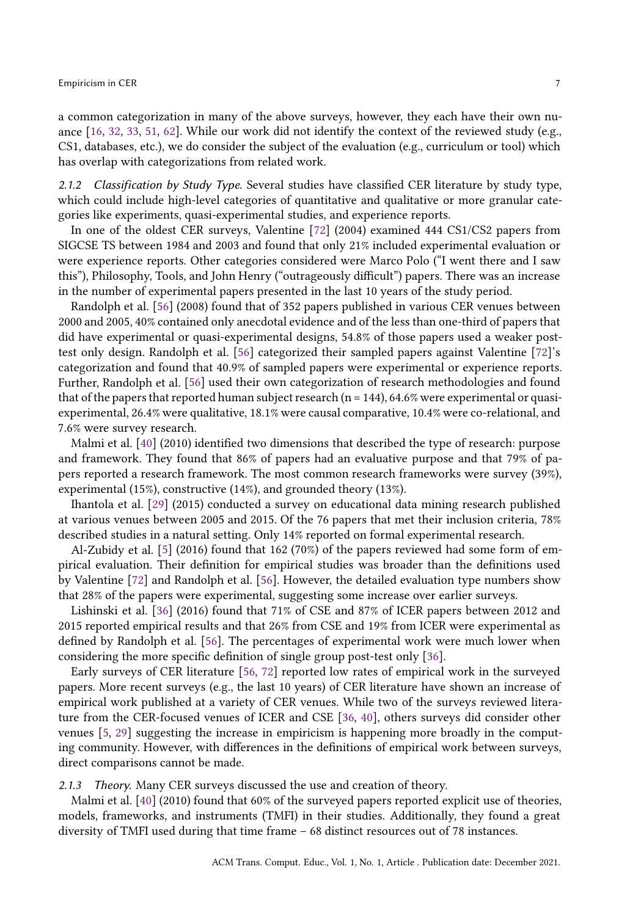a common categorization in many of the above surveys, however, they each have their own nuance [\[16](#page-35-4), [32,](#page-35-13) [33,](#page-36-1) [51](#page-37-14), [62\]](#page-37-17). While our work did not identify the context of the reviewed study (e.g., CS1, databases, etc.), we do consider the subject of the evaluation (e.g., curriculum or tool) which has overlap with categorizations from related work.

2.1.2 Classification by Study Type. Several studies have classified CER literature by study type, which could include high-level categories of quantitative and qualitative or more granular categories like experiments, quasi-experimental studies, and experience reports.

In one of the oldest CER surveys, Valentine [\[72\]](#page-38-3) (2004) examined 444 CS1/CS2 papers from SIGCSE TS between 1984 and 2003 and found that only 21% included experimental evaluation or were experience reports. Other categories considered were Marco Polo ("I went there and I saw this"), Philosophy, Tools, and John Henry ("outrageously difficult") papers. There was an increase in the number of experimental papers presented in the last 10 years of the study period.

Randolph et al. [\[56\]](#page-37-7) (2008) found that of 352 papers published in various CER venues between 2000 and 2005, 40% contained only anecdotal evidence and of the less than one-third of papers that did have experimental or quasi-experimental designs, 54.8% of those papers used a weaker posttest only design. Randolph et al. [\[56\]](#page-37-7) categorized their sampled papers against Valentine [\[72](#page-38-3)]'s categorization and found that 40.9% of sampled papers were experimental or experience reports. Further, Randolph et al. [\[56\]](#page-37-7) used their own categorization of research methodologies and found that of the papers that reported human subject research ( $n = 144$ ), 64.6% were experimental or quasiexperimental, 26.4% were qualitative, 18.1% were causal comparative, 10.4% were co-relational, and 7.6% were survey research.

Malmi et al. [\[40\]](#page-36-8) (2010) identified two dimensions that described the type of research: purpose and framework. They found that 86% of papers had an evaluative purpose and that 79% of papers reported a research framework. The most common research frameworks were survey (39%), experimental (15%), constructive (14%), and grounded theory (13%).

Ihantola et al. [\[29\]](#page-35-8) (2015) conducted a survey on educational data mining research published at various venues between 2005 and 2015. Of the 76 papers that met their inclusion criteria, 78% described studies in a natural setting. Only 14% reported on formal experimental research.

Al-Zubidy et al. [\[5\]](#page-34-5) (2016) found that 162 (70%) of the papers reviewed had some form of empirical evaluation. Their definition for empirical studies was broader than the definitions used by Valentine [\[72\]](#page-38-3) and Randolph et al. [\[56\]](#page-37-7). However, the detailed evaluation type numbers show that 28% of the papers were experimental, suggesting some increase over earlier surveys.

Lishinski et al. [\[36](#page-36-10)] (2016) found that 71% of CSE and 87% of ICER papers between 2012 and 2015 reported empirical results and that 26% from CSE and 19% from ICER were experimental as defined by Randolph et al. [\[56\]](#page-37-7). The percentages of experimental work were much lower when considering the more specific definition of single group post-test only [\[36\]](#page-36-10).

Early surveys of CER literature [\[56](#page-37-7), [72\]](#page-38-3) reported low rates of empirical work in the surveyed papers. More recent surveys (e.g., the last 10 years) of CER literature have shown an increase of empirical work published at a variety of CER venues. While two of the surveys reviewed literature from the CER-focused venues of ICER and CSE [\[36](#page-36-10), [40\]](#page-36-8), others surveys did consider other venues [\[5](#page-34-5), [29\]](#page-35-8) suggesting the increase in empiricism is happening more broadly in the computing community. However, with differences in the definitions of empirical work between surveys, direct comparisons cannot be made.

2.1.3 Theory. Many CER surveys discussed the use and creation of theory.

Malmi et al. [\[40](#page-36-8)] (2010) found that 60% of the surveyed papers reported explicit use of theories, models, frameworks, and instruments (TMFI) in their studies. Additionally, they found a great diversity of TMFI used during that time frame – 68 distinct resources out of 78 instances.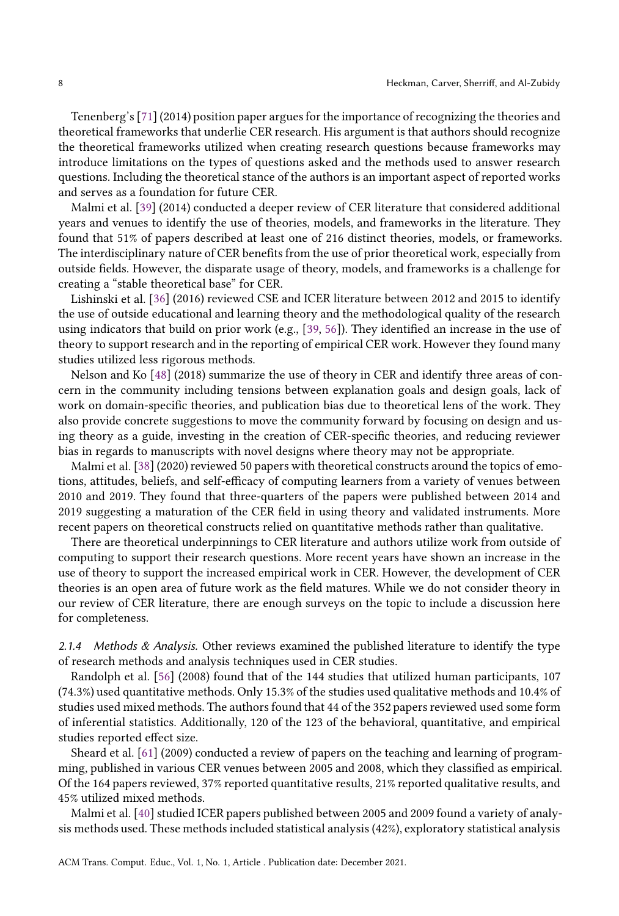Tenenberg's [\[71](#page-38-4)] (2014) position paper argues for the importance of recognizing the theories and theoretical frameworks that underlie CER research. His argument is that authors should recognize the theoretical frameworks utilized when creating research questions because frameworks may introduce limitations on the types of questions asked and the methods used to answer research questions. Including the theoretical stance of the authors is an important aspect of reported works and serves as a foundation for future CER.

Malmi et al. [\[39](#page-36-9)] (2014) conducted a deeper review of CER literature that considered additional years and venues to identify the use of theories, models, and frameworks in the literature. They found that 51% of papers described at least one of 216 distinct theories, models, or frameworks. The interdisciplinary nature of CER benefits from the use of prior theoretical work, especially from outside fields. However, the disparate usage of theory, models, and frameworks is a challenge for creating a "stable theoretical base" for CER.

Lishinski et al. [\[36\]](#page-36-10) (2016) reviewed CSE and ICER literature between 2012 and 2015 to identify the use of outside educational and learning theory and the methodological quality of the research using indicators that build on prior work (e.g., [\[39](#page-36-9), [56](#page-37-7)]). They identified an increase in the use of theory to support research and in the reporting of empirical CER work. However they found many studies utilized less rigorous methods.

Nelson and Ko [\[48\]](#page-36-13) (2018) summarize the use of theory in CER and identify three areas of concern in the community including tensions between explanation goals and design goals, lack of work on domain-specific theories, and publication bias due to theoretical lens of the work. They also provide concrete suggestions to move the community forward by focusing on design and using theory as a guide, investing in the creation of CER-specific theories, and reducing reviewer bias in regards to manuscripts with novel designs where theory may not be appropriate.

Malmi et al. [\[38\]](#page-36-12) (2020) reviewed 50 papers with theoretical constructs around the topics of emotions, attitudes, beliefs, and self-efficacy of computing learners from a variety of venues between 2010 and 2019. They found that three-quarters of the papers were published between 2014 and 2019 suggesting a maturation of the CER field in using theory and validated instruments. More recent papers on theoretical constructs relied on quantitative methods rather than qualitative.

There are theoretical underpinnings to CER literature and authors utilize work from outside of computing to support their research questions. More recent years have shown an increase in the use of theory to support the increased empirical work in CER. However, the development of CER theories is an open area of future work as the field matures. While we do not consider theory in our review of CER literature, there are enough surveys on the topic to include a discussion here for completeness.

2.1.4 Methods  $\&$  Analysis. Other reviews examined the published literature to identify the type of research methods and analysis techniques used in CER studies.

Randolph et al. [\[56\]](#page-37-7) (2008) found that of the 144 studies that utilized human participants, 107 (74.3%) used quantitative methods. Only 15.3% of the studies used qualitative methods and 10.4% of studies used mixed methods. The authors found that 44 of the 352 papers reviewed used some form of inferential statistics. Additionally, 120 of the 123 of the behavioral, quantitative, and empirical studies reported effect size.

Sheard et al. [\[61\]](#page-37-11) (2009) conducted a review of papers on the teaching and learning of programming, published in various CER venues between 2005 and 2008, which they classified as empirical. Of the 164 papers reviewed, 37% reported quantitative results, 21% reported qualitative results, and 45% utilized mixed methods.

Malmi et al. [\[40\]](#page-36-8) studied ICER papers published between 2005 and 2009 found a variety of analysis methods used. These methods included statistical analysis (42%), exploratory statistical analysis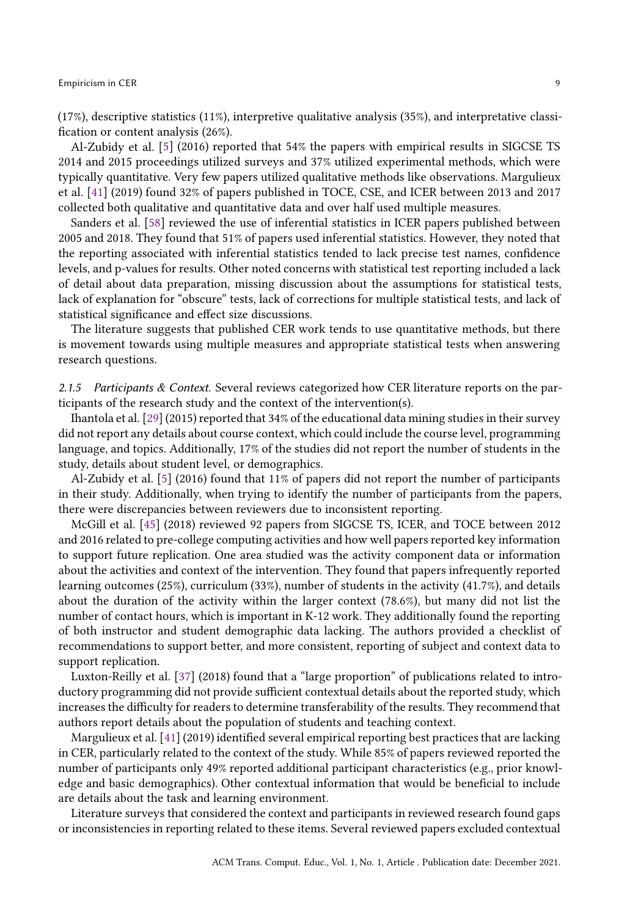(17%), descriptive statistics (11%), interpretive qualitative analysis (35%), and interpretative classification or content analysis (26%).

Al-Zubidy et al. [\[5\]](#page-34-5) (2016) reported that 54% the papers with empirical results in SIGCSE TS 2014 and 2015 proceedings utilized surveys and 37% utilized experimental methods, which were typically quantitative. Very few papers utilized qualitative methods like observations. Margulieux et al. [\[41](#page-36-2)] (2019) found 32% of papers published in TOCE, CSE, and ICER between 2013 and 2017 collected both qualitative and quantitative data and over half used multiple measures.

Sanders et al. [\[58](#page-37-12)] reviewed the use of inferential statistics in ICER papers published between 2005 and 2018. They found that 51% of papers used inferential statistics. However, they noted that the reporting associated with inferential statistics tended to lack precise test names, confidence levels, and p-values for results. Other noted concerns with statistical test reporting included a lack of detail about data preparation, missing discussion about the assumptions for statistical tests, lack of explanation for "obscure" tests, lack of corrections for multiple statistical tests, and lack of statistical significance and effect size discussions.

The literature suggests that published CER work tends to use quantitative methods, but there is movement towards using multiple measures and appropriate statistical tests when answering research questions.

2.1.5 Participants  $& Context$ . Several reviews categorized how CER literature reports on the participants of the research study and the context of the intervention(s).

Ihantola et al. [\[29\]](#page-35-8) (2015) reported that 34% of the educational data mining studies in their survey did not report any details about course context, which could include the course level, programming language, and topics. Additionally, 17% of the studies did not report the number of students in the study, details about student level, or demographics.

Al-Zubidy et al. [\[5\]](#page-34-5) (2016) found that 11% of papers did not report the number of participants in their study. Additionally, when trying to identify the number of participants from the papers, there were discrepancies between reviewers due to inconsistent reporting.

McGill et al. [\[45](#page-36-4)] (2018) reviewed 92 papers from SIGCSE TS, ICER, and TOCE between 2012 and 2016 related to pre-college computing activities and how well papers reported key information to support future replication. One area studied was the activity component data or information about the activities and context of the intervention. They found that papers infrequently reported learning outcomes (25%), curriculum (33%), number of students in the activity (41.7%), and details about the duration of the activity within the larger context (78.6%), but many did not list the number of contact hours, which is important in K-12 work. They additionally found the reporting of both instructor and student demographic data lacking. The authors provided a checklist of recommendations to support better, and more consistent, reporting of subject and context data to support replication.

Luxton-Reilly et al. [\[37\]](#page-36-11) (2018) found that a "large proportion" of publications related to introductory programming did not provide sufficient contextual details about the reported study, which increases the difficulty for readers to determine transferability of the results. They recommend that authors report details about the population of students and teaching context.

Margulieux et al. [\[41](#page-36-2)] (2019) identified several empirical reporting best practices that are lacking in CER, particularly related to the context of the study. While 85% of papers reviewed reported the number of participants only 49% reported additional participant characteristics (e.g., prior knowledge and basic demographics). Other contextual information that would be beneficial to include are details about the task and learning environment.

Literature surveys that considered the context and participants in reviewed research found gaps or inconsistencies in reporting related to these items. Several reviewed papers excluded contextual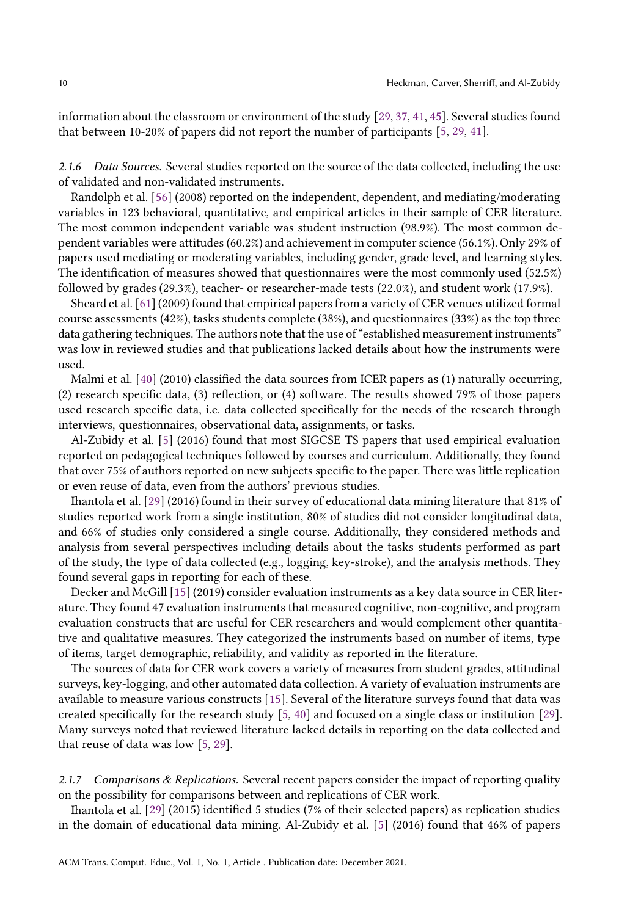information about the classroom or environment of the study [\[29,](#page-35-8) [37,](#page-36-11) [41](#page-36-2), [45\]](#page-36-4). Several studies found that between 10-20% of papers did not report the number of participants [\[5,](#page-34-5) [29,](#page-35-8) [41\]](#page-36-2).

2.1.6 Data Sources. Several studies reported on the source of the data collected, including the use of validated and non-validated instruments.

Randolph et al. [\[56\]](#page-37-7) (2008) reported on the independent, dependent, and mediating/moderating variables in 123 behavioral, quantitative, and empirical articles in their sample of CER literature. The most common independent variable was student instruction (98.9%). The most common dependent variables were attitudes (60.2%) and achievement in computer science (56.1%). Only 29% of papers used mediating or moderating variables, including gender, grade level, and learning styles. The identification of measures showed that questionnaires were the most commonly used (52.5%) followed by grades (29.3%), teacher- or researcher-made tests (22.0%), and student work (17.9%).

Sheard et al. [\[61\]](#page-37-11) (2009) found that empirical papers from a variety of CER venues utilized formal course assessments (42%), tasks students complete (38%), and questionnaires (33%) as the top three data gathering techniques. The authors note that the use of "established measurement instruments" was low in reviewed studies and that publications lacked details about how the instruments were used.

Malmi et al. [\[40\]](#page-36-8) (2010) classified the data sources from ICER papers as (1) naturally occurring, (2) research specific data, (3) reflection, or (4) software. The results showed 79% of those papers used research specific data, i.e. data collected specifically for the needs of the research through interviews, questionnaires, observational data, assignments, or tasks.

Al-Zubidy et al. [\[5](#page-34-5)] (2016) found that most SIGCSE TS papers that used empirical evaluation reported on pedagogical techniques followed by courses and curriculum. Additionally, they found that over 75% of authors reported on new subjects specific to the paper. There was little replication or even reuse of data, even from the authors' previous studies.

Ihantola et al. [\[29\]](#page-35-8) (2016) found in their survey of educational data mining literature that 81% of studies reported work from a single institution, 80% of studies did not consider longitudinal data, and 66% of studies only considered a single course. Additionally, they considered methods and analysis from several perspectives including details about the tasks students performed as part of the study, the type of data collected (e.g., logging, key-stroke), and the analysis methods. They found several gaps in reporting for each of these.

Decker and McGill [\[15](#page-35-14)] (2019) consider evaluation instruments as a key data source in CER literature. They found 47 evaluation instruments that measured cognitive, non-cognitive, and program evaluation constructs that are useful for CER researchers and would complement other quantitative and qualitative measures. They categorized the instruments based on number of items, type of items, target demographic, reliability, and validity as reported in the literature.

The sources of data for CER work covers a variety of measures from student grades, attitudinal surveys, key-logging, and other automated data collection. A variety of evaluation instruments are available to measure various constructs [\[15\]](#page-35-14). Several of the literature surveys found that data was created specifically for the research study [\[5](#page-34-5), [40](#page-36-8)] and focused on a single class or institution [\[29\]](#page-35-8). Many surveys noted that reviewed literature lacked details in reporting on the data collected and that reuse of data was low [\[5](#page-34-5), [29](#page-35-8)].

2.1.7 Comparisons  $\&$  Replications. Several recent papers consider the impact of reporting quality on the possibility for comparisons between and replications of CER work.

Ihantola et al. [\[29\]](#page-35-8) (2015) identified 5 studies (7% of their selected papers) as replication studies in the domain of educational data mining. Al-Zubidy et al. [\[5\]](#page-34-5) (2016) found that 46% of papers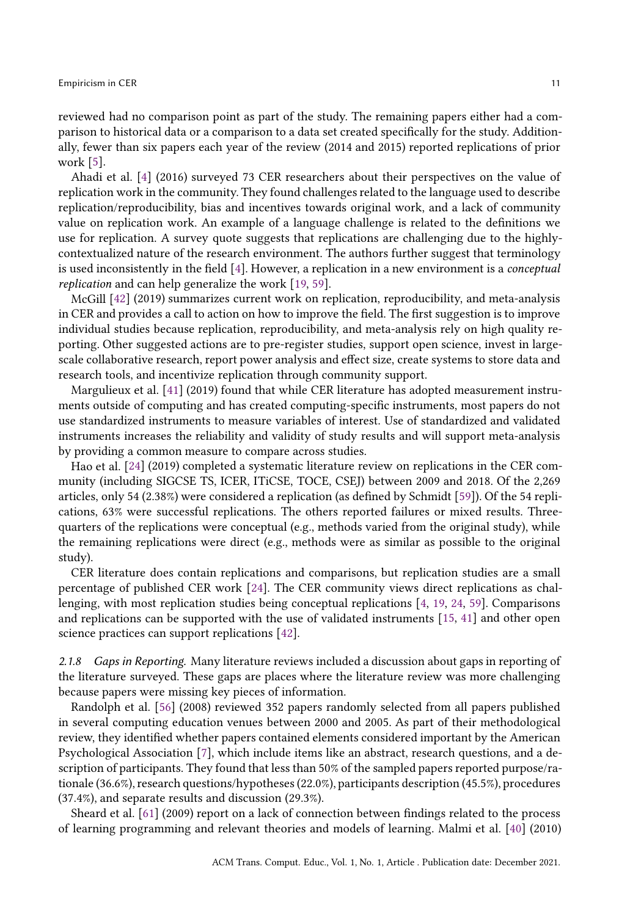reviewed had no comparison point as part of the study. The remaining papers either had a comparison to historical data or a comparison to a data set created specifically for the study. Additionally, fewer than six papers each year of the review (2014 and 2015) reported replications of prior work [\[5](#page-34-5)].

Ahadi et al. [\[4\]](#page-34-0) (2016) surveyed 73 CER researchers about their perspectives on the value of replication work in the community. They found challenges related to the language used to describe replication/reproducibility, bias and incentives towards original work, and a lack of community value on replication work. An example of a language challenge is related to the definitions we use for replication. A survey quote suggests that replications are challenging due to the highlycontextualized nature of the research environment. The authors further suggest that terminology is used inconsistently in the field [\[4](#page-34-0)]. However, a replication in a new environment is a conceptual replication and can help generalize the work [\[19,](#page-35-5) [59\]](#page-37-0).

McGill [\[42\]](#page-36-3) (2019) summarizes current work on replication, reproducibility, and meta-analysis in CER and provides a call to action on how to improve the field. The first suggestion is to improve individual studies because replication, reproducibility, and meta-analysis rely on high quality reporting. Other suggested actions are to pre-register studies, support open science, invest in largescale collaborative research, report power analysis and effect size, create systems to store data and research tools, and incentivize replication through community support.

Margulieux et al. [\[41\]](#page-36-2) (2019) found that while CER literature has adopted measurement instruments outside of computing and has created computing-specific instruments, most papers do not use standardized instruments to measure variables of interest. Use of standardized and validated instruments increases the reliability and validity of study results and will support meta-analysis by providing a common measure to compare across studies.

Hao et al. [\[24](#page-35-7)] (2019) completed a systematic literature review on replications in the CER community (including SIGCSE TS, ICER, ITiCSE, TOCE, CSEJ) between 2009 and 2018. Of the 2,269 articles, only 54 (2.38%) were considered a replication (as defined by Schmidt [\[59\]](#page-37-0)). Of the 54 replications, 63% were successful replications. The others reported failures or mixed results. Threequarters of the replications were conceptual (e.g., methods varied from the original study), while the remaining replications were direct (e.g., methods were as similar as possible to the original study).

CER literature does contain replications and comparisons, but replication studies are a small percentage of published CER work [\[24\]](#page-35-7). The CER community views direct replications as challenging, with most replication studies being conceptual replications [\[4,](#page-34-0) [19](#page-35-5), [24,](#page-35-7) [59\]](#page-37-0). Comparisons and replications can be supported with the use of validated instruments [\[15,](#page-35-14) [41](#page-36-2)] and other open science practices can support replications [\[42\]](#page-36-3).

2.1.8 Gaps in Reporting. Many literature reviews included a discussion about gaps in reporting of the literature surveyed. These gaps are places where the literature review was more challenging because papers were missing key pieces of information.

Randolph et al. [\[56](#page-37-7)] (2008) reviewed 352 papers randomly selected from all papers published in several computing education venues between 2000 and 2005. As part of their methodological review, they identified whether papers contained elements considered important by the American Psychological Association [\[7\]](#page-34-2), which include items like an abstract, research questions, and a description of participants. They found that less than 50% of the sampled papers reported purpose/rationale (36.6%), research questions/hypotheses (22.0%), participants description (45.5%), procedures (37.4%), and separate results and discussion (29.3%).

Sheard et al. [\[61](#page-37-11)] (2009) report on a lack of connection between findings related to the process of learning programming and relevant theories and models of learning. Malmi et al. [\[40\]](#page-36-8) (2010)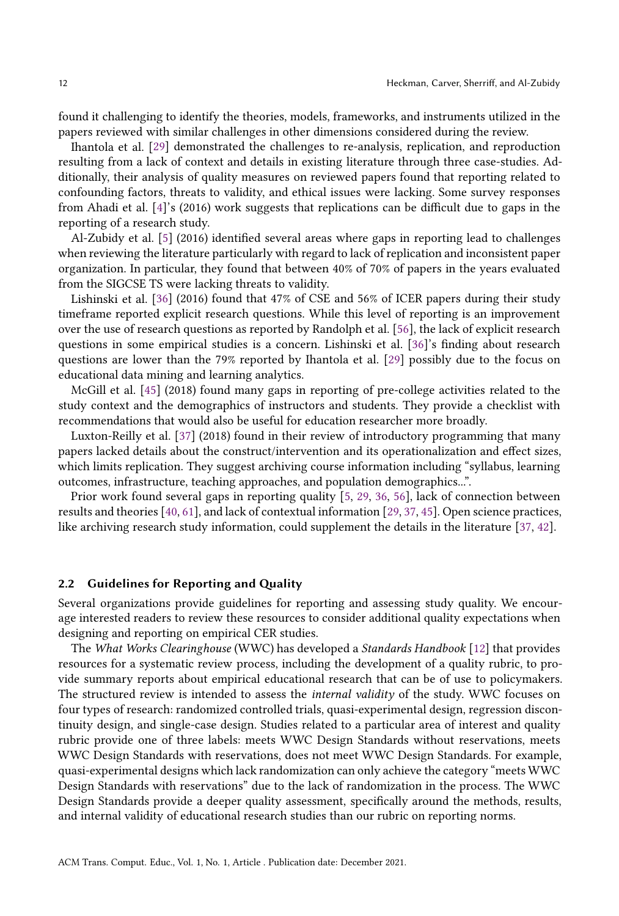found it challenging to identify the theories, models, frameworks, and instruments utilized in the papers reviewed with similar challenges in other dimensions considered during the review.

Ihantola et al. [\[29\]](#page-35-8) demonstrated the challenges to re-analysis, replication, and reproduction resulting from a lack of context and details in existing literature through three case-studies. Additionally, their analysis of quality measures on reviewed papers found that reporting related to confounding factors, threats to validity, and ethical issues were lacking. Some survey responses from Ahadi et al. [\[4\]](#page-34-0)'s (2016) work suggests that replications can be difficult due to gaps in the reporting of a research study.

Al-Zubidy et al. [\[5](#page-34-5)] (2016) identified several areas where gaps in reporting lead to challenges when reviewing the literature particularly with regard to lack of replication and inconsistent paper organization. In particular, they found that between 40% of 70% of papers in the years evaluated from the SIGCSE TS were lacking threats to validity.

Lishinski et al. [\[36](#page-36-10)] (2016) found that 47% of CSE and 56% of ICER papers during their study timeframe reported explicit research questions. While this level of reporting is an improvement over the use of research questions as reported by Randolph et al. [\[56](#page-37-7)], the lack of explicit research questions in some empirical studies is a concern. Lishinski et al. [\[36\]](#page-36-10)'s finding about research questions are lower than the 79% reported by Ihantola et al. [\[29](#page-35-8)] possibly due to the focus on educational data mining and learning analytics.

McGill et al. [\[45\]](#page-36-4) (2018) found many gaps in reporting of pre-college activities related to the study context and the demographics of instructors and students. They provide a checklist with recommendations that would also be useful for education researcher more broadly.

Luxton-Reilly et al. [\[37](#page-36-11)] (2018) found in their review of introductory programming that many papers lacked details about the construct/intervention and its operationalization and effect sizes, which limits replication. They suggest archiving course information including "syllabus, learning outcomes, infrastructure, teaching approaches, and population demographics...".

Prior work found several gaps in reporting quality [\[5](#page-34-5), [29,](#page-35-8) [36,](#page-36-10) [56](#page-37-7)], lack of connection between results and theories [\[40](#page-36-8), [61\]](#page-37-11), and lack of contextual information [\[29](#page-35-8), [37,](#page-36-11) [45\]](#page-36-4). Open science practices, like archiving research study information, could supplement the details in the literature [\[37](#page-36-11), [42](#page-36-3)].

### <span id="page-11-0"></span>2.2 Guidelines for Reporting and Quality

Several organizations provide guidelines for reporting and assessing study quality. We encourage interested readers to review these resources to consider additional quality expectations when designing and reporting on empirical CER studies.

The What Works Clearinghouse (WWC) has developed a Standards Handbook [\[12](#page-35-3)] that provides resources for a systematic review process, including the development of a quality rubric, to provide summary reports about empirical educational research that can be of use to policymakers. The structured review is intended to assess the *internal validity* of the study. WWC focuses on four types of research: randomized controlled trials, quasi-experimental design, regression discontinuity design, and single-case design. Studies related to a particular area of interest and quality rubric provide one of three labels: meets WWC Design Standards without reservations, meets WWC Design Standards with reservations, does not meet WWC Design Standards. For example, quasi-experimental designs which lack randomization can only achieve the category "meets WWC Design Standards with reservations" due to the lack of randomization in the process. The WWC Design Standards provide a deeper quality assessment, specifically around the methods, results, and internal validity of educational research studies than our rubric on reporting norms.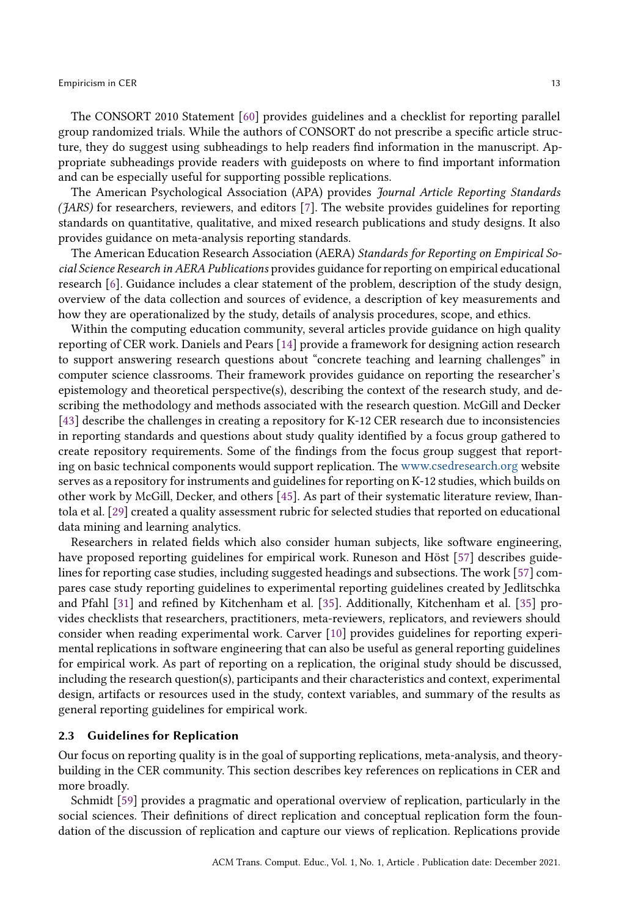### **Empiricism in CER** 13

The CONSORT 2010 Statement [\[60](#page-37-1)] provides guidelines and a checklist for reporting parallel group randomized trials. While the authors of CONSORT do not prescribe a specific article structure, they do suggest using subheadings to help readers find information in the manuscript. Appropriate subheadings provide readers with guideposts on where to find important information and can be especially useful for supporting possible replications.

The American Psychological Association (APA) provides Journal Article Reporting Standards  $(JARS)$  for researchers, reviewers, and editors [\[7\]](#page-34-2). The website provides guidelines for reporting standards on quantitative, qualitative, and mixed research publications and study designs. It also provides guidance on meta-analysis reporting standards.

The American Education Research Association (AERA) Standards for Reporting on Empirical Social Science Research in AERA Publications provides guidance for reporting on empirical educational research [\[6\]](#page-34-6). Guidance includes a clear statement of the problem, description of the study design, overview of the data collection and sources of evidence, a description of key measurements and how they are operationalized by the study, details of analysis procedures, scope, and ethics.

Within the computing education community, several articles provide guidance on high quality reporting of CER work. Daniels and Pears [\[14\]](#page-35-15) provide a framework for designing action research to support answering research questions about "concrete teaching and learning challenges" in computer science classrooms. Their framework provides guidance on reporting the researcher's epistemology and theoretical perspective(s), describing the context of the research study, and describing the methodology and methods associated with the research question. McGill and Decker [\[43\]](#page-36-14) describe the challenges in creating a repository for K-12 CER research due to inconsistencies in reporting standards and questions about study quality identified by a focus group gathered to create repository requirements. Some of the findings from the focus group suggest that reporting on basic technical components would support replication. The <www.csedresearch.org> website serves as a repository for instruments and guidelines for reporting on K-12 studies, which builds on other work by McGill, Decker, and others [\[45\]](#page-36-4). As part of their systematic literature review, Ihantola et al. [\[29](#page-35-8)] created a quality assessment rubric for selected studies that reported on educational data mining and learning analytics.

Researchers in related fields which also consider human subjects, like software engineering, have proposed reporting guidelines for empirical work. Runeson and Höst [\[57\]](#page-37-18) describes guidelines for reporting case studies, including suggested headings and subsections. The work [\[57\]](#page-37-18) compares case study reporting guidelines to experimental reporting guidelines created by Jedlitschka and Pfahl [\[31\]](#page-35-16) and refined by Kitchenham et al. [\[35\]](#page-36-15). Additionally, Kitchenham et al. [\[35\]](#page-36-15) provides checklists that researchers, practitioners, meta-reviewers, replicators, and reviewers should consider when reading experimental work. Carver [\[10\]](#page-35-17) provides guidelines for reporting experimental replications in software engineering that can also be useful as general reporting guidelines for empirical work. As part of reporting on a replication, the original study should be discussed, including the research question(s), participants and their characteristics and context, experimental design, artifacts or resources used in the study, context variables, and summary of the results as general reporting guidelines for empirical work.

### 2.3 Guidelines for Replication

Our focus on reporting quality is in the goal of supporting replications, meta-analysis, and theorybuilding in the CER community. This section describes key references on replications in CER and more broadly.

Schmidt [\[59\]](#page-37-0) provides a pragmatic and operational overview of replication, particularly in the social sciences. Their definitions of direct replication and conceptual replication form the foundation of the discussion of replication and capture our views of replication. Replications provide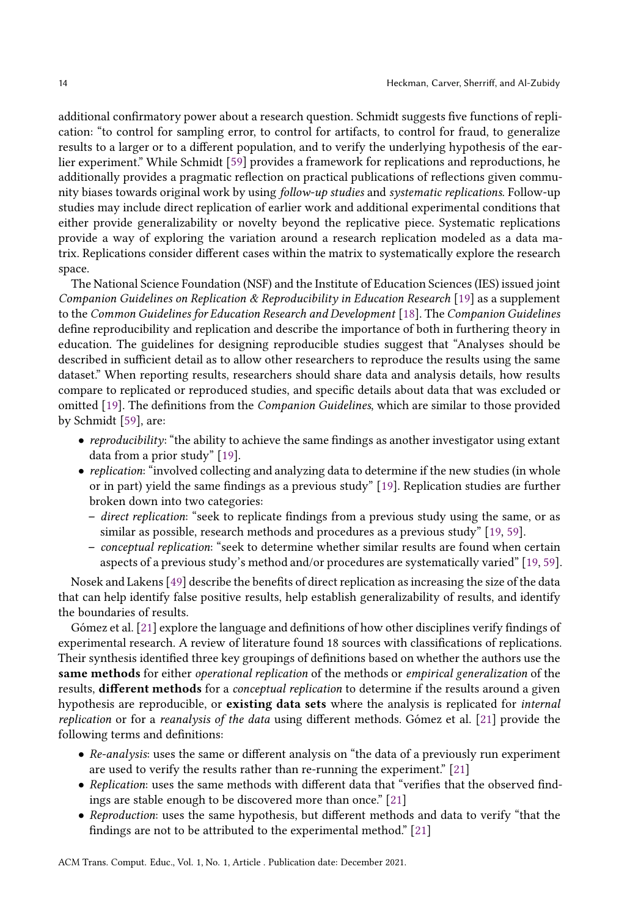additional confirmatory power about a research question. Schmidt suggests five functions of replication: "to control for sampling error, to control for artifacts, to control for fraud, to generalize results to a larger or to a different population, and to verify the underlying hypothesis of the earlier experiment." While Schmidt [\[59\]](#page-37-0) provides a framework for replications and reproductions, he additionally provides a pragmatic reflection on practical publications of reflections given community biases towards original work by using follow-up studies and systematic replications. Follow-up studies may include direct replication of earlier work and additional experimental conditions that either provide generalizability or novelty beyond the replicative piece. Systematic replications provide a way of exploring the variation around a research replication modeled as a data matrix. Replications consider different cases within the matrix to systematically explore the research space.

The National Science Foundation (NSF) and the Institute of Education Sciences (IES) issued joint Companion Guidelines on Replication & Reproducibility in Education Research [\[19](#page-35-5)] as a supplement to the Common Guidelines for Education Research and Development [\[18\]](#page-35-18). The Companion Guidelines define reproducibility and replication and describe the importance of both in furthering theory in education. The guidelines for designing reproducible studies suggest that "Analyses should be described in sufficient detail as to allow other researchers to reproduce the results using the same dataset." When reporting results, researchers should share data and analysis details, how results compare to replicated or reproduced studies, and specific details about data that was excluded or omitted [\[19\]](#page-35-5). The definitions from the Companion Guidelines, which are similar to those provided by Schmidt [\[59\]](#page-37-0), are:

- reproducibility: "the ability to achieve the same findings as another investigator using extant data from a prior study" [\[19\]](#page-35-5).
- replication: "involved collecting and analyzing data to determine if the new studies (in whole or in part) yield the same findings as a previous study" [\[19\]](#page-35-5). Replication studies are further broken down into two categories:
	- direct replication: "seek to replicate findings from a previous study using the same, or as similar as possible, research methods and procedures as a previous study" [\[19,](#page-35-5) [59\]](#page-37-0).
	- conceptual replication: "seek to determine whether similar results are found when certain aspects of a previous study's method and/or procedures are systematically varied" [\[19,](#page-35-5) [59\]](#page-37-0).

Nosek and Lakens [\[49](#page-36-16)] describe the benefits of direct replication as increasing the size of the data that can help identify false positive results, help establish generalizability of results, and identify the boundaries of results.

Gómez et al. [\[21\]](#page-35-6) explore the language and definitions of how other disciplines verify findings of experimental research. A review of literature found 18 sources with classifications of replications. Their synthesis identified three key groupings of definitions based on whether the authors use the same methods for either *operational replication* of the methods or *empirical generalization* of the results, different methods for a conceptual replication to determine if the results around a given hypothesis are reproducible, or **existing data sets** where the analysis is replicated for *internal* replication or for a reanalysis of the data using different methods. Gómez et al. [\[21\]](#page-35-6) provide the following terms and definitions:

- Re-analysis: uses the same or different analysis on "the data of a previously run experiment are used to verify the results rather than re-running the experiment." [\[21\]](#page-35-6)
- Replication: uses the same methods with different data that "verifies that the observed findings are stable enough to be discovered more than once." [\[21\]](#page-35-6)
- Reproduction: uses the same hypothesis, but different methods and data to verify "that the findings are not to be attributed to the experimental method." [\[21](#page-35-6)]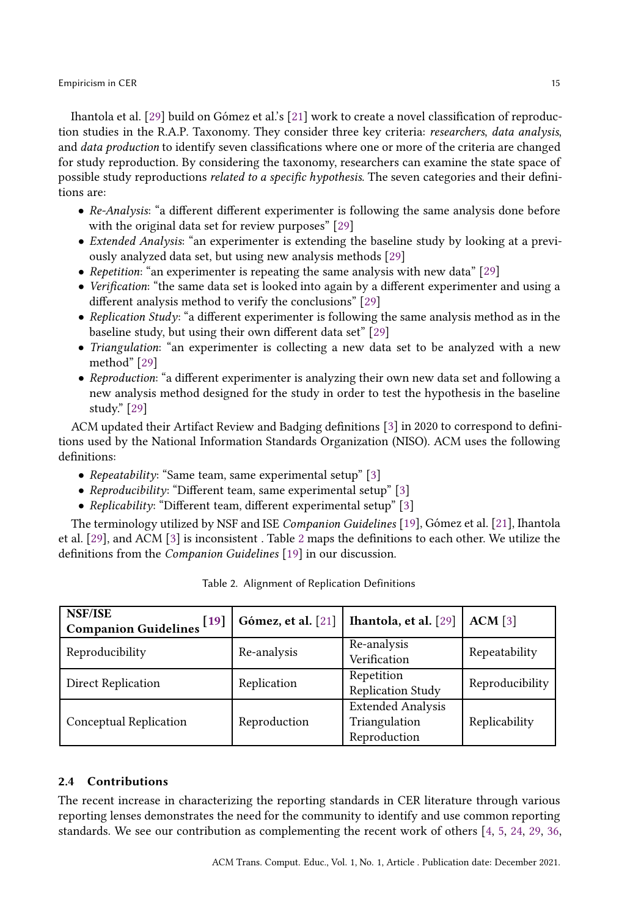Ihantola et al. [\[29](#page-35-8)] build on Gómez et al.'s [\[21](#page-35-6)] work to create a novel classification of reproduction studies in the R.A.P. Taxonomy. They consider three key criteria: researchers, data analysis, and data production to identify seven classifications where one or more of the criteria are changed for study reproduction. By considering the taxonomy, researchers can examine the state space of possible study reproductions related to a specific hypothesis. The seven categories and their definitions are:

- Re-Analysis: "a different different experimenter is following the same analysis done before with the original data set for review purposes" [\[29\]](#page-35-8)
- Extended Analysis: "an experimenter is extending the baseline study by looking at a previously analyzed data set, but using new analysis methods [\[29\]](#page-35-8)
- Repetition: "an experimenter is repeating the same analysis with new data" [\[29](#page-35-8)]
- Verification: "the same data set is looked into again by a different experimenter and using a different analysis method to verify the conclusions" [\[29\]](#page-35-8)
- Replication Study: "a different experimenter is following the same analysis method as in the baseline study, but using their own different data set" [\[29\]](#page-35-8)
- Triangulation: "an experimenter is collecting a new data set to be analyzed with a new method" [\[29](#page-35-8)]
- Reproduction: "a different experimenter is analyzing their own new data set and following a new analysis method designed for the study in order to test the hypothesis in the baseline study." [\[29](#page-35-8)]

ACM updated their Artifact Review and Badging definitions [\[3](#page-34-7)] in 2020 to correspond to definitions used by the National Information Standards Organization (NISO). ACM uses the following definitions:

- Repeatability: "Same team, same experimental setup" [\[3\]](#page-34-7)
- Reproducibility: "Different team, same experimental setup" [\[3](#page-34-7)]
- Replicability: "Different team, different experimental setup" [\[3\]](#page-34-7)

<span id="page-14-0"></span>The terminology utilized by NSF and ISE Companion Guidelines [\[19](#page-35-5)], Gómez et al. [\[21\]](#page-35-6), Ihantola et al. [\[29\]](#page-35-8), and ACM [\[3](#page-34-7)] is inconsistent . Table [2](#page-14-0) maps the definitions to each other. We utilize the definitions from the Companion Guidelines [\[19](#page-35-5)] in our discussion.

| NSF/ISE<br>Companion Guidelines <sup>[19]</sup> | Gómez, et al. [21] | Ihantola, et al. [29]                                     | ACM [3]         |
|-------------------------------------------------|--------------------|-----------------------------------------------------------|-----------------|
| Reproducibility                                 | Re-analysis        | Re-analysis<br>Verification                               | Repeatability   |
| Direct Replication                              | Replication        | Repetition<br>Replication Study                           | Reproducibility |
| Conceptual Replication                          | Reproduction       | <b>Extended Analysis</b><br>Triangulation<br>Reproduction | Replicability   |

| Table 2. Alignment of Replication Definitions |  |  |
|-----------------------------------------------|--|--|
|-----------------------------------------------|--|--|

### 2.4 Contributions

The recent increase in characterizing the reporting standards in CER literature through various reporting lenses demonstrates the need for the community to identify and use common reporting standards. We see our contribution as complementing the recent work of others [\[4](#page-34-0), [5,](#page-34-5) [24](#page-35-7), [29,](#page-35-8) [36](#page-36-10),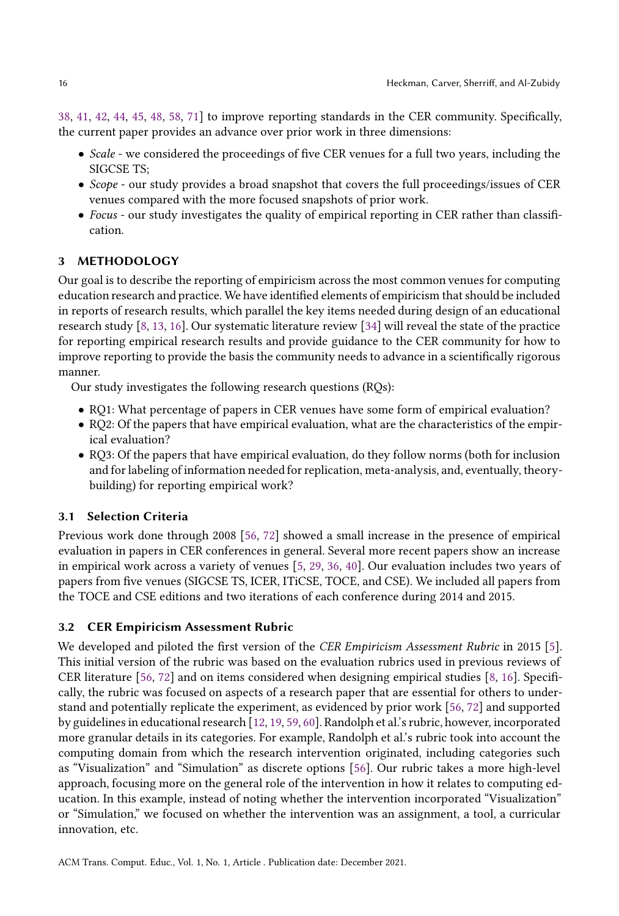[38](#page-36-12), [41,](#page-36-2) [42](#page-36-3), [44,](#page-36-7) [45,](#page-36-4) [48](#page-36-13), [58,](#page-37-12) [71](#page-38-4)] to improve reporting standards in the CER community. Specifically, the current paper provides an advance over prior work in three dimensions:

- Scale we considered the proceedings of five CER venues for a full two years, including the SIGCSE TS;
- Scope our study provides a broad snapshot that covers the full proceedings/issues of CER venues compared with the more focused snapshots of prior work.
- Focus our study investigates the quality of empirical reporting in CER rather than classification.

## 3 METHODOLOGY

Our goal is to describe the reporting of empiricism across the most common venues for computing education research and practice. We have identified elements of empiricism that should be included in reports of research results, which parallel the key items needed during design of an educational research study [\[8](#page-34-1), [13,](#page-35-19) [16](#page-35-4)]. Our systematic literature review [\[34](#page-36-17)] will reveal the state of the practice for reporting empirical research results and provide guidance to the CER community for how to improve reporting to provide the basis the community needs to advance in a scientifically rigorous manner.

Our study investigates the following research questions (RQs):

- RQ1: What percentage of papers in CER venues have some form of empirical evaluation?
- RQ2: Of the papers that have empirical evaluation, what are the characteristics of the empirical evaluation?
- RQ3: Of the papers that have empirical evaluation, do they follow norms (both for inclusion and for labeling of information needed for replication, meta-analysis, and, eventually, theorybuilding) for reporting empirical work?

# 3.1 Selection Criteria

Previous work done through 2008 [\[56,](#page-37-7) [72\]](#page-38-3) showed a small increase in the presence of empirical evaluation in papers in CER conferences in general. Several more recent papers show an increase in empirical work across a variety of venues [\[5,](#page-34-5) [29](#page-35-8), [36](#page-36-10), [40\]](#page-36-8). Our evaluation includes two years of papers from five venues (SIGCSE TS, ICER, ITiCSE, TOCE, and CSE). We included all papers from the TOCE and CSE editions and two iterations of each conference during 2014 and 2015.

## 3.2 CER Empiricism Assessment Rubric

We developed and piloted the first version of the CER Empiricism Assessment Rubric in 2015 [\[5\]](#page-34-5). This initial version of the rubric was based on the evaluation rubrics used in previous reviews of CER literature [\[56,](#page-37-7) [72\]](#page-38-3) and on items considered when designing empirical studies [\[8,](#page-34-1) [16\]](#page-35-4). Specifically, the rubric was focused on aspects of a research paper that are essential for others to understand and potentially replicate the experiment, as evidenced by prior work [\[56](#page-37-7), [72\]](#page-38-3) and supported by guidelines in educational research [\[12,](#page-35-3) [19](#page-35-5), [59](#page-37-0), [60](#page-37-1)]. Randolph et al.'s rubric, however, incorporated more granular details in its categories. For example, Randolph et al.'s rubric took into account the computing domain from which the research intervention originated, including categories such as "Visualization" and "Simulation" as discrete options [\[56](#page-37-7)]. Our rubric takes a more high-level approach, focusing more on the general role of the intervention in how it relates to computing education. In this example, instead of noting whether the intervention incorporated "Visualization" or "Simulation," we focused on whether the intervention was an assignment, a tool, a curricular innovation, etc.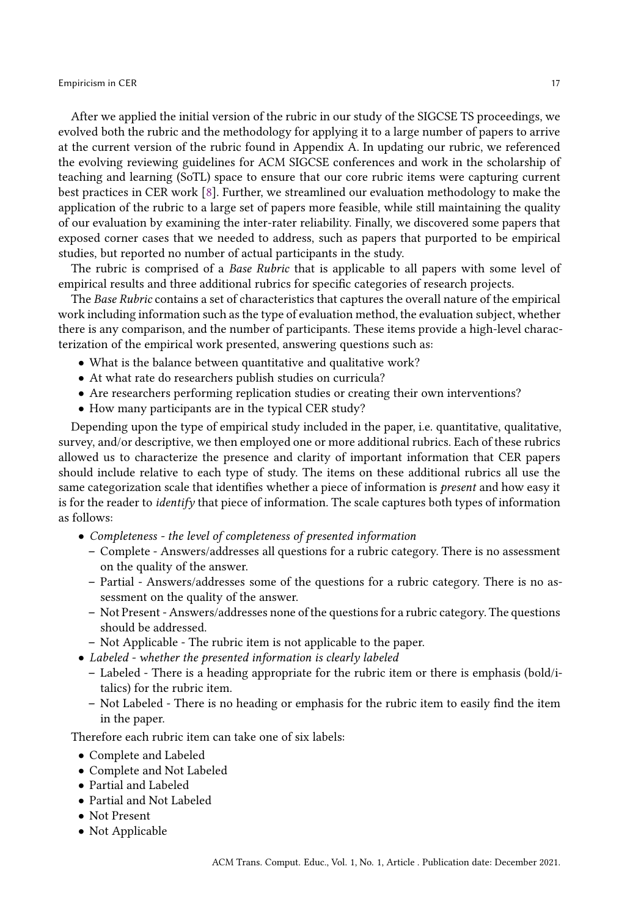#### **Empiricism in CER** 17

After we applied the initial version of the rubric in our study of the SIGCSE TS proceedings, we evolved both the rubric and the methodology for applying it to a large number of papers to arrive at the current version of the rubric found in Appendix A. In updating our rubric, we referenced the evolving reviewing guidelines for ACM SIGCSE conferences and work in the scholarship of teaching and learning (SoTL) space to ensure that our core rubric items were capturing current best practices in CER work [\[8\]](#page-34-1). Further, we streamlined our evaluation methodology to make the application of the rubric to a large set of papers more feasible, while still maintaining the quality of our evaluation by examining the inter-rater reliability. Finally, we discovered some papers that exposed corner cases that we needed to address, such as papers that purported to be empirical studies, but reported no number of actual participants in the study.

The rubric is comprised of a *Base Rubric* that is applicable to all papers with some level of empirical results and three additional rubrics for specific categories of research projects.

The Base Rubric contains a set of characteristics that captures the overall nature of the empirical work including information such as the type of evaluation method, the evaluation subject, whether there is any comparison, and the number of participants. These items provide a high-level characterization of the empirical work presented, answering questions such as:

- What is the balance between quantitative and qualitative work?
- At what rate do researchers publish studies on curricula?
- Are researchers performing replication studies or creating their own interventions?
- How many participants are in the typical CER study?

Depending upon the type of empirical study included in the paper, i.e. quantitative, qualitative, survey, and/or descriptive, we then employed one or more additional rubrics. Each of these rubrics allowed us to characterize the presence and clarity of important information that CER papers should include relative to each type of study. The items on these additional rubrics all use the same categorization scale that identifies whether a piece of information is present and how easy it is for the reader to *identify* that piece of information. The scale captures both types of information as follows:

- Completeness the level of completeness of presented information
	- Complete Answers/addresses all questions for a rubric category. There is no assessment on the quality of the answer.
	- Partial Answers/addresses some of the questions for a rubric category. There is no assessment on the quality of the answer.
	- Not Present Answers/addresses none of the questions for a rubric category. The questions should be addressed.
	- Not Applicable The rubric item is not applicable to the paper.
- Labeled whether the presented information is clearly labeled
	- Labeled There is a heading appropriate for the rubric item or there is emphasis (bold/italics) for the rubric item.
	- Not Labeled There is no heading or emphasis for the rubric item to easily find the item in the paper.

Therefore each rubric item can take one of six labels:

- Complete and Labeled
- Complete and Not Labeled
- Partial and Labeled
- Partial and Not Labeled
- Not Present
- Not Applicable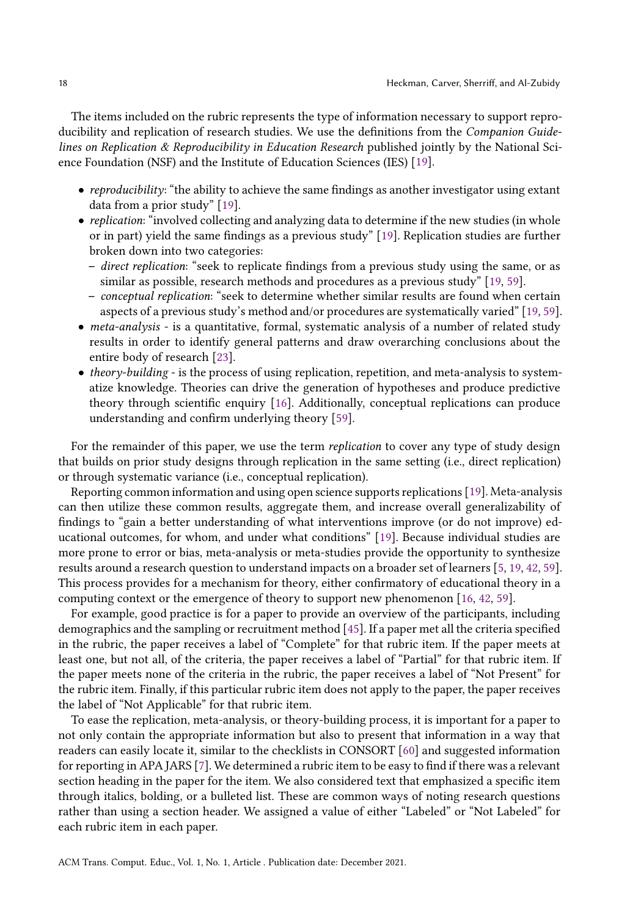The items included on the rubric represents the type of information necessary to support reproducibility and replication of research studies. We use the definitions from the Companion Guidelines on Replication & Reproducibility in Education Research published jointly by the National Science Foundation (NSF) and the Institute of Education Sciences (IES) [\[19\]](#page-35-5).

- *reproducibility*: "the ability to achieve the same findings as another investigator using extant data from a prior study" [\[19\]](#page-35-5).
- *replication*: "involved collecting and analyzing data to determine if the new studies (in whole or in part) yield the same findings as a previous study" [\[19\]](#page-35-5). Replication studies are further broken down into two categories:
	- direct replication: "seek to replicate findings from a previous study using the same, or as similar as possible, research methods and procedures as a previous study" [\[19,](#page-35-5) [59\]](#page-37-0).
	- conceptual replication: "seek to determine whether similar results are found when certain aspects of a previous study's method and/or procedures are systematically varied" [\[19,](#page-35-5) [59\]](#page-37-0).
- *meta-analysis* is a quantitative, formal, systematic analysis of a number of related study results in order to identify general patterns and draw overarching conclusions about the entire body of research [\[23\]](#page-35-20).
- theory-building is the process of using replication, repetition, and meta-analysis to systematize knowledge. Theories can drive the generation of hypotheses and produce predictive theory through scientific enquiry [\[16](#page-35-4)]. Additionally, conceptual replications can produce understanding and confirm underlying theory [\[59](#page-37-0)].

For the remainder of this paper, we use the term replication to cover any type of study design that builds on prior study designs through replication in the same setting (i.e., direct replication) or through systematic variance (i.e., conceptual replication).

Reporting common information and using open science supports replications [\[19\]](#page-35-5). Meta-analysis can then utilize these common results, aggregate them, and increase overall generalizability of findings to "gain a better understanding of what interventions improve (or do not improve) educational outcomes, for whom, and under what conditions" [\[19](#page-35-5)]. Because individual studies are more prone to error or bias, meta-analysis or meta-studies provide the opportunity to synthesize results around a research question to understand impacts on a broader set of learners [\[5,](#page-34-5) [19](#page-35-5), [42,](#page-36-3) [59\]](#page-37-0). This process provides for a mechanism for theory, either confirmatory of educational theory in a computing context or the emergence of theory to support new phenomenon [\[16,](#page-35-4) [42](#page-36-3), [59](#page-37-0)].

For example, good practice is for a paper to provide an overview of the participants, including demographics and the sampling or recruitment method [\[45](#page-36-4)]. If a paper met all the criteria specified in the rubric, the paper receives a label of "Complete" for that rubric item. If the paper meets at least one, but not all, of the criteria, the paper receives a label of "Partial" for that rubric item. If the paper meets none of the criteria in the rubric, the paper receives a label of "Not Present" for the rubric item. Finally, if this particular rubric item does not apply to the paper, the paper receives the label of "Not Applicable" for that rubric item.

To ease the replication, meta-analysis, or theory-building process, it is important for a paper to not only contain the appropriate information but also to present that information in a way that readers can easily locate it, similar to the checklists in CONSORT [\[60\]](#page-37-1) and suggested information for reporting in APA JARS [\[7\]](#page-34-2). We determined a rubric item to be easy to find if there was a relevant section heading in the paper for the item. We also considered text that emphasized a specific item through italics, bolding, or a bulleted list. These are common ways of noting research questions rather than using a section header. We assigned a value of either "Labeled" or "Not Labeled" for each rubric item in each paper.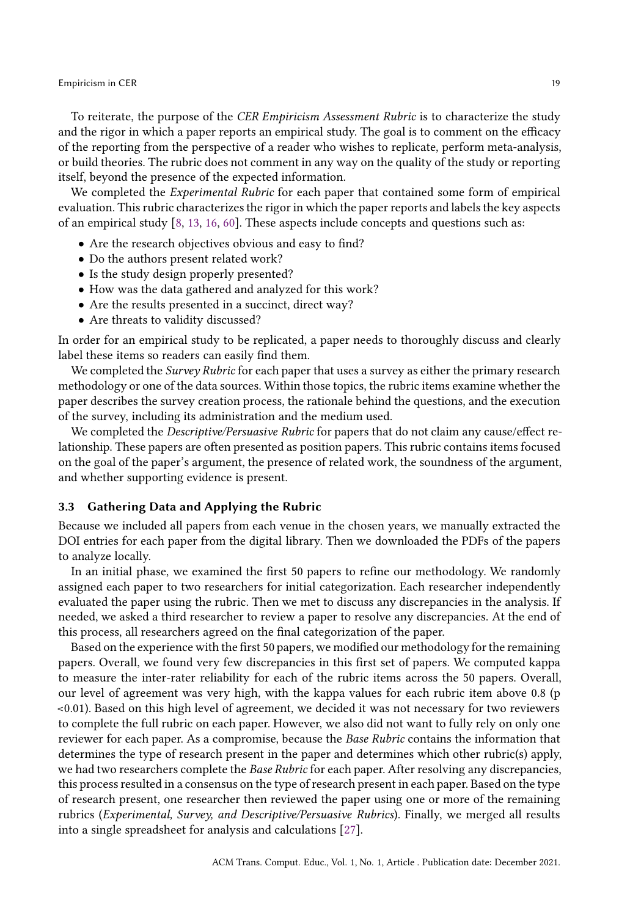To reiterate, the purpose of the CER Empiricism Assessment Rubric is to characterize the study and the rigor in which a paper reports an empirical study. The goal is to comment on the efficacy of the reporting from the perspective of a reader who wishes to replicate, perform meta-analysis, or build theories. The rubric does not comment in any way on the quality of the study or reporting itself, beyond the presence of the expected information.

We completed the Experimental Rubric for each paper that contained some form of empirical evaluation. This rubric characterizes the rigor in which the paper reports and labels the key aspects of an empirical study [\[8,](#page-34-1) [13,](#page-35-19) [16,](#page-35-4) [60\]](#page-37-1). These aspects include concepts and questions such as:

- Are the research objectives obvious and easy to find?
- Do the authors present related work?
- Is the study design properly presented?
- How was the data gathered and analyzed for this work?
- Are the results presented in a succinct, direct way?
- Are threats to validity discussed?

In order for an empirical study to be replicated, a paper needs to thoroughly discuss and clearly label these items so readers can easily find them.

We completed the Survey Rubric for each paper that uses a survey as either the primary research methodology or one of the data sources. Within those topics, the rubric items examine whether the paper describes the survey creation process, the rationale behind the questions, and the execution of the survey, including its administration and the medium used.

We completed the *Descriptive/Persuasive Rubric* for papers that do not claim any cause/effect relationship. These papers are often presented as position papers. This rubric contains items focused on the goal of the paper's argument, the presence of related work, the soundness of the argument, and whether supporting evidence is present.

### 3.3 Gathering Data and Applying the Rubric

Because we included all papers from each venue in the chosen years, we manually extracted the DOI entries for each paper from the digital library. Then we downloaded the PDFs of the papers to analyze locally.

In an initial phase, we examined the first 50 papers to refine our methodology. We randomly assigned each paper to two researchers for initial categorization. Each researcher independently evaluated the paper using the rubric. Then we met to discuss any discrepancies in the analysis. If needed, we asked a third researcher to review a paper to resolve any discrepancies. At the end of this process, all researchers agreed on the final categorization of the paper.

Based on the experience with the first 50 papers, we modified our methodology for the remaining papers. Overall, we found very few discrepancies in this first set of papers. We computed kappa to measure the inter-rater reliability for each of the rubric items across the 50 papers. Overall, our level of agreement was very high, with the kappa values for each rubric item above 0.8 (p <0.01). Based on this high level of agreement, we decided it was not necessary for two reviewers to complete the full rubric on each paper. However, we also did not want to fully rely on only one reviewer for each paper. As a compromise, because the Base Rubric contains the information that determines the type of research present in the paper and determines which other rubric(s) apply, we had two researchers complete the Base Rubric for each paper. After resolving any discrepancies, this process resulted in a consensus on the type of research present in each paper. Based on the type of research present, one researcher then reviewed the paper using one or more of the remaining rubrics (Experimental, Survey, and Descriptive/Persuasive Rubrics). Finally, we merged all results into a single spreadsheet for analysis and calculations [\[27\]](#page-35-21).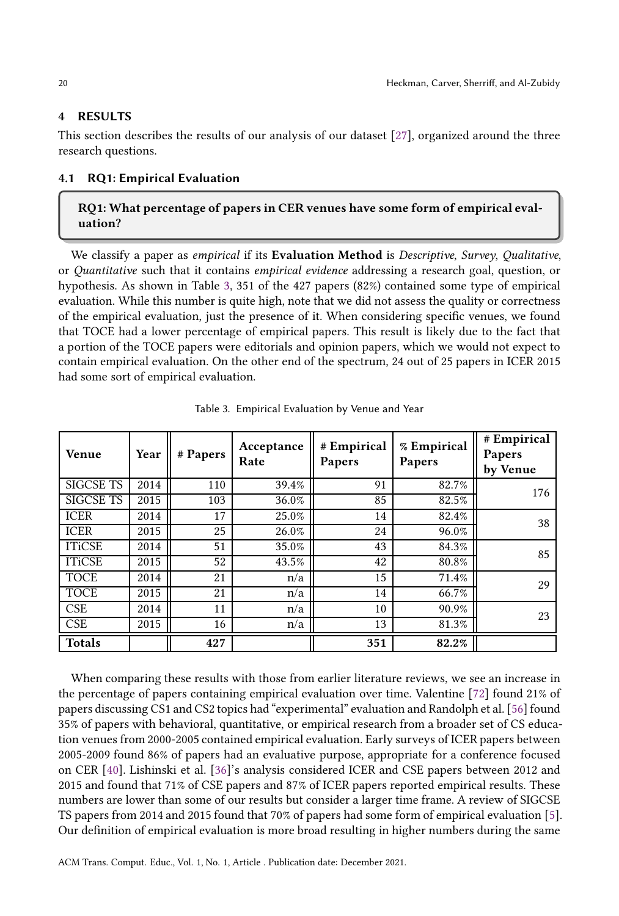### 4 RESULTS

This section describes the results of our analysis of our dataset [\[27\]](#page-35-21), organized around the three research questions.

# 4.1 RQ1: Empirical Evaluation

# RQ1: What percentage of papers in CER venues have some form of empirical evaluation?

We classify a paper as empirical if its Evaluation Method is Descriptive, Survey, Qualitative, or Quantitative such that it contains empirical evidence addressing a research goal, question, or hypothesis. As shown in Table [3,](#page-19-0) 351 of the 427 papers (82%) contained some type of empirical evaluation. While this number is quite high, note that we did not assess the quality or correctness of the empirical evaluation, just the presence of it. When considering specific venues, we found that TOCE had a lower percentage of empirical papers. This result is likely due to the fact that a portion of the TOCE papers were editorials and opinion papers, which we would not expect to contain empirical evaluation. On the other end of the spectrum, 24 out of 25 papers in ICER 2015 had some sort of empirical evaluation.

<span id="page-19-0"></span>

| <b>Venue</b>     | Year | # Papers | Acceptance<br>Rate | # Empirical<br>Papers | % Empirical<br>Papers | # Empirical<br>Papers<br>by Venue |
|------------------|------|----------|--------------------|-----------------------|-----------------------|-----------------------------------|
| <b>SIGCSE TS</b> | 2014 | 110      | 39.4%              | 91                    | 82.7%                 | 176                               |
| <b>SIGCSE TS</b> | 2015 | 103      | 36.0%              | 85                    | 82.5%                 |                                   |
| <b>ICER</b>      | 2014 | 17       | 25.0%              | 14                    | 82.4%                 | 38                                |
| <b>ICER</b>      | 2015 | 25       | 26.0%              | 24                    | 96.0%                 |                                   |
| <b>ITiCSE</b>    | 2014 | 51       | 35.0%              | 43                    | 84.3%                 | 85                                |
| <b>ITiCSE</b>    | 2015 | 52       | 43.5%              | 42                    | 80.8%                 |                                   |
| <b>TOCE</b>      | 2014 | 21       | n/a                | 15                    | 71.4%                 | 29                                |
| <b>TOCE</b>      | 2015 | 21       | n/a                | 14                    | 66.7%                 |                                   |
| <b>CSE</b>       | 2014 | 11       | n/a                | 10                    | 90.9%                 | 23                                |
| <b>CSE</b>       | 2015 | 16       | n/a                | 13                    | 81.3%                 |                                   |
| <b>Totals</b>    |      | 427      |                    | 351                   | 82.2%                 |                                   |

Table 3. Empirical Evaluation by Venue and Year

When comparing these results with those from earlier literature reviews, we see an increase in the percentage of papers containing empirical evaluation over time. Valentine [\[72\]](#page-38-3) found 21% of papers discussing CS1 and CS2 topics had "experimental" evaluation and Randolph et al. [\[56](#page-37-7)] found 35% of papers with behavioral, quantitative, or empirical research from a broader set of CS education venues from 2000-2005 contained empirical evaluation. Early surveys of ICER papers between 2005-2009 found 86% of papers had an evaluative purpose, appropriate for a conference focused on CER [\[40](#page-36-8)]. Lishinski et al. [\[36\]](#page-36-10)'s analysis considered ICER and CSE papers between 2012 and 2015 and found that 71% of CSE papers and 87% of ICER papers reported empirical results. These numbers are lower than some of our results but consider a larger time frame. A review of SIGCSE TS papers from 2014 and 2015 found that 70% of papers had some form of empirical evaluation [\[5\]](#page-34-5). Our definition of empirical evaluation is more broad resulting in higher numbers during the same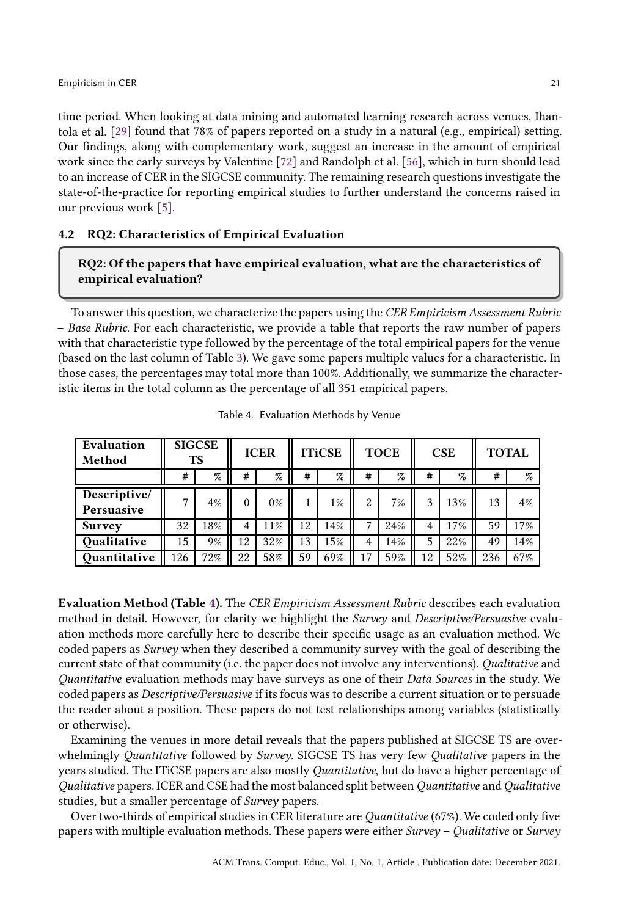time period. When looking at data mining and automated learning research across venues, Ihantola et al. [\[29\]](#page-35-8) found that 78% of papers reported on a study in a natural (e.g., empirical) setting. Our findings, along with complementary work, suggest an increase in the amount of empirical work since the early surveys by Valentine [\[72\]](#page-38-3) and Randolph et al. [\[56](#page-37-7)], which in turn should lead to an increase of CER in the SIGCSE community. The remaining research questions investigate the state-of-the-practice for reporting empirical studies to further understand the concerns raised in our previous work [\[5\]](#page-34-5).

### 4.2 RQ2: Characteristics of Empirical Evaluation

## RQ2: Of the papers that have empirical evaluation, what are the characteristics of empirical evaluation?

To answer this question, we characterize the papers using the CER Empiricism Assessment Rubric – Base Rubric. For each characteristic, we provide a table that reports the raw number of papers with that characteristic type followed by the percentage of the total empirical papers for the venue (based on the last column of Table [3\)](#page-19-0). We gave some papers multiple values for a characteristic. In those cases, the percentages may total more than 100%. Additionally, we summarize the characteristic items in the total column as the percentage of all 351 empirical papers.

<span id="page-20-0"></span>

| Evaluation<br>Method       |     | <b>SIGCSE</b><br><b>TS</b> | <b>ICER</b> |       | <b>ITiCSE</b> |        | <b>TOCE</b>    |      | <b>CSE</b> |     | <b>TOTAL</b> |       |
|----------------------------|-----|----------------------------|-------------|-------|---------------|--------|----------------|------|------------|-----|--------------|-------|
|                            | #   | %                          | #           | %     | #             | %      | #              | $\%$ | #          | %   | #            | $\%$  |
| Descriptive/<br>Persuasive | 7   | $4\%$                      | $\Omega$    | $0\%$ |               | $1\%$  | $\mathfrak{D}$ | 7%   | 3          | 13% | 13           | $4\%$ |
| <b>Survey</b>              | 32  | 18%                        | 4           | 11%   | 12            | 14%    |                | 24%  | 4          | 17% | 59           | 17%   |
| Qualitative                | 15  | 9%                         | 12          | 32%   | 13            | $15\%$ |                | 14%  | 5          | 22% | 49           | 14%   |
| Quantitative               | 126 | 72%                        | 22          | 58%   | 59            | 69%    | 17             | 59%  | 12         | 52% | 236          | 67%   |

Table 4. Evaluation Methods by Venue

Evaluation Method (Table [4\)](#page-20-0). The CER Empiricism Assessment Rubric describes each evaluation method in detail. However, for clarity we highlight the Survey and Descriptive/Persuasive evaluation methods more carefully here to describe their specific usage as an evaluation method. We coded papers as Survey when they described a community survey with the goal of describing the current state of that community (i.e. the paper does not involve any interventions). Qualitative and Quantitative evaluation methods may have surveys as one of their Data Sources in the study. We coded papers as Descriptive/Persuasive if its focus was to describe a current situation or to persuade the reader about a position. These papers do not test relationships among variables (statistically or otherwise).

Examining the venues in more detail reveals that the papers published at SIGCSE TS are overwhelmingly Quantitative followed by Survey. SIGCSE TS has very few Qualitative papers in the years studied. The ITiCSE papers are also mostly Quantitative, but do have a higher percentage of Qualitative papers. ICER and CSE had the most balanced split between Quantitative and Qualitative studies, but a smaller percentage of Survey papers.

Over two-thirds of empirical studies in CER literature are Quantitative (67%). We coded only five papers with multiple evaluation methods. These papers were either Survey – Qualitative or Survey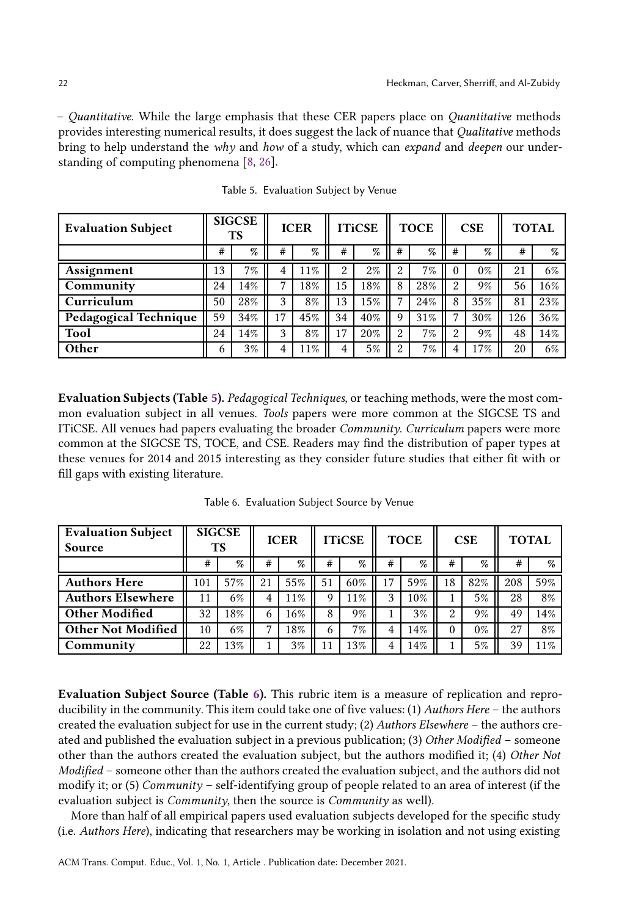– Quantitative. While the large emphasis that these CER papers place on Quantitative methods provides interesting numerical results, it does suggest the lack of nuance that Qualitative methods bring to help understand the why and how of a study, which can expand and deepen our understanding of computing phenomena [\[8,](#page-34-1) [26\]](#page-35-22).

<span id="page-21-0"></span>

| <b>Evaluation Subject</b>    |    | <b>SIGCSE</b><br>ТS | <b>ICER</b> |     | <b>ITiCSE</b> |       | <b>TOCE</b> |     | CSE          |       | <b>TOTAL</b> |     |
|------------------------------|----|---------------------|-------------|-----|---------------|-------|-------------|-----|--------------|-------|--------------|-----|
|                              | #  | %                   | #           | %   | #             | %     | #           | %   | #            | %     | #            | %   |
| Assignment                   | 13 | 7%                  | 4           | 11% | 2             | $2\%$ | റ           | 7%  | $\theta$     | $0\%$ | 21           | 6%  |
| Community                    | 24 | 14%                 | 7           | 18% | 15            | 18%   | 8           | 28% | 2            | 9%    | 56           | 16% |
| Curriculum                   | 50 | 28%                 | 3           | 8%  | 13            | 15%   | 7           | 24% | 8            | 35%   | 81           | 23% |
| <b>Pedagogical Technique</b> | 59 | 34%                 | 17          | 45% | 34            | 40%   | 9           | 31% | $\mathbf{r}$ | 30%   | 126          | 36% |
| <b>Tool</b>                  | 24 | 14%                 | 3           | 8%  | 17            | 20%   | $\Omega$    | 7%  | റ            | 9%    | 48           | 14% |
| Other                        | 6  | 3%                  | 4           | 11% | 4             | 5%    | 2           | 7%  |              | 17%   | 20           | 6%  |

Table 5. Evaluation Subject by Venue

Evaluation Subjects (Table [5\)](#page-21-0). Pedagogical Techniques, or teaching methods, were the most common evaluation subject in all venues. Tools papers were more common at the SIGCSE TS and ITiCSE. All venues had papers evaluating the broader Community. Curriculum papers were more common at the SIGCSE TS, TOCE, and CSE. Readers may find the distribution of paper types at these venues for 2014 and 2015 interesting as they consider future studies that either fit with or fill gaps with existing literature.

<span id="page-21-1"></span>

| <b>Evaluation Subject</b> | <b>SIGCSE</b><br><b>TS</b> |     | <b>ICER</b> |       |    | <b>ITiCSE</b> |    | <b>TOCE</b> |          | CSE   | <b>TOTAL</b> |        |
|---------------------------|----------------------------|-----|-------------|-------|----|---------------|----|-------------|----------|-------|--------------|--------|
| Source                    |                            |     |             |       |    |               |    |             |          |       |              |        |
|                           | #                          | %   | #           | %     | #  | %             | #  | %           | #        | %     | #            | $\%$   |
| <b>Authors Here</b>       | 101                        | 57% | 21          | 55%   | 51 | 60%           | 17 | 59%         | 18       | 82%   | 208          | 59%    |
| <b>Authors Elsewhere</b>  | 11                         | 6%  | 4           | 11%   | 9  | 11%           | 3  | 10%         |          | 5%    | 28           | 8%     |
| <b>Other Modified</b>     | 32                         | 18% | 6           | 16%   | 8  | 9%            |    | 3%          | 2        | 9%    | 49           | 14%    |
| <b>Other Not Modified</b> | 10                         | 6%  | -           | 18%   | 6  | 7%            | 4  | 14%         | $\Omega$ | $0\%$ | 27           | 8%     |
| Community                 | 22                         | 13% |             | $3\%$ | 11 | 13%           | 4  | 14%         |          | 5%    | 39           | $11\%$ |

Table 6. Evaluation Subject Source by Venue

Evaluation Subject Source (Table [6\)](#page-21-1). This rubric item is a measure of replication and reproducibility in the community. This item could take one of five values: (1) Authors Here – the authors created the evaluation subject for use in the current study; (2) Authors Elsewhere – the authors created and published the evaluation subject in a previous publication; (3) Other Modified – someone other than the authors created the evaluation subject, but the authors modified it; (4) Other Not Modified – someone other than the authors created the evaluation subject, and the authors did not modify it; or (5) Community – self-identifying group of people related to an area of interest (if the evaluation subject is Community, then the source is Community as well).

More than half of all empirical papers used evaluation subjects developed for the specific study (i.e. Authors Here), indicating that researchers may be working in isolation and not using existing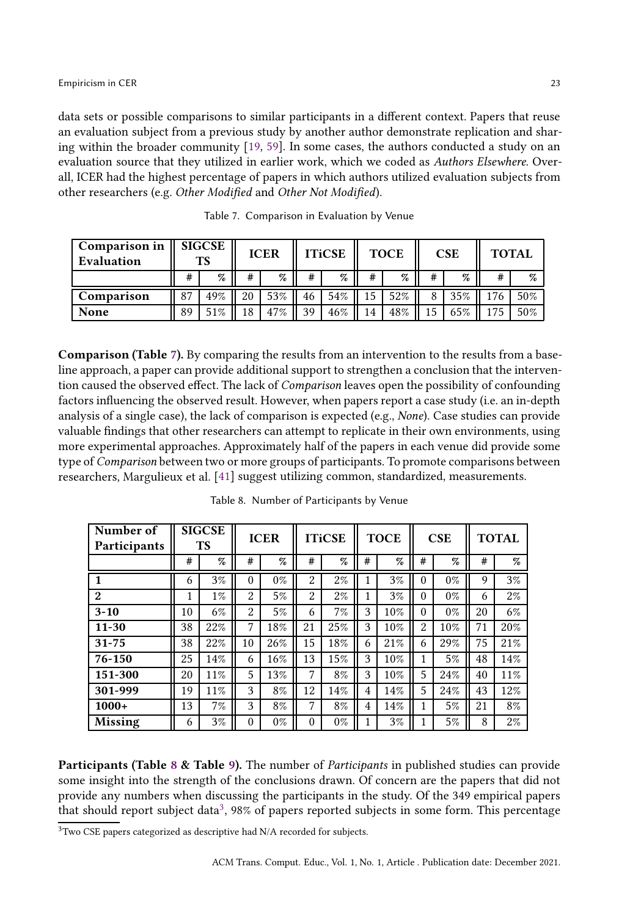data sets or possible comparisons to similar participants in a different context. Papers that reuse an evaluation subject from a previous study by another author demonstrate replication and sharing within the broader community [\[19](#page-35-5), [59\]](#page-37-0). In some cases, the authors conducted a study on an evaluation source that they utilized in earlier work, which we coded as Authors Elsewhere. Overall, ICER had the highest percentage of papers in which authors utilized evaluation subjects from other researchers (e.g. Other Modified and Other Not Modified).

<span id="page-22-0"></span>

| Comparison in<br>Evaluation | $\parallel$ SIGCSE<br>ТS |      | <b>ICER</b> |      | <b>ITiCSE</b> |        | <b>TOCE</b> |     | <b>CSE</b> |      | <b>TOTAL</b> |     |
|-----------------------------|--------------------------|------|-------------|------|---------------|--------|-------------|-----|------------|------|--------------|-----|
|                             | #                        | $\%$ | #           | $\%$ | #             | $\%$   |             | %   | #          | $\%$ | #            | %   |
| Comparison                  | 87                       | 49%  | 20          | 53%  | 46            | $54\%$ | 15          | 52% |            | 35%  |              | 50% |
| None                        | 89                       | 51%  | 18          | 47%  | 39            | 46%    | 14          | 48% |            | 65%  |              | 50% |

Table 7. Comparison in Evaluation by Venue

Comparison (Table [7\)](#page-22-0). By comparing the results from an intervention to the results from a baseline approach, a paper can provide additional support to strengthen a conclusion that the intervention caused the observed effect. The lack of Comparison leaves open the possibility of confounding factors influencing the observed result. However, when papers report a case study (i.e. an in-depth analysis of a single case), the lack of comparison is expected (e.g., None). Case studies can provide valuable findings that other researchers can attempt to replicate in their own environments, using more experimental approaches. Approximately half of the papers in each venue did provide some type of Comparison between two or more groups of participants. To promote comparisons between researchers, Margulieux et al. [\[41\]](#page-36-2) suggest utilizing common, standardized, measurements.

<span id="page-22-1"></span>

| Number of<br>Participants |    | <b>SIGCSE</b><br><b>TS</b> |                | <b>ICER</b> | <b>ITiCSE</b> |       |   | <b>TOCE</b> |          | <b>CSE</b> | <b>TOTAL</b> |       |
|---------------------------|----|----------------------------|----------------|-------------|---------------|-------|---|-------------|----------|------------|--------------|-------|
|                           | #  | %                          | #              | %           | #             | $\%$  | # | %           | #        | $\%$       | #            | %     |
|                           | 6  | 3%                         | 0              | $0\%$       | 2             | $2\%$ |   | 3%          | $\Omega$ | $0\%$      | 9            | 3%    |
| $\boldsymbol{2}$          | 1  | $1\%$                      | 2              | 5%          | 2             | $2\%$ |   | 3%          | 0        | $0\%$      | 6            | $2\%$ |
| $3 - 10$                  | 10 | 6%                         | $\overline{2}$ | 5%          | 6             | 7%    | 3 | 10%         | 0        | $0\%$      | 20           | 6%    |
| $11 - 30$                 | 38 | 22%                        | 7              | 18%         | 21            | 25%   | 3 | 10%         | 2        | 10%        | 71           | 20%   |
| $31 - 75$                 | 38 | 22%                        | 10             | 26%         | 15            | 18%   | 6 | 21%         | 6        | 29%        | 75           | 21%   |
| 76-150                    | 25 | 14%                        | 6              | 16%         | 13            | 15%   | 3 | 10%         |          | 5%         | 48           | 14%   |
| 151-300                   | 20 | 11%                        | 5              | 13%         | 7             | 8%    | 3 | 10%         | 5        | 24%        | 40           | 11%   |
| 301-999                   | 19 | 11%                        | 3              | 8%          | 12            | 14%   | 4 | 14%         | 5        | 24%        | 43           | 12%   |
| $1000+$                   | 13 | 7%                         | 3              | 8%          | 7             | 8%    | 4 | 14%         | 1        | 5%         | 21           | 8%    |
| Missing                   | 6  | 3%                         | 0              | $0\%$       | $\theta$      | $0\%$ |   | 3%          |          | 5%         | 8            | $2\%$ |

Table 8. Number of Participants by Venue

Participants (Table [8](#page-22-1) & Table [9\)](#page-23-0). The number of *Participants* in published studies can provide some insight into the strength of the conclusions drawn. Of concern are the papers that did not provide any numbers when discussing the participants in the study. Of the 349 empirical papers that should report subject data<sup>[3](#page-22-2)</sup>, 98% of papers reported subjects in some form. This percentage

<span id="page-22-2"></span> $3$ Two CSE papers categorized as descriptive had N/A recorded for subjects.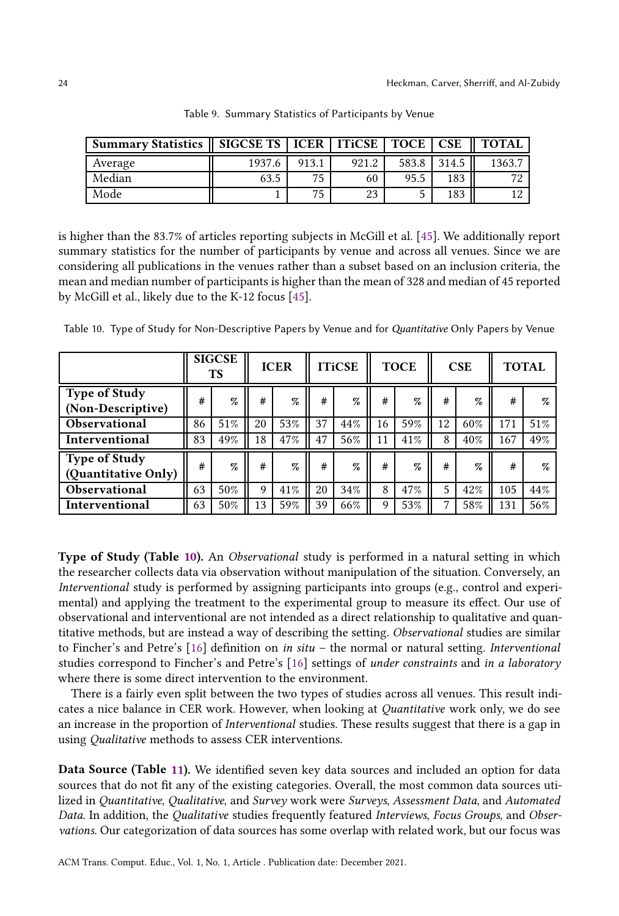<span id="page-23-0"></span>

| Summary Statistics    SIGCSE TS   ICER   ITICSE   TOCE   CSE |        |       |       |       |       | <b>TOTAL</b> |
|--------------------------------------------------------------|--------|-------|-------|-------|-------|--------------|
| Average                                                      | 1937.6 | 913.1 | 921.2 | 583.8 | 314.5 | 1363.7       |
| Median                                                       | 63.5   | 75    | 60    | 95.5  | 183   |              |
| Mode                                                         |        | 75    | 23    |       | 183   |              |

Table 9. Summary Statistics of Participants by Venue

is higher than the 83.7% of articles reporting subjects in McGill et al. [\[45\]](#page-36-4). We additionally report summary statistics for the number of participants by venue and across all venues. Since we are considering all publications in the venues rather than a subset based on an inclusion criteria, the mean and median number of participants is higher than the mean of 328 and median of 45 reported by McGill et al., likely due to the K-12 focus [\[45](#page-36-4)].

<span id="page-23-1"></span>Table 10. Type of Study for Non-Descriptive Papers by Venue and for Quantitative Only Papers by Venue

|                                             |    | <b>SIGCSE</b><br><b>TS</b> |    | <b>ICER</b> |    | <b>ITiCSE</b> |    | <b>TOCE</b> | CSE |      | <b>TOTAL</b> |      |
|---------------------------------------------|----|----------------------------|----|-------------|----|---------------|----|-------------|-----|------|--------------|------|
| <b>Type of Study</b><br>(Non-Descriptive)   | #  | %                          | #  | $\%$        | #  | $\%$          | #  | %           | #   | $\%$ | #            | %    |
| Observational                               | 86 | 51%                        | 20 | 53%         | 37 | 44%           | 16 | 59%         | 12  | 60%  | 171          | 51%  |
| Interventional                              | 83 | 49%                        | 18 | 47%         | 47 | 56%           | 11 | 41%         | 8   | 40%  | 167          | 49%  |
| <b>Type of Study</b><br>(Quantitative Only) | #  | %                          | #  | $\%$        | #  | %             | #  | %           | #   | $\%$ | #            | $\%$ |
| Observational                               | 63 | 50%                        | 9  | 41%         | 20 | 34%           | 8  | 47%         | 5   | 42%  | 105          | 44%  |
| Interventional                              | 63 | 50%                        | 13 | 59%         | 39 | 66%           | 9  | 53%         | 7   | 58%  | 131          | 56%  |

Type of Study (Table [10\)](#page-23-1). An *Observational* study is performed in a natural setting in which the researcher collects data via observation without manipulation of the situation. Conversely, an Interventional study is performed by assigning participants into groups (e.g., control and experimental) and applying the treatment to the experimental group to measure its effect. Our use of observational and interventional are not intended as a direct relationship to qualitative and quantitative methods, but are instead a way of describing the setting. Observational studies are similar to Fincher's and Petre's  $[16]$  definition on in situ – the normal or natural setting. Interventional studies correspond to Fincher's and Petre's [\[16](#page-35-4)] settings of under constraints and in a laboratory where there is some direct intervention to the environment.

There is a fairly even split between the two types of studies across all venues. This result indicates a nice balance in CER work. However, when looking at Quantitative work only, we do see an increase in the proportion of Interventional studies. These results suggest that there is a gap in using Qualitative methods to assess CER interventions.

Data Source (Table [11\)](#page-24-0). We identified seven key data sources and included an option for data sources that do not fit any of the existing categories. Overall, the most common data sources utilized in Quantitative, Qualitative, and Survey work were Surveys, Assessment Data, and Automated Data. In addition, the Qualitative studies frequently featured Interviews, Focus Groups, and Observations. Our categorization of data sources has some overlap with related work, but our focus was

ACM Trans. Comput. Educ., Vol. 1, No. 1, Article . Publication date: December 2021.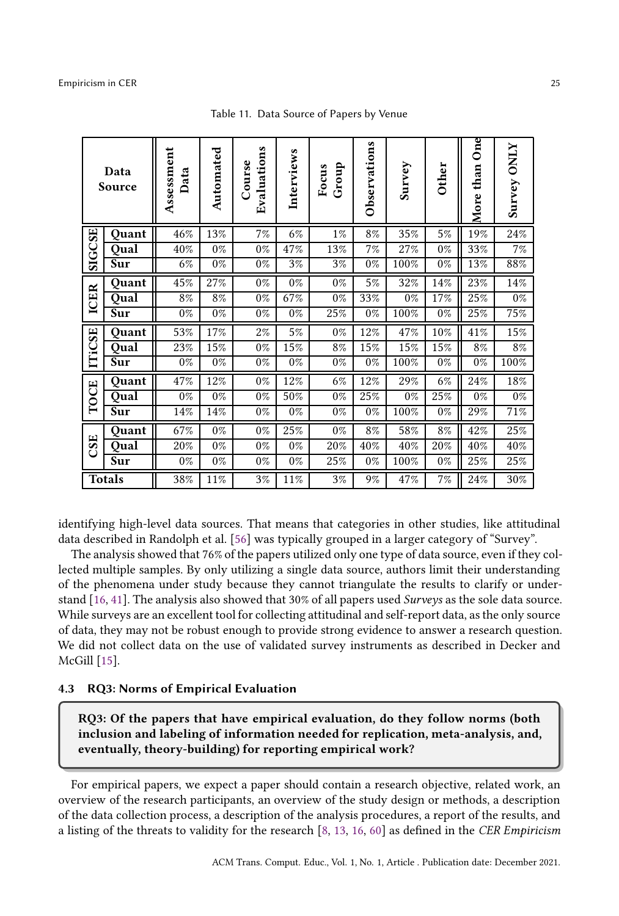<span id="page-24-0"></span>

| Data<br>Source |       | Assessment<br>Data | Automated | Evaluations<br>Course | Interviews | Group<br>Focus | Observations | Survey | Other | $rac{1}{2}$<br>More than | <b>Survey ONLY</b> |
|----------------|-------|--------------------|-----------|-----------------------|------------|----------------|--------------|--------|-------|--------------------------|--------------------|
|                | Quant | 46%                | 13%       | 7%                    | 6%         | $1\%$          | 8%           | 35%    | 5%    | 19%                      | 24%                |
| <b>SIGCSE</b>  | Qual  | 40%                | $0\%$     | $0\%$                 | 47%        | 13%            | 7%           | 27%    | $0\%$ | 33%                      | 7%                 |
|                | Sur   | 6%                 | $0\%$     | $0\%$                 | 3%         | 3%             | $0\%$        | 100%   | $0\%$ | 13%                      | 88%                |
| ICER           | Quant | 45%                | 27%       | $0\%$                 | $0\%$      | $0\%$          | 5%           | 32%    | 14%   | 23%                      | 14%                |
|                | Qual  | 8%                 | 8%        | $0\%$                 | 67%        | $0\%$          | $33\%$       | $0\%$  | 17%   | 25%                      | $0\%$              |
|                | Sur   | $0\%$              | $0\%$     | $0\%$                 | $0\%$      | 25%            | $0\%$        | 100%   | $0\%$ | 25%                      | 75%                |
|                | Quant | 53%                | 17%       | $2\%$                 | 5%         | $0\%$          | 12%          | 47%    | 10%   | 41%                      | 15%                |
| <b>ITiCSE</b>  | Qual  | 23%                | 15%       | $0\%$                 | 15%        | 8%             | 15%          | 15%    | 15%   | 8%                       | 8%                 |
|                | Sur   | $0\%$              | $0\%$     | $0\%$                 | $0\%$      | $0\%$          | $0\%$        | 100%   | $0\%$ | $0\%$                    | 100%               |
|                | Quant | 47%                | 12%       | $0\%$                 | 12%        | 6%             | 12%          | 29%    | 6%    | 24%                      | 18%                |
| TOCE           | Qual  | $0\%$              | $0\%$     | $0\%$                 | 50%        | $0\%$          | 25%          | $0\%$  | 25%   | $0\%$                    | $0\%$              |
|                | Sur   | 14%                | 14%       | $0\%$                 | $0\%$      | $0\%$          | $0\%$        | 100%   | $0\%$ | 29%                      | 71%                |
|                | Quant | 67%                | $0\%$     | $0\%$                 | 25%        | $0\%$          | 8%           | 58%    | 8%    | 42%                      | 25%                |
| CSE            | Qual  | 20%                | $0\%$     | $0\%$                 | $0\%$      | 20%            | 40%          | 40%    | 20%   | 40%                      | 40%                |
|                | Sur   | $0\%$              | $0\%$     | $0\%$                 | $0\%$      | 25%            | $0\%$        | 100%   | $0\%$ | 25%                      | 25%                |
| <b>Totals</b>  |       | 38%                | 11%       | 3%                    | 11%        | $3\%$          | 9%           | 47%    | 7%    | 24%                      | 30%                |

Table 11. Data Source of Papers by Venue

identifying high-level data sources. That means that categories in other studies, like attitudinal data described in Randolph et al. [\[56\]](#page-37-7) was typically grouped in a larger category of "Survey".

The analysis showed that 76% of the papers utilized only one type of data source, even if they collected multiple samples. By only utilizing a single data source, authors limit their understanding of the phenomena under study because they cannot triangulate the results to clarify or understand [\[16,](#page-35-4) [41](#page-36-2)]. The analysis also showed that 30% of all papers used Surveys as the sole data source. While surveys are an excellent tool for collecting attitudinal and self-report data, as the only source of data, they may not be robust enough to provide strong evidence to answer a research question. We did not collect data on the use of validated survey instruments as described in Decker and McGill [\[15\]](#page-35-14).

### 4.3 RQ3: Norms of Empirical Evaluation

RQ3: Of the papers that have empirical evaluation, do they follow norms (both inclusion and labeling of information needed for replication, meta-analysis, and, eventually, theory-building) for reporting empirical work?

For empirical papers, we expect a paper should contain a research objective, related work, an overview of the research participants, an overview of the study design or methods, a description of the data collection process, a description of the analysis procedures, a report of the results, and a listing of the threats to validity for the research [\[8,](#page-34-1) [13,](#page-35-19) [16,](#page-35-4) [60\]](#page-37-1) as defined in the CER Empiricism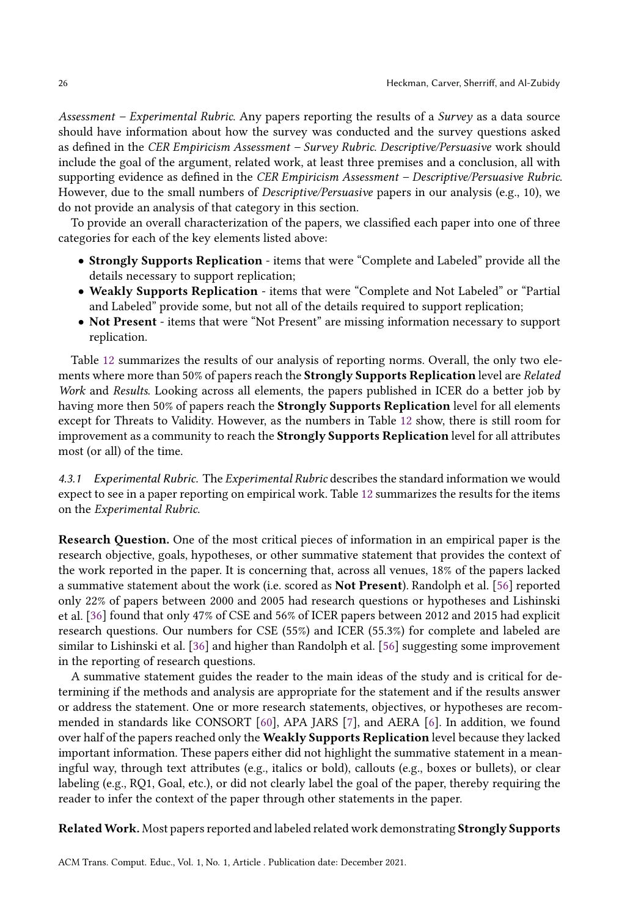Assessment – Experimental Rubric. Any papers reporting the results of a Survey as a data source should have information about how the survey was conducted and the survey questions asked as defined in the CER Empiricism Assessment – Survey Rubric. Descriptive/Persuasive work should include the goal of the argument, related work, at least three premises and a conclusion, all with supporting evidence as defined in the CER Empiricism Assessment – Descriptive/Persuasive Rubric. However, due to the small numbers of Descriptive/Persuasive papers in our analysis (e.g., 10), we do not provide an analysis of that category in this section.

To provide an overall characterization of the papers, we classified each paper into one of three categories for each of the key elements listed above:

- Strongly Supports Replication items that were "Complete and Labeled" provide all the details necessary to support replication;
- Weakly Supports Replication items that were "Complete and Not Labeled" or "Partial and Labeled" provide some, but not all of the details required to support replication;
- Not Present items that were "Not Present" are missing information necessary to support replication.

Table [12](#page-26-0) summarizes the results of our analysis of reporting norms. Overall, the only two elements where more than 50% of papers reach the Strongly Supports Replication level are Related Work and Results. Looking across all elements, the papers published in ICER do a better job by having more then 50% of papers reach the **Strongly Supports Replication** level for all elements except for Threats to Validity. However, as the numbers in Table [12](#page-26-0) show, there is still room for improvement as a community to reach the Strongly Supports Replication level for all attributes most (or all) of the time.

4.3.1 Experimental Rubric. The Experimental Rubric describes the standard information we would expect to see in a paper reporting on empirical work. Table [12](#page-26-0) summarizes the results for the items on the Experimental Rubric.

Research Question. One of the most critical pieces of information in an empirical paper is the research objective, goals, hypotheses, or other summative statement that provides the context of the work reported in the paper. It is concerning that, across all venues, 18% of the papers lacked a summative statement about the work (i.e. scored as Not Present). Randolph et al. [\[56\]](#page-37-7) reported only 22% of papers between 2000 and 2005 had research questions or hypotheses and Lishinski et al. [\[36](#page-36-10)] found that only 47% of CSE and 56% of ICER papers between 2012 and 2015 had explicit research questions. Our numbers for CSE (55%) and ICER (55.3%) for complete and labeled are similar to Lishinski et al. [\[36\]](#page-36-10) and higher than Randolph et al. [\[56\]](#page-37-7) suggesting some improvement in the reporting of research questions.

A summative statement guides the reader to the main ideas of the study and is critical for determining if the methods and analysis are appropriate for the statement and if the results answer or address the statement. One or more research statements, objectives, or hypotheses are recommended in standards like CONSORT [\[60\]](#page-37-1), APA JARS [\[7](#page-34-2)], and AERA [\[6](#page-34-6)]. In addition, we found over half of the papers reached only the Weakly Supports Replication level because they lacked important information. These papers either did not highlight the summative statement in a meaningful way, through text attributes (e.g., italics or bold), callouts (e.g., boxes or bullets), or clear labeling (e.g., RQ1, Goal, etc.), or did not clearly label the goal of the paper, thereby requiring the reader to infer the context of the paper through other statements in the paper.

RelatedWork. Most papers reported and labeled related work demonstrating Strongly Supports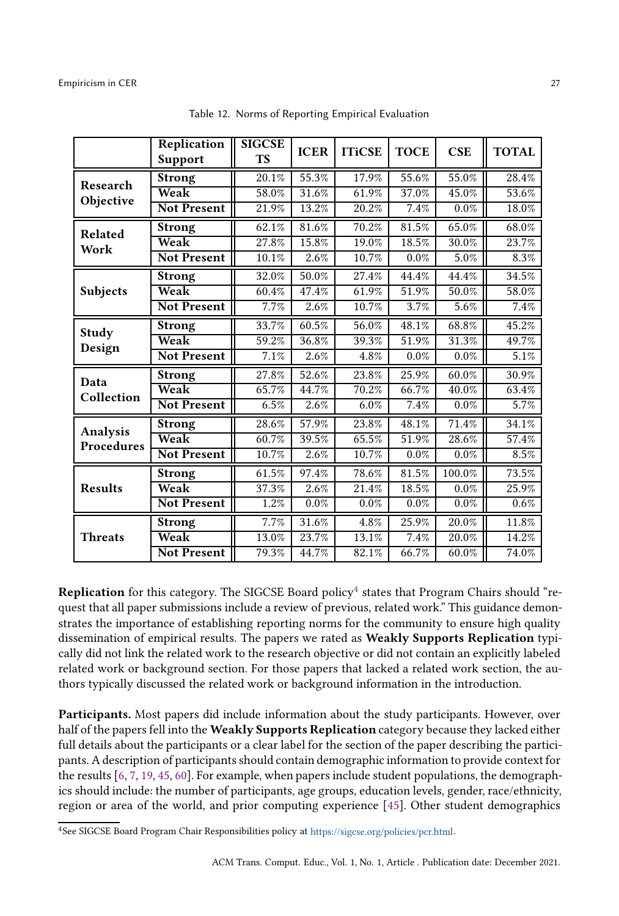<span id="page-26-0"></span>

|                    | Replication<br><b>Support</b> | <b>SIGCSE</b><br><b>TS</b> | <b>ICER</b> | <b>ITiCSE</b> | <b>TOCE</b> | <b>CSE</b> | <b>TOTAL</b> |
|--------------------|-------------------------------|----------------------------|-------------|---------------|-------------|------------|--------------|
| Research           | <b>Strong</b>                 | 20.1%                      | 55.3%       | 17.9%         | 55.6%       | 55.0%      | 28.4%        |
| Objective          | Weak                          | 58.0%                      | 31.6%       | 61.9%         | 37.0%       | 45.0%      | 53.6%        |
|                    | <b>Not Present</b>            | 21.9%                      | 13.2%       | 20.2%         | 7.4%        | 0.0%       | 18.0%        |
| Related            | <b>Strong</b>                 | 62.1%                      | 81.6%       | 70.2%         | 81.5%       | 65.0%      | 68.0%        |
| Work               | Weak                          | 27.8%                      | 15.8%       | 19.0%         | 18.5%       | 30.0%      | 23.7%        |
|                    | <b>Not Present</b>            | 10.1%                      | 2.6%        | 10.7%         | 0.0%        | 5.0%       | 8.3%         |
|                    | <b>Strong</b>                 | 32.0%                      | $50.0\%$    | 27.4%         | 44.4%       | 44.4%      | 34.5%        |
| Subjects           | Weak                          | 60.4%                      | 47.4%       | 61.9%         | 51.9%       | 50.0%      | 58.0%        |
|                    | <b>Not Present</b>            | 7.7%                       | 2.6%        | 10.7%         | 3.7%        | 5.6%       | 7.4%         |
| Study              | <b>Strong</b>                 | 33.7%                      | 60.5%       | 56.0%         | 48.1%       | 68.8%      | 45.2%        |
| Design             | Weak                          | 59.2%                      | 36.8%       | 39.3%         | 51.9%       | 31.3%      | 49.7%        |
|                    | <b>Not Present</b>            | 7.1%                       | 2.6%        | 4.8%          | 0.0%        | 0.0%       | 5.1%         |
| Data<br>Collection | <b>Strong</b>                 | 27.8%                      | 52.6%       | 23.8%         | 25.9%       | 60.0%      | 30.9%        |
|                    | Weak                          | 65.7%                      | 44.7%       | 70.2%         | 66.7%       | 40.0%      | 63.4%        |
|                    | <b>Not Present</b>            | 6.5%                       | 2.6%        | 6.0%          | 7.4%        | 0.0%       | 5.7%         |
| Analysis           | <b>Strong</b>                 | 28.6%                      | 57.9%       | 23.8%         | 48.1%       | 71.4%      | 34.1%        |
| Procedures         | Weak                          | 60.7%                      | 39.5%       | 65.5%         | 51.9%       | 28.6%      | 57.4%        |
|                    | <b>Not Present</b>            | 10.7%                      | 2.6%        | 10.7%         | 0.0%        | 0.0%       | 8.5%         |
|                    | <b>Strong</b>                 | 61.5%                      | 97.4%       | 78.6%         | 81.5%       | 100.0%     | 73.5%        |
| <b>Results</b>     | Weak                          | 37.3%                      | 2.6%        | 21.4%         | 18.5%       | 0.0%       | 25.9%        |
|                    | <b>Not Present</b>            | 1.2%                       | $0.0\%$     | 0.0%          | 0.0%        | $0.0\%$    | 0.6%         |
|                    | <b>Strong</b>                 | 7.7%                       | 31.6%       | 4.8%          | 25.9%       | 20.0%      | 11.8%        |
| <b>Threats</b>     | Weak                          | 13.0%                      | 23.7%       | 13.1%         | 7.4%        | 20.0%      | 14.2%        |
|                    | Not Present                   | 79.3%                      | 44.7%       | 82.1%         | 66.7%       | 60.0%      | 74.0%        |

Table 12. Norms of Reporting Empirical Evaluation

**Replication** for this category. The SIGCSE Board policy $^4$  $^4$  states that Program Chairs should "request that all paper submissions include a review of previous, related work." This guidance demonstrates the importance of establishing reporting norms for the community to ensure high quality dissemination of empirical results. The papers we rated as Weakly Supports Replication typically did not link the related work to the research objective or did not contain an explicitly labeled related work or background section. For those papers that lacked a related work section, the authors typically discussed the related work or background information in the introduction.

Participants. Most papers did include information about the study participants. However, over half of the papers fell into the Weakly Supports Replication category because they lacked either full details about the participants or a clear label for the section of the paper describing the participants. A description of participants should contain demographic information to provide context for the results [\[6,](#page-34-6) [7,](#page-34-2) [19,](#page-35-5) [45](#page-36-4), [60\]](#page-37-1). For example, when papers include student populations, the demographics should include: the number of participants, age groups, education levels, gender, race/ethnicity, region or area of the world, and prior computing experience [\[45\]](#page-36-4). Other student demographics

<span id="page-26-1"></span><sup>4</sup>See SIGCSE Board Program Chair Responsibilities policy at [https://sigcse.org/policies/pcr.html.](https://sigcse.org/policies/pcr.html)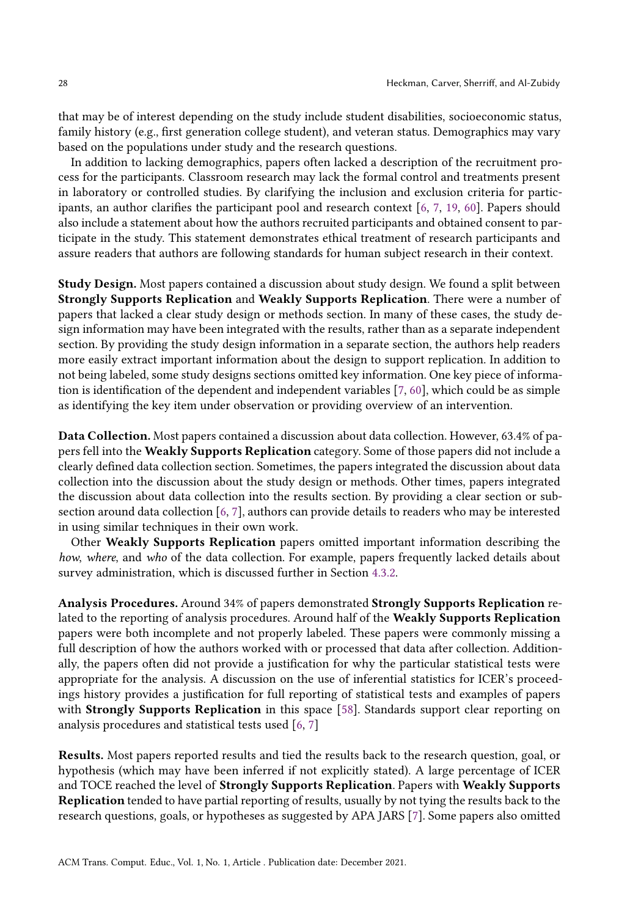that may be of interest depending on the study include student disabilities, socioeconomic status, family history (e.g., first generation college student), and veteran status. Demographics may vary based on the populations under study and the research questions.

In addition to lacking demographics, papers often lacked a description of the recruitment process for the participants. Classroom research may lack the formal control and treatments present in laboratory or controlled studies. By clarifying the inclusion and exclusion criteria for participants, an author clarifies the participant pool and research context [\[6](#page-34-6), [7,](#page-34-2) [19,](#page-35-5) [60\]](#page-37-1). Papers should also include a statement about how the authors recruited participants and obtained consent to participate in the study. This statement demonstrates ethical treatment of research participants and assure readers that authors are following standards for human subject research in their context.

Study Design. Most papers contained a discussion about study design. We found a split between Strongly Supports Replication and Weakly Supports Replication. There were a number of papers that lacked a clear study design or methods section. In many of these cases, the study design information may have been integrated with the results, rather than as a separate independent section. By providing the study design information in a separate section, the authors help readers more easily extract important information about the design to support replication. In addition to not being labeled, some study designs sections omitted key information. One key piece of information is identification of the dependent and independent variables [\[7](#page-34-2), [60](#page-37-1)], which could be as simple as identifying the key item under observation or providing overview of an intervention.

Data Collection. Most papers contained a discussion about data collection. However, 63.4% of papers fell into the Weakly Supports Replication category. Some of those papers did not include a clearly defined data collection section. Sometimes, the papers integrated the discussion about data collection into the discussion about the study design or methods. Other times, papers integrated the discussion about data collection into the results section. By providing a clear section or subsection around data collection [\[6,](#page-34-6) [7\]](#page-34-2), authors can provide details to readers who may be interested in using similar techniques in their own work.

Other Weakly Supports Replication papers omitted important information describing the how, where, and who of the data collection. For example, papers frequently lacked details about survey administration, which is discussed further in Section [4.3.2.](#page-28-0)

Analysis Procedures. Around 34% of papers demonstrated Strongly Supports Replication related to the reporting of analysis procedures. Around half of the Weakly Supports Replication papers were both incomplete and not properly labeled. These papers were commonly missing a full description of how the authors worked with or processed that data after collection. Additionally, the papers often did not provide a justification for why the particular statistical tests were appropriate for the analysis. A discussion on the use of inferential statistics for ICER's proceedings history provides a justification for full reporting of statistical tests and examples of papers with Strongly Supports Replication in this space [\[58\]](#page-37-12). Standards support clear reporting on analysis procedures and statistical tests used [\[6,](#page-34-6) [7\]](#page-34-2)

Results. Most papers reported results and tied the results back to the research question, goal, or hypothesis (which may have been inferred if not explicitly stated). A large percentage of ICER and TOCE reached the level of Strongly Supports Replication. Papers with Weakly Supports Replication tended to have partial reporting of results, usually by not tying the results back to the research questions, goals, or hypotheses as suggested by APA JARS [\[7\]](#page-34-2). Some papers also omitted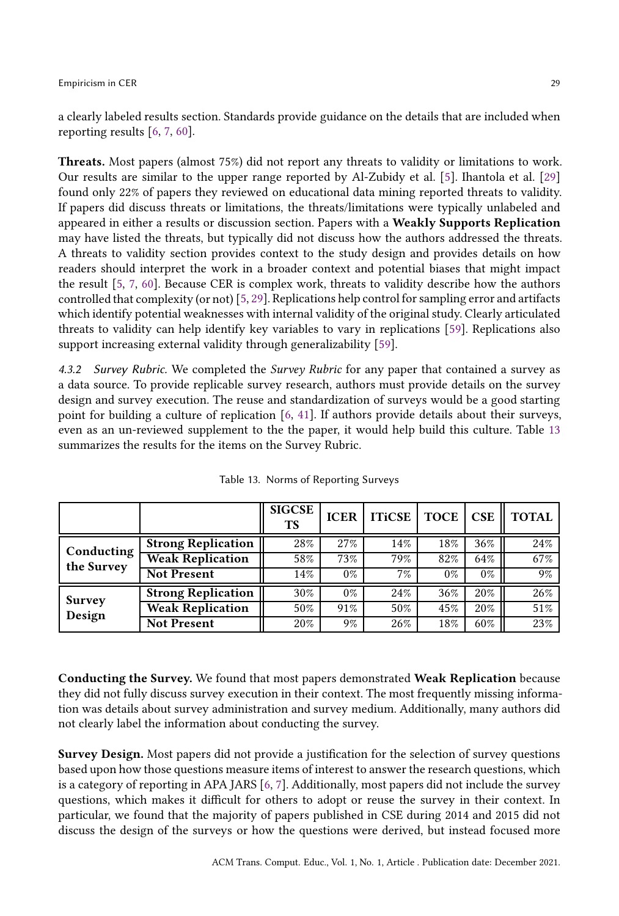a clearly labeled results section. Standards provide guidance on the details that are included when reporting results [\[6](#page-34-6), [7,](#page-34-2) [60\]](#page-37-1).

Threats. Most papers (almost 75%) did not report any threats to validity or limitations to work. Our results are similar to the upper range reported by Al-Zubidy et al. [\[5\]](#page-34-5). Ihantola et al. [\[29\]](#page-35-8) found only 22% of papers they reviewed on educational data mining reported threats to validity. If papers did discuss threats or limitations, the threats/limitations were typically unlabeled and appeared in either a results or discussion section. Papers with a Weakly Supports Replication may have listed the threats, but typically did not discuss how the authors addressed the threats. A threats to validity section provides context to the study design and provides details on how readers should interpret the work in a broader context and potential biases that might impact the result [\[5](#page-34-5), [7,](#page-34-2) [60\]](#page-37-1). Because CER is complex work, threats to validity describe how the authors controlled that complexity (or not) [\[5,](#page-34-5) [29\]](#page-35-8). Replications help control for sampling error and artifacts which identify potential weaknesses with internal validity of the original study. Clearly articulated threats to validity can help identify key variables to vary in replications [\[59](#page-37-0)]. Replications also support increasing external validity through generalizability [\[59\]](#page-37-0).

<span id="page-28-0"></span>4.3.2 Survey Rubric. We completed the Survey Rubric for any paper that contained a survey as a data source. To provide replicable survey research, authors must provide details on the survey design and survey execution. The reuse and standardization of surveys would be a good starting point for building a culture of replication [\[6](#page-34-6), [41](#page-36-2)]. If authors provide details about their surveys, even as an un-reviewed supplement to the the paper, it would help build this culture. Table [13](#page-28-1) summarizes the results for the items on the Survey Rubric.

<span id="page-28-1"></span>

|                          |                           | <b>SIGCSE</b><br><b>TS</b> | <b>ICER</b> | <b>ITiCSE</b> | <b>TOCE</b> | <b>CSE</b> | <b>TOTAL</b> |
|--------------------------|---------------------------|----------------------------|-------------|---------------|-------------|------------|--------------|
| Conducting<br>the Survey | <b>Strong Replication</b> | 28%                        | 27%         | 14%           | 18%         | 36%        | 24%          |
|                          | <b>Weak Replication</b>   | 58%                        | 73%         | 79%           | 82%         | 64%        | 67%          |
|                          | <b>Not Present</b>        | 14%                        | $0\%$       | 7%            | $0\%$       | $0\%$      | 9%           |
| <b>Survey</b><br>Design  | <b>Strong Replication</b> | 30%                        | $0\%$       | 24%           | 36%         | 20%        | 26%          |
|                          | <b>Weak Replication</b>   | 50%                        | 91%         | 50%           | 45%         | 20%        | 51%          |
|                          | <b>Not Present</b>        | 20%                        | 9%          | 26%           | 18%         | 60%        | 23%          |

Table 13. Norms of Reporting Surveys

Conducting the Survey. We found that most papers demonstrated Weak Replication because they did not fully discuss survey execution in their context. The most frequently missing information was details about survey administration and survey medium. Additionally, many authors did not clearly label the information about conducting the survey.

Survey Design. Most papers did not provide a justification for the selection of survey questions based upon how those questions measure items of interest to answer the research questions, which is a category of reporting in APA JARS [\[6](#page-34-6), [7](#page-34-2)]. Additionally, most papers did not include the survey questions, which makes it difficult for others to adopt or reuse the survey in their context. In particular, we found that the majority of papers published in CSE during 2014 and 2015 did not discuss the design of the surveys or how the questions were derived, but instead focused more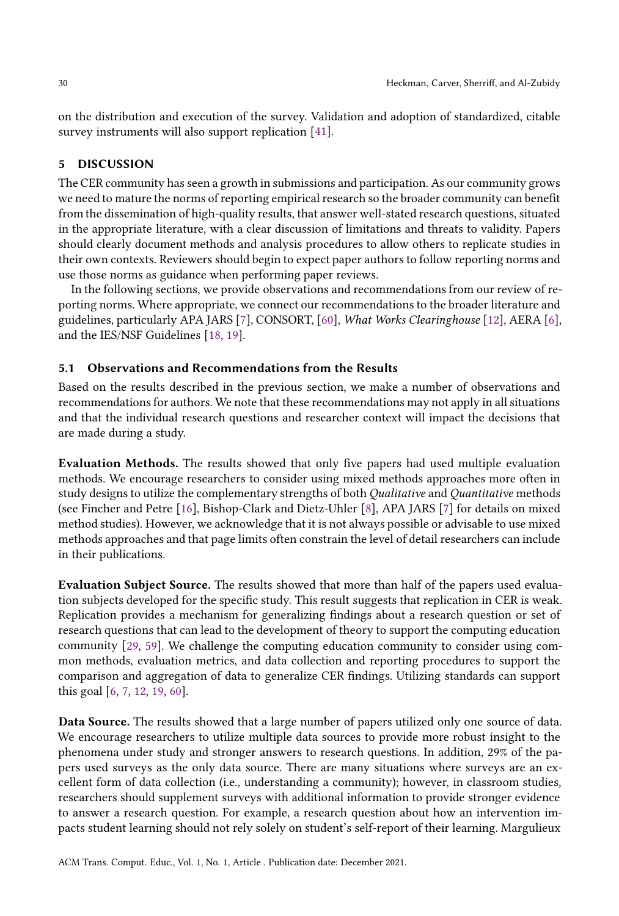on the distribution and execution of the survey. Validation and adoption of standardized, citable survey instruments will also support replication [\[41\]](#page-36-2).

### 5 DISCUSSION

The CER community has seen a growth in submissions and participation. As our community grows we need to mature the norms of reporting empirical research so the broader community can benefit from the dissemination of high-quality results, that answer well-stated research questions, situated in the appropriate literature, with a clear discussion of limitations and threats to validity. Papers should clearly document methods and analysis procedures to allow others to replicate studies in their own contexts. Reviewers should begin to expect paper authors to follow reporting norms and use those norms as guidance when performing paper reviews.

In the following sections, we provide observations and recommendations from our review of reporting norms. Where appropriate, we connect our recommendationsto the broader literature and guidelines, particularly APA JARS [\[7](#page-34-2)], CONSORT, [\[60\]](#page-37-1), What Works Clearinghouse [\[12](#page-35-3)], AERA [\[6\]](#page-34-6), and the IES/NSF Guidelines [\[18](#page-35-18), [19](#page-35-5)].

### 5.1 Observations and Recommendations from the Results

Based on the results described in the previous section, we make a number of observations and recommendations for authors. We note that these recommendations may not apply in all situations and that the individual research questions and researcher context will impact the decisions that are made during a study.

Evaluation Methods. The results showed that only five papers had used multiple evaluation methods. We encourage researchers to consider using mixed methods approaches more often in study designs to utilize the complementary strengths of both Qualitative and Quantitative methods (see Fincher and Petre [\[16](#page-35-4)], Bishop-Clark and Dietz-Uhler [\[8\]](#page-34-1), APA JARS [\[7\]](#page-34-2) for details on mixed method studies). However, we acknowledge that it is not always possible or advisable to use mixed methods approaches and that page limits often constrain the level of detail researchers can include in their publications.

Evaluation Subject Source. The results showed that more than half of the papers used evaluation subjects developed for the specific study. This result suggests that replication in CER is weak. Replication provides a mechanism for generalizing findings about a research question or set of research questions that can lead to the development of theory to support the computing education community [\[29,](#page-35-8) [59](#page-37-0)]. We challenge the computing education community to consider using common methods, evaluation metrics, and data collection and reporting procedures to support the comparison and aggregation of data to generalize CER findings. Utilizing standards can support this goal [\[6](#page-34-6), [7,](#page-34-2) [12,](#page-35-3) [19,](#page-35-5) [60\]](#page-37-1).

Data Source. The results showed that a large number of papers utilized only one source of data. We encourage researchers to utilize multiple data sources to provide more robust insight to the phenomena under study and stronger answers to research questions. In addition, 29% of the papers used surveys as the only data source. There are many situations where surveys are an excellent form of data collection (i.e., understanding a community); however, in classroom studies, researchers should supplement surveys with additional information to provide stronger evidence to answer a research question. For example, a research question about how an intervention impacts student learning should not rely solely on student's self-report of their learning. Margulieux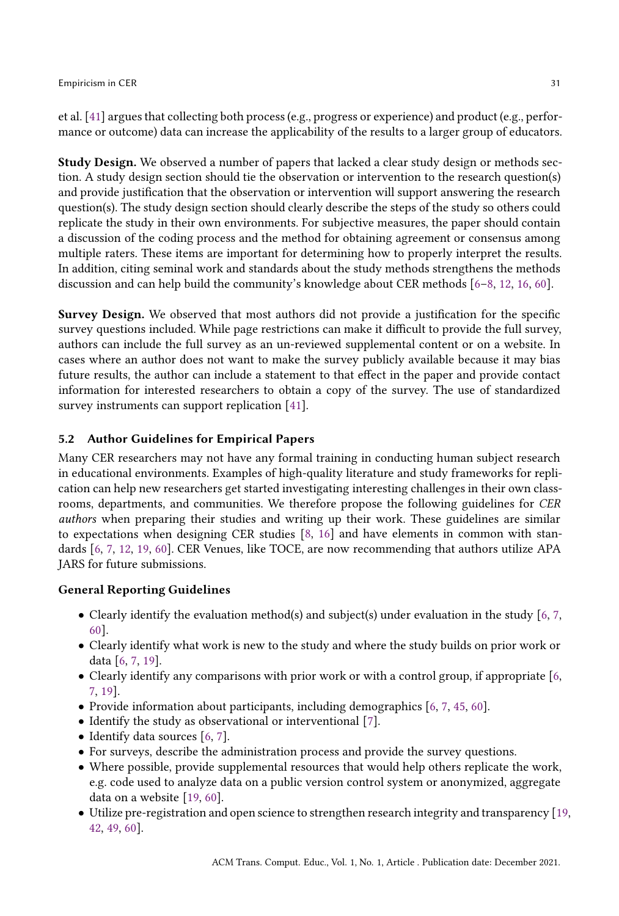et al. [\[41](#page-36-2)] argues that collecting both process (e.g., progress or experience) and product (e.g., performance or outcome) data can increase the applicability of the results to a larger group of educators.

Study Design. We observed a number of papers that lacked a clear study design or methods section. A study design section should tie the observation or intervention to the research question(s) and provide justification that the observation or intervention will support answering the research question(s). The study design section should clearly describe the steps of the study so others could replicate the study in their own environments. For subjective measures, the paper should contain a discussion of the coding process and the method for obtaining agreement or consensus among multiple raters. These items are important for determining how to properly interpret the results. In addition, citing seminal work and standards about the study methods strengthens the methods discussion and can help build the community's knowledge about CER methods [\[6](#page-34-6)[–8](#page-34-1), [12](#page-35-3), [16](#page-35-4), [60](#page-37-1)].

Survey Design. We observed that most authors did not provide a justification for the specific survey questions included. While page restrictions can make it difficult to provide the full survey, authors can include the full survey as an un-reviewed supplemental content or on a website. In cases where an author does not want to make the survey publicly available because it may bias future results, the author can include a statement to that effect in the paper and provide contact information for interested researchers to obtain a copy of the survey. The use of standardized survey instruments can support replication [\[41\]](#page-36-2).

## 5.2 Author Guidelines for Empirical Papers

Many CER researchers may not have any formal training in conducting human subject research in educational environments. Examples of high-quality literature and study frameworks for replication can help new researchers get started investigating interesting challenges in their own classrooms, departments, and communities. We therefore propose the following guidelines for CER authors when preparing their studies and writing up their work. These guidelines are similar to expectations when designing CER studies [\[8](#page-34-1), [16](#page-35-4)] and have elements in common with standards [\[6,](#page-34-6) [7](#page-34-2), [12,](#page-35-3) [19,](#page-35-5) [60](#page-37-1)]. CER Venues, like TOCE, are now recommending that authors utilize APA JARS for future submissions.

## General Reporting Guidelines

- Clearly identify the evaluation method(s) and subject(s) under evaluation in the study [\[6,](#page-34-6) [7](#page-34-2), [60\]](#page-37-1).
- Clearly identify what work is new to the study and where the study builds on prior work or data [\[6](#page-34-6), [7,](#page-34-2) [19\]](#page-35-5).
- Clearly identify any comparisons with prior work or with a control group, if appropriate [\[6](#page-34-6), [7,](#page-34-2) [19\]](#page-35-5).
- Provide information about participants, including demographics [\[6](#page-34-6), [7](#page-34-2), [45,](#page-36-4) [60](#page-37-1)].
- Identify the study as observational or interventional [\[7](#page-34-2)].
- Identify data sources [\[6,](#page-34-6) [7\]](#page-34-2).
- For surveys, describe the administration process and provide the survey questions.
- Where possible, provide supplemental resources that would help others replicate the work, e.g. code used to analyze data on a public version control system or anonymized, aggregate data on a website [\[19](#page-35-5), [60](#page-37-1)].
- Utilize pre-registration and open science to strengthen research integrity and transparency [\[19](#page-35-5), [42](#page-36-3), [49](#page-36-16), [60](#page-37-1)].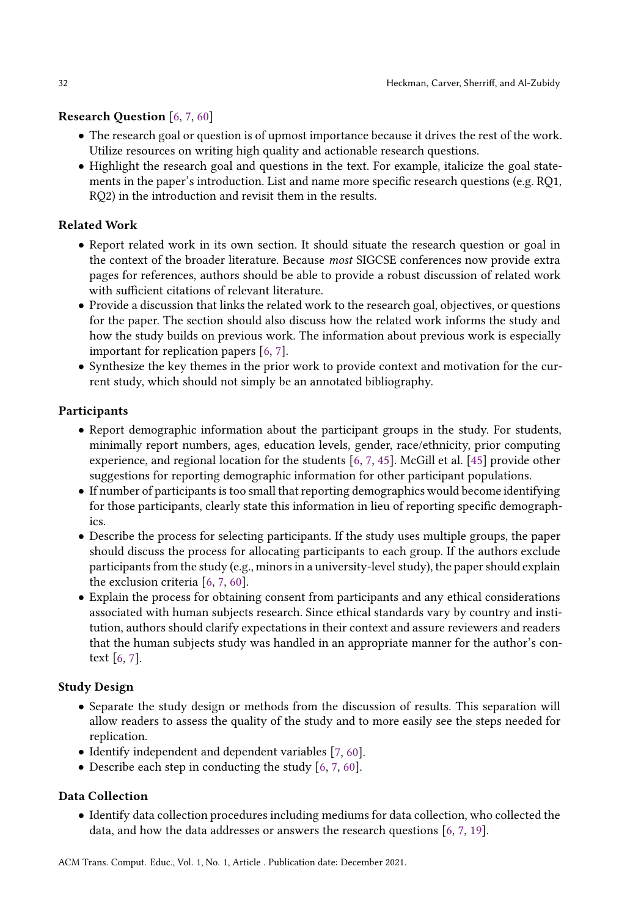# Research Question [\[6,](#page-34-6) [7](#page-34-2), [60](#page-37-1)]

- The research goal or question is of upmost importance because it drives the rest of the work. Utilize resources on writing high quality and actionable research questions.
- Highlight the research goal and questions in the text. For example, italicize the goal statements in the paper's introduction. List and name more specific research questions (e.g. RQ1, RQ2) in the introduction and revisit them in the results.

## Related Work

- Report related work in its own section. It should situate the research question or goal in the context of the broader literature. Because most SIGCSE conferences now provide extra pages for references, authors should be able to provide a robust discussion of related work with sufficient citations of relevant literature.
- Provide a discussion that links the related work to the research goal, objectives, or questions for the paper. The section should also discuss how the related work informs the study and how the study builds on previous work. The information about previous work is especially important for replication papers [\[6,](#page-34-6) [7\]](#page-34-2).
- Synthesize the key themes in the prior work to provide context and motivation for the current study, which should not simply be an annotated bibliography.

## Participants

- Report demographic information about the participant groups in the study. For students, minimally report numbers, ages, education levels, gender, race/ethnicity, prior computing experience, and regional location for the students [\[6,](#page-34-6) [7,](#page-34-2) [45](#page-36-4)]. McGill et al. [\[45](#page-36-4)] provide other suggestions for reporting demographic information for other participant populations.
- If number of participants is too small that reporting demographics would become identifying for those participants, clearly state this information in lieu of reporting specific demographics.
- Describe the process for selecting participants. If the study uses multiple groups, the paper should discuss the process for allocating participants to each group. If the authors exclude participants from the study (e.g., minors in a university-level study), the paper should explain the exclusion criteria [\[6,](#page-34-6) [7,](#page-34-2) [60\]](#page-37-1).
- Explain the process for obtaining consent from participants and any ethical considerations associated with human subjects research. Since ethical standards vary by country and institution, authors should clarify expectations in their context and assure reviewers and readers that the human subjects study was handled in an appropriate manner for the author's context [\[6,](#page-34-6) [7\]](#page-34-2).

## Study Design

- Separate the study design or methods from the discussion of results. This separation will allow readers to assess the quality of the study and to more easily see the steps needed for replication.
- Identify independent and dependent variables [\[7,](#page-34-2) [60\]](#page-37-1).
- Describe each step in conducting the study [\[6,](#page-34-6) [7,](#page-34-2) [60\]](#page-37-1).

## Data Collection

• Identify data collection procedures including mediums for data collection, who collected the data, and how the data addresses or answers the research questions [\[6](#page-34-6), [7](#page-34-2), [19](#page-35-5)].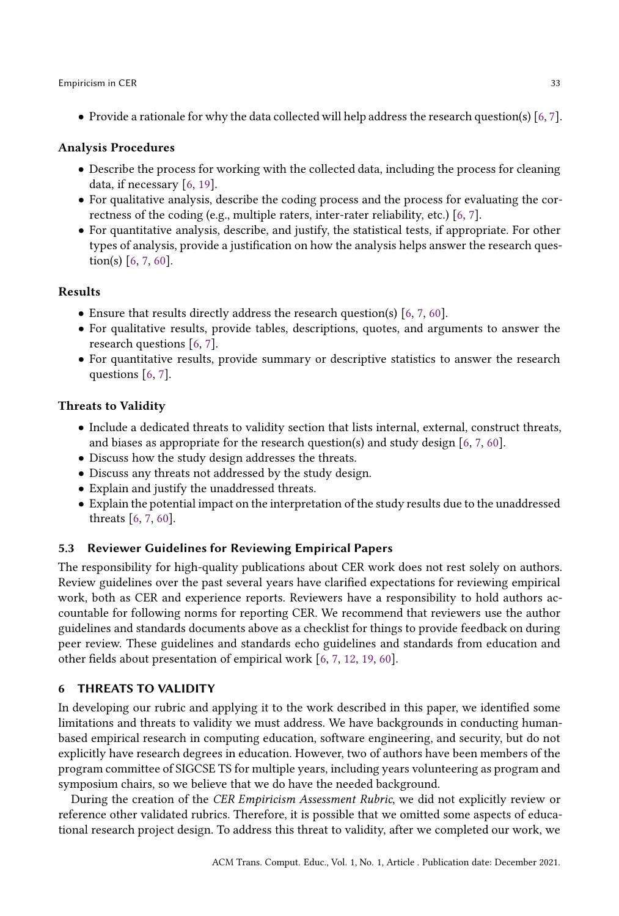• Provide a rationale for why the data collected will help address the research question(s) [\[6](#page-34-6), [7\]](#page-34-2).

## Analysis Procedures

- Describe the process for working with the collected data, including the process for cleaning data, if necessary [\[6](#page-34-6), [19](#page-35-5)].
- For qualitative analysis, describe the coding process and the process for evaluating the correctness of the coding (e.g., multiple raters, inter-rater reliability, etc.) [\[6,](#page-34-6) [7\]](#page-34-2).
- For quantitative analysis, describe, and justify, the statistical tests, if appropriate. For other types of analysis, provide a justification on how the analysis helps answer the research question(s) [\[6,](#page-34-6) [7](#page-34-2), [60](#page-37-1)].

### Results

- Ensure that results directly address the research question(s) [\[6](#page-34-6), [7](#page-34-2), [60](#page-37-1)].
- For qualitative results, provide tables, descriptions, quotes, and arguments to answer the research questions [\[6](#page-34-6), [7\]](#page-34-2).
- For quantitative results, provide summary or descriptive statistics to answer the research questions [\[6,](#page-34-6) [7](#page-34-2)].

### Threats to Validity

- Include a dedicated threats to validity section that lists internal, external, construct threats, and biases as appropriate for the research question(s) and study design [\[6,](#page-34-6) [7,](#page-34-2) [60\]](#page-37-1).
- Discuss how the study design addresses the threats.
- Discuss any threats not addressed by the study design.
- Explain and justify the unaddressed threats.
- Explain the potential impact on the interpretation of the study results due to the unaddressed threats [\[6](#page-34-6), [7](#page-34-2), [60](#page-37-1)].

### 5.3 Reviewer Guidelines for Reviewing Empirical Papers

The responsibility for high-quality publications about CER work does not rest solely on authors. Review guidelines over the past several years have clarified expectations for reviewing empirical work, both as CER and experience reports. Reviewers have a responsibility to hold authors accountable for following norms for reporting CER. We recommend that reviewers use the author guidelines and standards documents above as a checklist for things to provide feedback on during peer review. These guidelines and standards echo guidelines and standards from education and other fields about presentation of empirical work [\[6](#page-34-6), [7](#page-34-2), [12](#page-35-3), [19](#page-35-5), [60](#page-37-1)].

## 6 THREATS TO VALIDITY

In developing our rubric and applying it to the work described in this paper, we identified some limitations and threats to validity we must address. We have backgrounds in conducting humanbased empirical research in computing education, software engineering, and security, but do not explicitly have research degrees in education. However, two of authors have been members of the program committee of SIGCSE TS for multiple years, including years volunteering as program and symposium chairs, so we believe that we do have the needed background.

During the creation of the CER Empiricism Assessment Rubric, we did not explicitly review or reference other validated rubrics. Therefore, it is possible that we omitted some aspects of educational research project design. To address this threat to validity, after we completed our work, we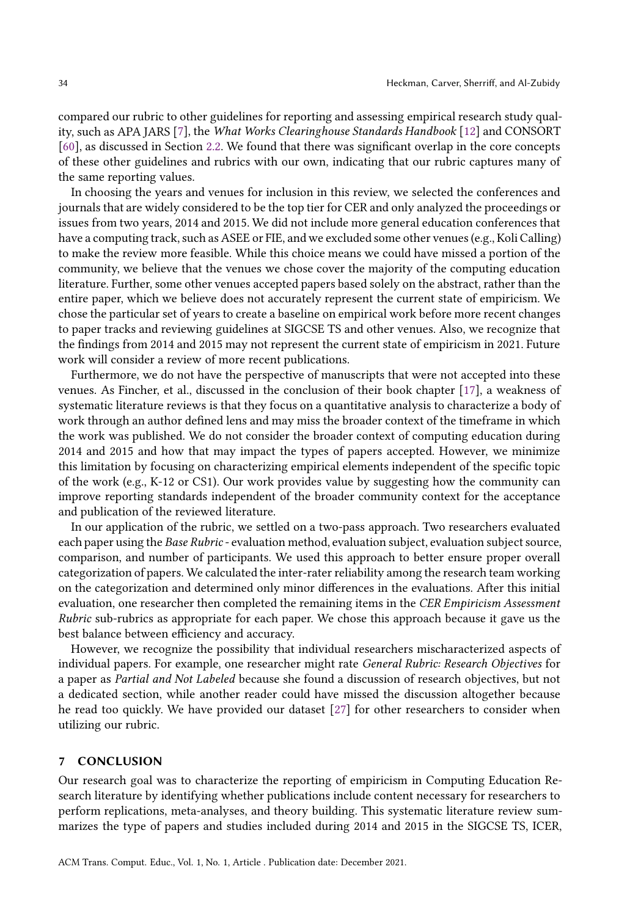compared our rubric to other guidelines for reporting and assessing empirical research study quality, such as APA JARS [\[7](#page-34-2)], the What Works Clearinghouse Standards Handbook [\[12\]](#page-35-3) and CONSORT [\[60\]](#page-37-1), as discussed in Section [2.2.](#page-11-0) We found that there was significant overlap in the core concepts of these other guidelines and rubrics with our own, indicating that our rubric captures many of the same reporting values.

In choosing the years and venues for inclusion in this review, we selected the conferences and journals that are widely considered to be the top tier for CER and only analyzed the proceedings or issues from two years, 2014 and 2015. We did not include more general education conferences that have a computing track, such as ASEE or FIE, and we excluded some other venues (e.g., Koli Calling) to make the review more feasible. While this choice means we could have missed a portion of the community, we believe that the venues we chose cover the majority of the computing education literature. Further, some other venues accepted papers based solely on the abstract, rather than the entire paper, which we believe does not accurately represent the current state of empiricism. We chose the particular set of years to create a baseline on empirical work before more recent changes to paper tracks and reviewing guidelines at SIGCSE TS and other venues. Also, we recognize that the findings from 2014 and 2015 may not represent the current state of empiricism in 2021. Future work will consider a review of more recent publications.

Furthermore, we do not have the perspective of manuscripts that were not accepted into these venues. As Fincher, et al., discussed in the conclusion of their book chapter [\[17](#page-35-23)], a weakness of systematic literature reviews is that they focus on a quantitative analysis to characterize a body of work through an author defined lens and may miss the broader context of the timeframe in which the work was published. We do not consider the broader context of computing education during 2014 and 2015 and how that may impact the types of papers accepted. However, we minimize this limitation by focusing on characterizing empirical elements independent of the specific topic of the work (e.g., K-12 or CS1). Our work provides value by suggesting how the community can improve reporting standards independent of the broader community context for the acceptance and publication of the reviewed literature.

In our application of the rubric, we settled on a two-pass approach. Two researchers evaluated each paper using the Base Rubric- evaluation method, evaluation subject, evaluation subject source, comparison, and number of participants. We used this approach to better ensure proper overall categorization of papers. We calculated the inter-rater reliability among the research team working on the categorization and determined only minor differences in the evaluations. After this initial evaluation, one researcher then completed the remaining items in the CER Empiricism Assessment Rubric sub-rubrics as appropriate for each paper. We chose this approach because it gave us the best balance between efficiency and accuracy.

However, we recognize the possibility that individual researchers mischaracterized aspects of individual papers. For example, one researcher might rate General Rubric: Research Objectives for a paper as Partial and Not Labeled because she found a discussion of research objectives, but not a dedicated section, while another reader could have missed the discussion altogether because he read too quickly. We have provided our dataset [\[27\]](#page-35-21) for other researchers to consider when utilizing our rubric.

### 7 CONCLUSION

Our research goal was to characterize the reporting of empiricism in Computing Education Research literature by identifying whether publications include content necessary for researchers to perform replications, meta-analyses, and theory building. This systematic literature review summarizes the type of papers and studies included during 2014 and 2015 in the SIGCSE TS, ICER,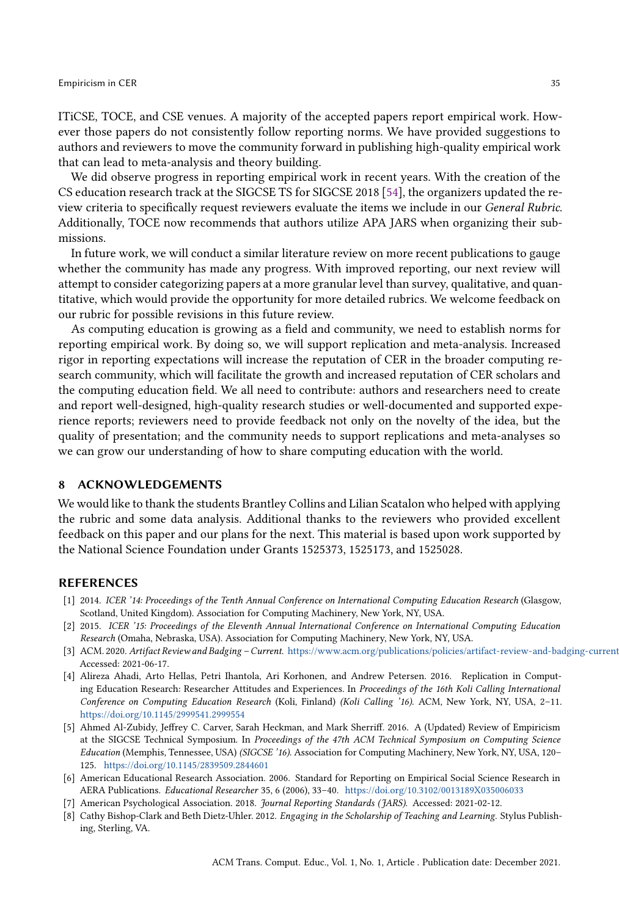### **Empiricism in CER** 35

ITiCSE, TOCE, and CSE venues. A majority of the accepted papers report empirical work. However those papers do not consistently follow reporting norms. We have provided suggestions to authors and reviewers to move the community forward in publishing high-quality empirical work that can lead to meta-analysis and theory building.

We did observe progress in reporting empirical work in recent years. With the creation of the CS education research track at the SIGCSE TS for SIGCSE 2018 [\[54\]](#page-37-19), the organizers updated the review criteria to specifically request reviewers evaluate the items we include in our General Rubric. Additionally, TOCE now recommends that authors utilize APA JARS when organizing their submissions.

In future work, we will conduct a similar literature review on more recent publications to gauge whether the community has made any progress. With improved reporting, our next review will attempt to consider categorizing papers at a more granular level than survey, qualitative, and quantitative, which would provide the opportunity for more detailed rubrics. We welcome feedback on our rubric for possible revisions in this future review.

As computing education is growing as a field and community, we need to establish norms for reporting empirical work. By doing so, we will support replication and meta-analysis. Increased rigor in reporting expectations will increase the reputation of CER in the broader computing research community, which will facilitate the growth and increased reputation of CER scholars and the computing education field. We all need to contribute: authors and researchers need to create and report well-designed, high-quality research studies or well-documented and supported experience reports; reviewers need to provide feedback not only on the novelty of the idea, but the quality of presentation; and the community needs to support replications and meta-analyses so we can grow our understanding of how to share computing education with the world.

### 8 ACKNOWLEDGEMENTS

We would like to thank the students Brantley Collins and Lilian Scatalon who helped with applying the rubric and some data analysis. Additional thanks to the reviewers who provided excellent feedback on this paper and our plans for the next. This material is based upon work supported by the National Science Foundation under Grants 1525373, 1525173, and 1525028.

### REFERENCES

- <span id="page-34-3"></span>[1] 2014. ICER '14: Proceedings of the Tenth Annual Conference on International Computing Education Research (Glasgow, Scotland, United Kingdom). Association for Computing Machinery, New York, NY, USA.
- <span id="page-34-4"></span>[2] 2015. ICER '15: Proceedings of the Eleventh Annual International Conference on International Computing Education Research (Omaha, Nebraska, USA). Association for Computing Machinery, New York, NY, USA.
- <span id="page-34-7"></span>[3] ACM. 2020. Artifact Review and Badging – Current. <https://www.acm.org/publications/policies/artifact-review-and-badging-current> Accessed: 2021-06-17.
- <span id="page-34-0"></span>[4] Alireza Ahadi, Arto Hellas, Petri Ihantola, Ari Korhonen, and Andrew Petersen. 2016. Replication in Computing Education Research: Researcher Attitudes and Experiences. In Proceedings of the 16th Koli Calling International Conference on Computing Education Research (Koli, Finland) (Koli Calling '16). ACM, New York, NY, USA, 2–11. <https://doi.org/10.1145/2999541.2999554>
- <span id="page-34-5"></span>[5] Ahmed Al-Zubidy, Jeffrey C. Carver, Sarah Heckman, and Mark Sherriff. 2016. A (Updated) Review of Empiricism at the SIGCSE Technical Symposium. In Proceedings of the 47th ACM Technical Symposium on Computing Science Education (Memphis, Tennessee, USA) (SIGCSE '16). Association for Computing Machinery, New York, NY, USA, 120– 125. <https://doi.org/10.1145/2839509.2844601>
- <span id="page-34-6"></span>[6] American Educational Research Association. 2006. Standard for Reporting on Empirical Social Science Research in AERA Publications. Educational Researcher 35, 6 (2006), 33–40. <https://doi.org/10.3102/0013189X035006033>
- <span id="page-34-2"></span>[7] American Psychological Association. 2018. Journal Reporting Standards (JARS). Accessed: 2021-02-12.
- <span id="page-34-1"></span>[8] Cathy Bishop-Clark and Beth Dietz-Uhler. 2012. Engaging in the Scholarship of Teaching and Learning. Stylus Publishing, Sterling, VA.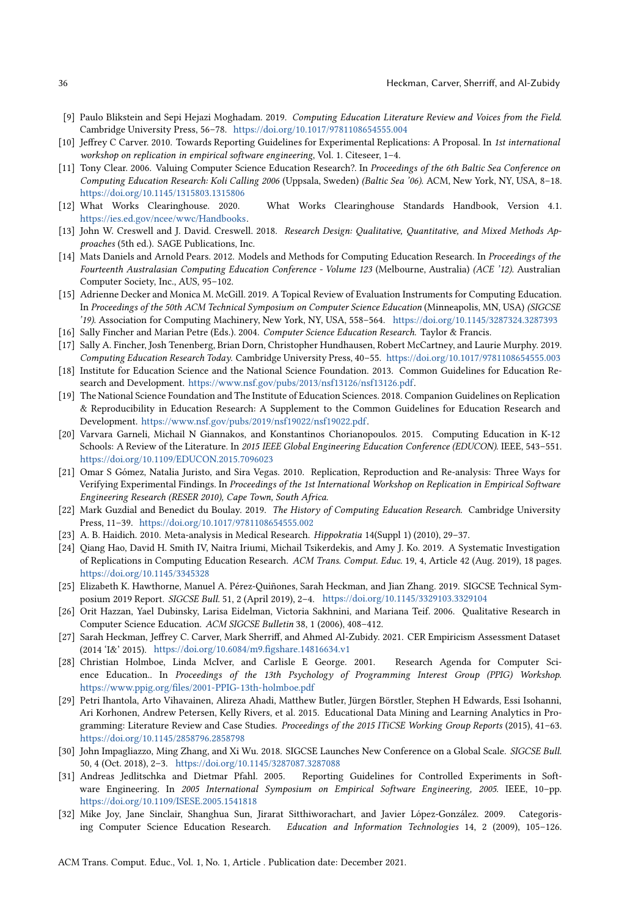- <span id="page-35-2"></span>[9] Paulo Blikstein and Sepi Hejazi Moghadam. 2019. Computing Education Literature Review and Voices from the Field. Cambridge University Press, 56–78. <https://doi.org/10.1017/9781108654555.004>
- <span id="page-35-17"></span>[10] Jeffrey C Carver. 2010. Towards Reporting Guidelines for Experimental Replications: A Proposal. In 1st international workshop on replication in empirical software engineering, Vol. 1. Citeseer, 1–4.
- <span id="page-35-9"></span>[11] Tony Clear. 2006. Valuing Computer Science Education Research?. In Proceedings of the 6th Baltic Sea Conference on Computing Education Research: Koli Calling 2006 (Uppsala, Sweden) (Baltic Sea '06). ACM, New York, NY, USA, 8–18. <https://doi.org/10.1145/1315803.1315806>
- <span id="page-35-3"></span>[12] What Works Clearinghouse. 2020. What Works Clearinghouse Standards Handbook, Version 4.1. [https://ies.ed.gov/ncee/wwc/Handbooks.](https://ies.ed.gov/ncee/wwc/Handbooks)
- <span id="page-35-19"></span>[13] John W. Creswell and J. David. Creswell. 2018. Research Design: Qualitative, Quantitative, and Mixed Methods Approaches (5th ed.). SAGE Publications, Inc.
- <span id="page-35-15"></span>[14] Mats Daniels and Arnold Pears. 2012. Models and Methods for Computing Education Research. In Proceedings of the Fourteenth Australasian Computing Education Conference - Volume 123 (Melbourne, Australia) (ACE '12). Australian Computer Society, Inc., AUS, 95–102.
- <span id="page-35-14"></span>[15] Adrienne Decker and Monica M. McGill. 2019. A Topical Review of Evaluation Instruments for Computing Education. In Proceedings of the 50th ACM Technical Symposium on Computer Science Education (Minneapolis, MN, USA) (SIGCSE '19). Association for Computing Machinery, New York, NY, USA, 558–564. <https://doi.org/10.1145/3287324.3287393> [16] Sally Fincher and Marian Petre (Eds.). 2004. Computer Science Education Research. Taylor & Francis.
- <span id="page-35-23"></span><span id="page-35-4"></span>[17] Sally A. Fincher, Josh Tenenberg, Brian Dorn, Christopher Hundhausen, Robert McCartney, and Laurie Murphy. 2019.
- <span id="page-35-18"></span>Computing Education Research Today. Cambridge University Press, 40–55. <https://doi.org/10.1017/9781108654555.003> [18] Institute for Education Science and the National Science Foundation. 2013. Common Guidelines for Education Research and Development. [https://www.nsf.gov/pubs/2013/nsf13126/nsf13126.pdf.](https://www.nsf.gov/pubs/2013/nsf13126/nsf13126.pdf)
- <span id="page-35-5"></span>[19] The National Science Foundation and The Institute of Education Sciences. 2018. Companion Guidelines on Replication & Reproducibility in Education Research: A Supplement to the Common Guidelines for Education Research and Development. [https://www.nsf.gov/pubs/2019/nsf19022/nsf19022.pdf.](https://www.nsf.gov/pubs/2019/nsf19022/nsf19022.pdf)
- <span id="page-35-12"></span>[20] Varvara Garneli, Michail N Giannakos, and Konstantinos Chorianopoulos. 2015. Computing Education in K-12 Schools: A Review of the Literature. In 2015 IEEE Global Engineering Education Conference (EDUCON). IEEE, 543-551. <https://doi.org/10.1109/EDUCON.2015.7096023>
- <span id="page-35-6"></span>[21] Omar S Gómez, Natalia Juristo, and Sira Vegas. 2010. Replication, Reproduction and Re-analysis: Three Ways for Verifying Experimental Findings. In Proceedings of the 1st International Workshop on Replication in Empirical Software Engineering Research (RESER 2010), Cape Town, South Africa.
- <span id="page-35-10"></span>[22] Mark Guzdial and Benedict du Boulay. 2019. The History of Computing Education Research. Cambridge University Press, 11–39. <https://doi.org/10.1017/9781108654555.002>
- <span id="page-35-20"></span>[23] A. B. Haidich. 2010. Meta-analysis in Medical Research. Hippokratia 14(Suppl 1) (2010), 29–37.
- <span id="page-35-7"></span>[24] Qiang Hao, David H. Smith IV, Naitra Iriumi, Michail Tsikerdekis, and Amy J. Ko. 2019. A Systematic Investigation of Replications in Computing Education Research. ACM Trans. Comput. Educ. 19, 4, Article 42 (Aug. 2019), 18 pages. <https://doi.org/10.1145/3345328>
- <span id="page-35-0"></span>[25] Elizabeth K. Hawthorne, Manuel A. Pérez-Quiñones, Sarah Heckman, and Jian Zhang. 2019. SIGCSE Technical Symposium 2019 Report. SIGCSE Bull. 51, 2 (April 2019), 2–4. <https://doi.org/10.1145/3329103.3329104>
- <span id="page-35-22"></span>[26] Orit Hazzan, Yael Dubinsky, Larisa Eidelman, Victoria Sakhnini, and Mariana Teif. 2006. Qualitative Research in Computer Science Education. ACM SIGCSE Bulletin 38, 1 (2006), 408–412.
- <span id="page-35-21"></span>[27] Sarah Heckman, Jeffrey C. Carver, Mark Sherriff, and Ahmed Al-Zubidy. 2021. CER Empiricism Assessment Dataset (2014 'I&' 2015). <https://doi.org/10.6084/m9.figshare.14816634.v1>
- <span id="page-35-11"></span>[28] Christian Holmboe, Linda McIver, and Carlisle E George. 2001. Research Agenda for Computer Science Education.. In Proceedings of the 13th Psychology of Programming Interest Group (PPIG) Workshop. <https://www.ppig.org/files/2001-PPIG-13th-holmboe.pdf>
- <span id="page-35-8"></span>[29] Petri Ihantola, Arto Vihavainen, Alireza Ahadi, Matthew Butler, Jürgen Börstler, Stephen H Edwards, Essi Isohanni, Ari Korhonen, Andrew Petersen, Kelly Rivers, et al. 2015. Educational Data Mining and Learning Analytics in Programming: Literature Review and Case Studies. Proceedings of the 2015 ITiCSE Working Group Reports (2015), 41–63. <https://doi.org/10.1145/2858796.2858798>
- <span id="page-35-1"></span>[30] John Impagliazzo, Ming Zhang, and Xi Wu. 2018. SIGCSE Launches New Conference on a Global Scale. SIGCSE Bull. 50, 4 (Oct. 2018), 2–3. <https://doi.org/10.1145/3287087.3287088>
- <span id="page-35-16"></span>[31] Andreas Jedlitschka and Dietmar Pfahl. 2005. Reporting Guidelines for Controlled Experiments in Software Engineering. In 2005 International Symposium on Empirical Software Engineering, 2005. IEEE, 10–pp. <https://doi.org/10.1109/ISESE.2005.1541818>
- <span id="page-35-13"></span>[32] Mike Joy, Jane Sinclair, Shanghua Sun, Jirarat Sitthiworachart, and Javier López-González. 2009. Categorising Computer Science Education Research. Education and Information Technologies 14, 2 (2009), 105–126.

ACM Trans. Comput. Educ., Vol. 1, No. 1, Article . Publication date: December 2021.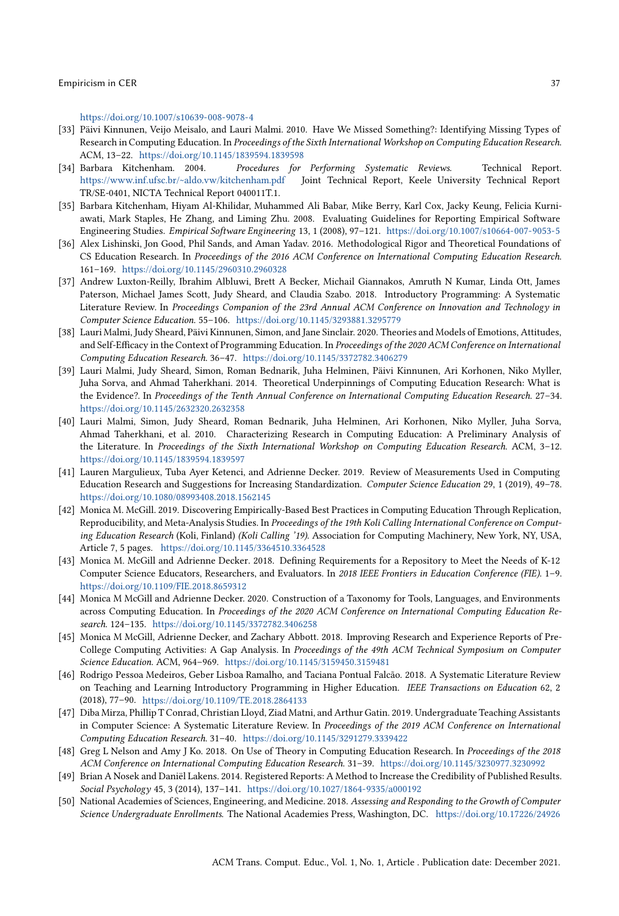<https://doi.org/10.1007/s10639-008-9078-4>

- <span id="page-36-1"></span>[33] Päivi Kinnunen, Veijo Meisalo, and Lauri Malmi. 2010. Have We Missed Something?: Identifying Missing Types of Research in Computing Education. In Proceedings of the Sixth International Workshop on Computing Education Research. ACM, 13–22. <https://doi.org/10.1145/1839594.1839598>
- <span id="page-36-17"></span>[34] Barbara Kitchenham. 2004. Procedures for Performing Systematic Reviews. Technical Report. <https://www.inf.ufsc.br/~aldo.vw/kitchenham.pdf> Joint Technical Report, Keele University Technical Report TR/SE-0401, NICTA Technical Report 040011T.1.
- <span id="page-36-15"></span>[35] Barbara Kitchenham, Hiyam Al-Khilidar, Muhammed Ali Babar, Mike Berry, Karl Cox, Jacky Keung, Felicia Kurniawati, Mark Staples, He Zhang, and Liming Zhu. 2008. Evaluating Guidelines for Reporting Empirical Software Engineering Studies. Empirical Software Engineering 13, 1 (2008), 97–121. <https://doi.org/10.1007/s10664-007-9053-5>
- <span id="page-36-10"></span>[36] Alex Lishinski, Jon Good, Phil Sands, and Aman Yadav. 2016. Methodological Rigor and Theoretical Foundations of CS Education Research. In Proceedings of the 2016 ACM Conference on International Computing Education Research. 161–169. <https://doi.org/10.1145/2960310.2960328>
- <span id="page-36-11"></span>[37] Andrew Luxton-Reilly, Ibrahim Albluwi, Brett A Becker, Michail Giannakos, Amruth N Kumar, Linda Ott, James Paterson, Michael James Scott, Judy Sheard, and Claudia Szabo. 2018. Introductory Programming: A Systematic Literature Review. In Proceedings Companion of the 23rd Annual ACM Conference on Innovation and Technology in Computer Science Education. 55–106. <https://doi.org/10.1145/3293881.3295779>
- <span id="page-36-12"></span>[38] Lauri Malmi, Judy Sheard, Päivi Kinnunen, Simon, and Jane Sinclair. 2020. Theories and Models of Emotions, Attitudes, and Self-Efficacy in the Context of Programming Education. In Proceedings of the 2020 ACM Conference on International Computing Education Research. 36–47. <https://doi.org/10.1145/3372782.3406279>
- <span id="page-36-9"></span>[39] Lauri Malmi, Judy Sheard, Simon, Roman Bednarik, Juha Helminen, Päivi Kinnunen, Ari Korhonen, Niko Myller, Juha Sorva, and Ahmad Taherkhani. 2014. Theoretical Underpinnings of Computing Education Research: What is the Evidence?. In Proceedings of the Tenth Annual Conference on International Computing Education Research. 27–34. <https://doi.org/10.1145/2632320.2632358>
- <span id="page-36-8"></span>[40] Lauri Malmi, Simon, Judy Sheard, Roman Bednarik, Juha Helminen, Ari Korhonen, Niko Myller, Juha Sorva, Ahmad Taherkhani, et al. 2010. Characterizing Research in Computing Education: A Preliminary Analysis of the Literature. In Proceedings of the Sixth International Workshop on Computing Education Research. ACM, 3-12. <https://doi.org/10.1145/1839594.1839597>
- <span id="page-36-2"></span>[41] Lauren Margulieux, Tuba Ayer Ketenci, and Adrienne Decker. 2019. Review of Measurements Used in Computing Education Research and Suggestions for Increasing Standardization. Computer Science Education 29, 1 (2019), 49–78. <https://doi.org/10.1080/08993408.2018.1562145>
- <span id="page-36-3"></span>[42] Monica M. McGill. 2019. Discovering Empirically-Based Best Practices in Computing Education Through Replication, Reproducibility, and Meta-Analysis Studies. In Proceedings of the 19th Koli Calling International Conference on Computing Education Research (Koli, Finland) (Koli Calling '19). Association for Computing Machinery, New York, NY, USA, Article 7, 5 pages. <https://doi.org/10.1145/3364510.3364528>
- <span id="page-36-14"></span>[43] Monica M. McGill and Adrienne Decker. 2018. Defining Requirements for a Repository to Meet the Needs of K-12 Computer Science Educators, Researchers, and Evaluators. In 2018 IEEE Frontiers in Education Conference (FIE). 1–9. <https://doi.org/10.1109/FIE.2018.8659312>
- <span id="page-36-7"></span>[44] Monica M McGill and Adrienne Decker. 2020. Construction of a Taxonomy for Tools, Languages, and Environments across Computing Education. In Proceedings of the 2020 ACM Conference on International Computing Education Research. 124–135. <https://doi.org/10.1145/3372782.3406258>
- <span id="page-36-4"></span>[45] Monica M McGill, Adrienne Decker, and Zachary Abbott. 2018. Improving Research and Experience Reports of Pre-College Computing Activities: A Gap Analysis. In Proceedings of the 49th ACM Technical Symposium on Computer Science Education. ACM, 964–969. <https://doi.org/10.1145/3159450.3159481>
- <span id="page-36-5"></span>[46] Rodrigo Pessoa Medeiros, Geber Lisboa Ramalho, and Taciana Pontual Falcão. 2018. A Systematic Literature Review on Teaching and Learning Introductory Programming in Higher Education. IEEE Transactions on Education 62, 2 (2018), 77–90. <https://doi.org/10.1109/TE.2018.2864133>
- <span id="page-36-6"></span>[47] Diba Mirza, Phillip T Conrad, Christian Lloyd, Ziad Matni, and Arthur Gatin. 2019. Undergraduate Teaching Assistants in Computer Science: A Systematic Literature Review. In Proceedings of the 2019 ACM Conference on International Computing Education Research. 31–40. <https://doi.org/10.1145/3291279.3339422>
- <span id="page-36-13"></span>[48] Greg L Nelson and Amy J Ko. 2018. On Use of Theory in Computing Education Research. In Proceedings of the 2018 ACM Conference on International Computing Education Research. 31–39. <https://doi.org/10.1145/3230977.3230992>
- <span id="page-36-16"></span>[49] Brian A Nosek and Daniël Lakens. 2014. Registered Reports: A Method to Increase the Credibility of Published Results. Social Psychology 45, 3 (2014), 137–141. <https://doi.org/10.1027/1864-9335/a000192>
- <span id="page-36-0"></span>[50] National Academies of Sciences, Engineering, and Medicine. 2018. Assessing and Responding to the Growth of Computer Science Undergraduate Enrollments. The National Academies Press, Washington, DC. <https://doi.org/10.17226/24926>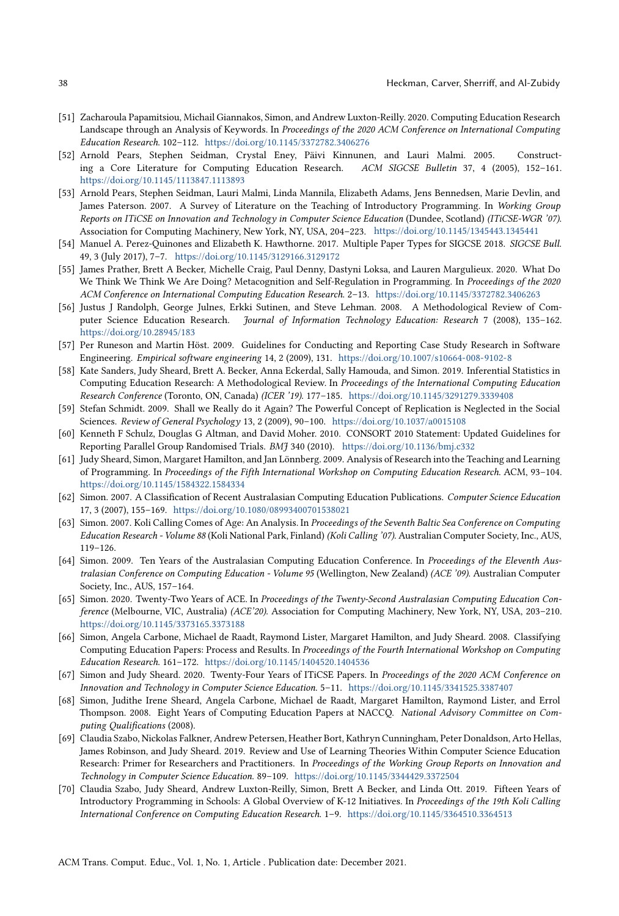- <span id="page-37-14"></span>[51] Zacharoula Papamitsiou, Michail Giannakos, Simon, and Andrew Luxton-Reilly. 2020. Computing Education Research Landscape through an Analysis of Keywords. In Proceedings of the 2020 ACM Conference on International Computing Education Research. 102–112. <https://doi.org/10.1145/3372782.3406276>
- <span id="page-37-16"></span>[52] Arnold Pears, Stephen Seidman, Crystal Eney, Päivi Kinnunen, and Lauri Malmi. 2005. Constructing a Core Literature for Computing Education Research. ACM SIGCSE Bulletin 37, 4 (2005), 152–161. <https://doi.org/10.1145/1113847.1113893>
- <span id="page-37-3"></span>[53] Arnold Pears, Stephen Seidman, Lauri Malmi, Linda Mannila, Elizabeth Adams, Jens Bennedsen, Marie Devlin, and James Paterson. 2007. A Survey of Literature on the Teaching of Introductory Programming. In Working Group Reports on ITiCSE on Innovation and Technology in Computer Science Education (Dundee, Scotland) (ITiCSE-WGR '07). Association for Computing Machinery, New York, NY, USA, 204–223. <https://doi.org/10.1145/1345443.1345441>
- <span id="page-37-19"></span>[54] Manuel A. Perez-Quinones and Elizabeth K. Hawthorne. 2017. Multiple Paper Types for SIGCSE 2018. SIGCSE Bull. 49, 3 (July 2017), 7–7. <https://doi.org/10.1145/3129166.3129172>
- <span id="page-37-4"></span>[55] James Prather, Brett A Becker, Michelle Craig, Paul Denny, Dastyni Loksa, and Lauren Margulieux. 2020. What Do We Think We Think We Are Doing? Metacognition and Self-Regulation in Programming. In Proceedings of the 2020 ACM Conference on International Computing Education Research. 2–13. <https://doi.org/10.1145/3372782.3406263>
- <span id="page-37-7"></span>[56] Justus J Randolph, George Julnes, Erkki Sutinen, and Steve Lehman. 2008. A Methodological Review of Computer Science Education Research. Journal of Information Technology Education: Research 7 (2008), 135–162. <https://doi.org/10.28945/183>
- <span id="page-37-18"></span>[57] Per Runeson and Martin Höst. 2009. Guidelines for Conducting and Reporting Case Study Research in Software Engineering. Empirical software engineering 14, 2 (2009), 131. <https://doi.org/10.1007/s10664-008-9102-8>
- <span id="page-37-12"></span>[58] Kate Sanders, Judy Sheard, Brett A. Becker, Anna Eckerdal, Sally Hamouda, and Simon. 2019. Inferential Statistics in Computing Education Research: A Methodological Review. In Proceedings of the International Computing Education Research Conference (Toronto, ON, Canada) (ICER '19). 177–185. <https://doi.org/10.1145/3291279.3339408>
- <span id="page-37-0"></span>[59] Stefan Schmidt. 2009. Shall we Really do it Again? The Powerful Concept of Replication is Neglected in the Social Sciences. Review of General Psychology 13, 2 (2009), 90–100. <https://doi.org/10.1037/a0015108>
- <span id="page-37-1"></span>[60] Kenneth F Schulz, Douglas G Altman, and David Moher. 2010. CONSORT 2010 Statement: Updated Guidelines for Reporting Parallel Group Randomised Trials. BMJ 340 (2010). <https://doi.org/10.1136/bmj.c332>
- <span id="page-37-11"></span>[61] Judy Sheard, Simon, Margaret Hamilton, and Jan Lönnberg. 2009. Analysis of Research into the Teaching and Learning of Programming. In Proceedings of the Fifth International Workshop on Computing Education Research. ACM, 93–104. <https://doi.org/10.1145/1584322.1584334>
- <span id="page-37-17"></span>[62] Simon. 2007. A Classification of Recent Australasian Computing Education Publications. Computer Science Education 17, 3 (2007), 155–169. <https://doi.org/10.1080/08993400701538021>
- <span id="page-37-6"></span>[63] Simon. 2007. Koli Calling Comes of Age: An Analysis. In Proceedings of the Seventh Baltic Sea Conference on Computing Education Research - Volume 88 (Koli National Park, Finland) (Koli Calling '07). Australian Computer Society, Inc., AUS, 119–126.
- <span id="page-37-10"></span>[64] Simon. 2009. Ten Years of the Australasian Computing Education Conference. In Proceedings of the Eleventh Australasian Conference on Computing Education - Volume 95 (Wellington, New Zealand) (ACE '09). Australian Computer Society, Inc., AUS, 157–164.
- <span id="page-37-13"></span>[65] Simon. 2020. Twenty-Two Years of ACE. In Proceedings of the Twenty-Second Australasian Computing Education Conference (Melbourne, VIC, Australia) (ACE'20). Association for Computing Machinery, New York, NY, USA, 203–210. <https://doi.org/10.1145/3373165.3373188>
- <span id="page-37-8"></span>[66] Simon, Angela Carbone, Michael de Raadt, Raymond Lister, Margaret Hamilton, and Judy Sheard. 2008. Classifying Computing Education Papers: Process and Results. In Proceedings of the Fourth International Workshop on Computing Education Research. 161–172. <https://doi.org/10.1145/1404520.1404536>
- <span id="page-37-15"></span>[67] Simon and Judy Sheard. 2020. Twenty-Four Years of ITiCSE Papers. In Proceedings of the 2020 ACM Conference on Innovation and Technology in Computer Science Education. 5–11. <https://doi.org/10.1145/3341525.3387407>
- <span id="page-37-9"></span>[68] Simon, Judithe Irene Sheard, Angela Carbone, Michael de Raadt, Margaret Hamilton, Raymond Lister, and Errol Thompson. 2008. Eight Years of Computing Education Papers at NACCQ. National Advisory Committee on Computing Qualifications (2008).
- <span id="page-37-5"></span>[69] Claudia Szabo, Nickolas Falkner, Andrew Petersen, Heather Bort, Kathryn Cunningham, Peter Donaldson, Arto Hellas, James Robinson, and Judy Sheard. 2019. Review and Use of Learning Theories Within Computer Science Education Research: Primer for Researchers and Practitioners. In Proceedings of the Working Group Reports on Innovation and Technology in Computer Science Education. 89–109. <https://doi.org/10.1145/3344429.3372504>
- <span id="page-37-2"></span>[70] Claudia Szabo, Judy Sheard, Andrew Luxton-Reilly, Simon, Brett A Becker, and Linda Ott. 2019. Fifteen Years of Introductory Programming in Schools: A Global Overview of K-12 Initiatives. In Proceedings of the 19th Koli Calling International Conference on Computing Education Research. 1–9. <https://doi.org/10.1145/3364510.3364513>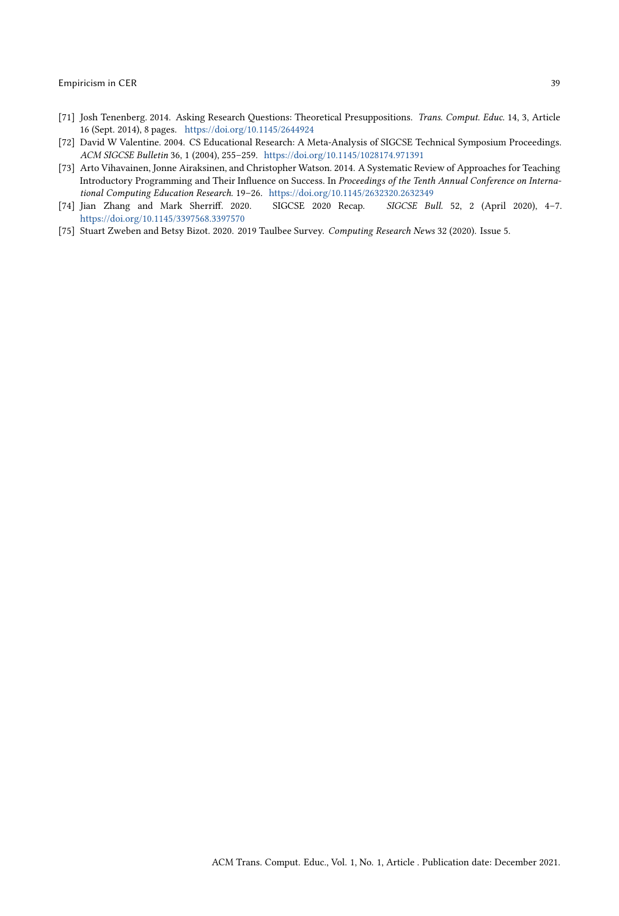- <span id="page-38-4"></span>[71] Josh Tenenberg. 2014. Asking Research Questions: Theoretical Presuppositions. Trans. Comput. Educ. 14, 3, Article 16 (Sept. 2014), 8 pages. <https://doi.org/10.1145/2644924>
- <span id="page-38-3"></span>[72] David W Valentine. 2004. CS Educational Research: A Meta-Analysis of SIGCSE Technical Symposium Proceedings. ACM SIGCSE Bulletin 36, 1 (2004), 255–259. <https://doi.org/10.1145/1028174.971391>
- <span id="page-38-2"></span>[73] Arto Vihavainen, Jonne Airaksinen, and Christopher Watson. 2014. A Systematic Review of Approaches for Teaching Introductory Programming and Their Influence on Success. In Proceedings of the Tenth Annual Conference on International Computing Education Research. 19–26. <https://doi.org/10.1145/2632320.2632349>
- <span id="page-38-1"></span>[74] Jian Zhang and Mark Sherriff. 2020. SIGCSE 2020 Recap. SIGCSE Bull. 52, 2 (April 2020), 4–7. <https://doi.org/10.1145/3397568.3397570>
- <span id="page-38-0"></span>[75] Stuart Zweben and Betsy Bizot. 2020. 2019 Taulbee Survey. Computing Research News 32 (2020). Issue 5.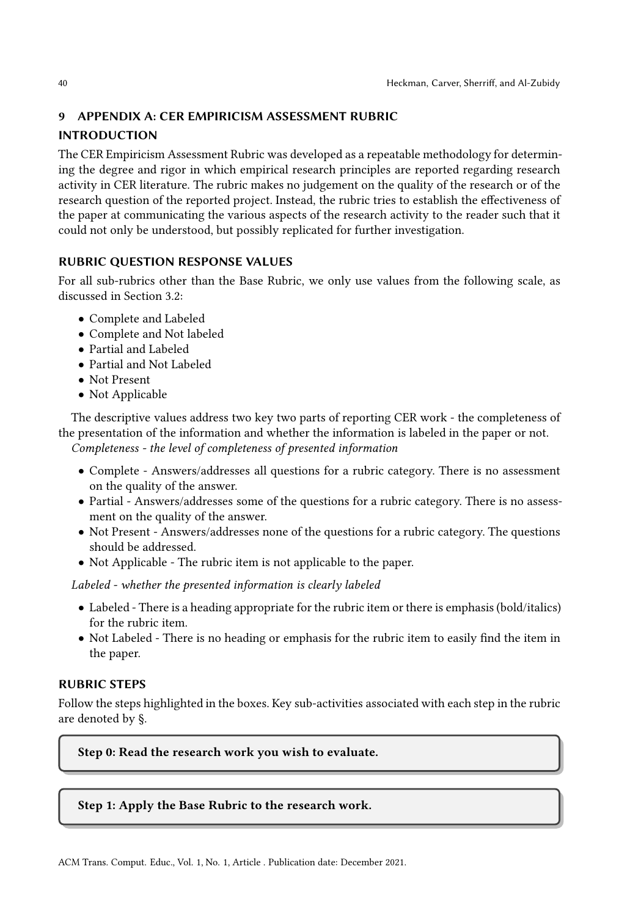# 9 APPENDIX A: CER EMPIRICISM ASSESSMENT RUBRIC

# INTRODUCTION

The CER Empiricism Assessment Rubric was developed as a repeatable methodology for determining the degree and rigor in which empirical research principles are reported regarding research activity in CER literature. The rubric makes no judgement on the quality of the research or of the research question of the reported project. Instead, the rubric tries to establish the effectiveness of the paper at communicating the various aspects of the research activity to the reader such that it could not only be understood, but possibly replicated for further investigation.

# RUBRIC QUESTION RESPONSE VALUES

For all sub-rubrics other than the Base Rubric, we only use values from the following scale, as discussed in Section 3.2:

- Complete and Labeled
- Complete and Not labeled
- Partial and Labeled
- Partial and Not Labeled
- Not Present
- Not Applicable

The descriptive values address two key two parts of reporting CER work - the completeness of the presentation of the information and whether the information is labeled in the paper or not. Completeness - the level of completeness of presented information

- Complete Answers/addresses all questions for a rubric category. There is no assessment on the quality of the answer.
- Partial Answers/addresses some of the questions for a rubric category. There is no assessment on the quality of the answer.
- Not Present Answers/addresses none of the questions for a rubric category. The questions should be addressed.
- Not Applicable The rubric item is not applicable to the paper.

Labeled - whether the presented information is clearly labeled

- Labeled There is a heading appropriate for the rubric item or there is emphasis (bold/italics) for the rubric item.
- Not Labeled There is no heading or emphasis for the rubric item to easily find the item in the paper.

# RUBRIC STEPS

Follow the steps highlighted in the boxes. Key sub-activities associated with each step in the rubric are denoted by §.

Step 0: Read the research work you wish to evaluate.

## Step 1: Apply the Base Rubric to the research work.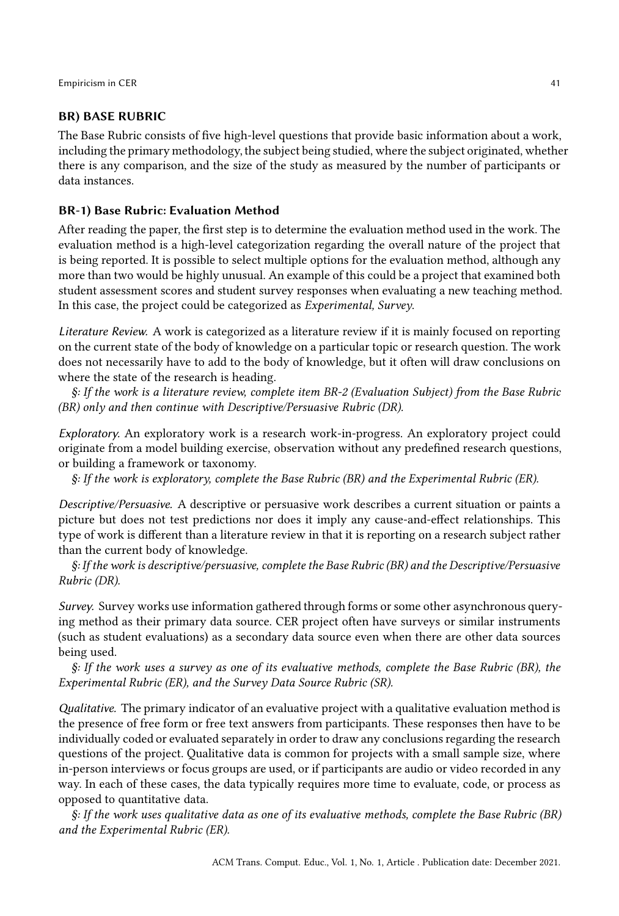### BR) BASE RUBRIC

The Base Rubric consists of five high-level questions that provide basic information about a work, including the primary methodology, the subject being studied, where the subject originated, whether there is any comparison, and the size of the study as measured by the number of participants or data instances.

### BR-1) Base Rubric: Evaluation Method

After reading the paper, the first step is to determine the evaluation method used in the work. The evaluation method is a high-level categorization regarding the overall nature of the project that is being reported. It is possible to select multiple options for the evaluation method, although any more than two would be highly unusual. An example of this could be a project that examined both student assessment scores and student survey responses when evaluating a new teaching method. In this case, the project could be categorized as Experimental, Survey.

Literature Review. A work is categorized as a literature review if it is mainly focused on reporting on the current state of the body of knowledge on a particular topic or research question. The work does not necessarily have to add to the body of knowledge, but it often will draw conclusions on where the state of the research is heading.

§: If the work is a literature review, complete item BR-2 (Evaluation Subject) from the Base Rubric (BR) only and then continue with Descriptive/Persuasive Rubric (DR).

Exploratory. An exploratory work is a research work-in-progress. An exploratory project could originate from a model building exercise, observation without any predefined research questions, or building a framework or taxonomy.

§: If the work is exploratory, complete the Base Rubric (BR) and the Experimental Rubric (ER).

Descriptive/Persuasive. A descriptive or persuasive work describes a current situation or paints a picture but does not test predictions nor does it imply any cause-and-effect relationships. This type of work is different than a literature review in that it is reporting on a research subject rather than the current body of knowledge.

§: If the work is descriptive/persuasive, complete the Base Rubric (BR) and the Descriptive/Persuasive Rubric (DR).

Survey. Survey works use information gathered through forms or some other asynchronous querying method as their primary data source. CER project often have surveys or similar instruments (such as student evaluations) as a secondary data source even when there are other data sources being used.

§: If the work uses a survey as one of its evaluative methods, complete the Base Rubric (BR), the Experimental Rubric (ER), and the Survey Data Source Rubric (SR).

Qualitative. The primary indicator of an evaluative project with a qualitative evaluation method is the presence of free form or free text answers from participants. These responses then have to be individually coded or evaluated separately in order to draw any conclusions regarding the research questions of the project. Qualitative data is common for projects with a small sample size, where in-person interviews or focus groups are used, or if participants are audio or video recorded in any way. In each of these cases, the data typically requires more time to evaluate, code, or process as opposed to quantitative data.

§: If the work uses qualitative data as one of its evaluative methods, complete the Base Rubric (BR) and the Experimental Rubric (ER).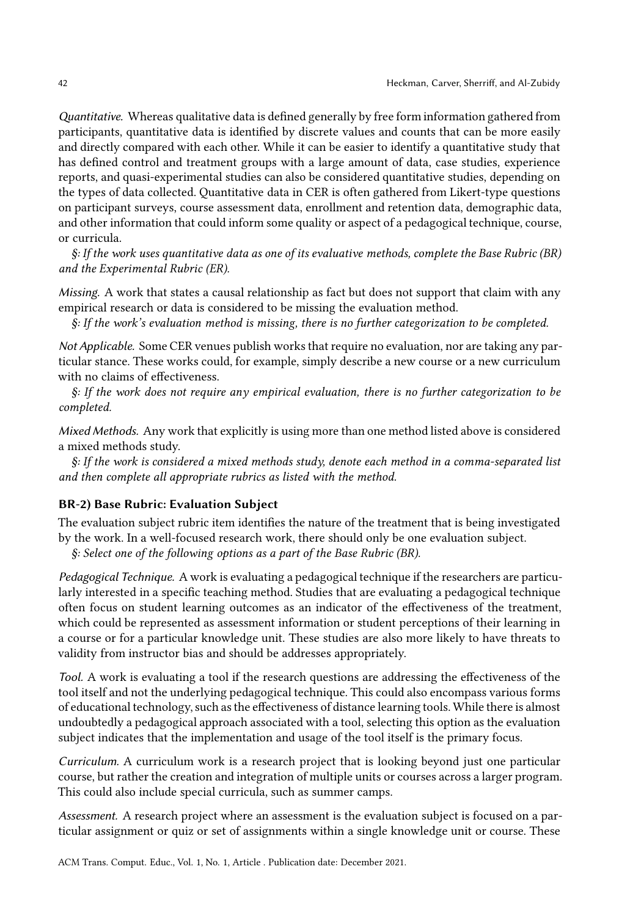Quantitative. Whereas qualitative data is defined generally by free form information gathered from participants, quantitative data is identified by discrete values and counts that can be more easily and directly compared with each other. While it can be easier to identify a quantitative study that has defined control and treatment groups with a large amount of data, case studies, experience reports, and quasi-experimental studies can also be considered quantitative studies, depending on the types of data collected. Quantitative data in CER is often gathered from Likert-type questions on participant surveys, course assessment data, enrollment and retention data, demographic data, and other information that could inform some quality or aspect of a pedagogical technique, course, or curricula.

§: If the work uses quantitative data as one of its evaluative methods, complete the Base Rubric (BR) and the Experimental Rubric (ER).

Missing. A work that states a causal relationship as fact but does not support that claim with any empirical research or data is considered to be missing the evaluation method.

§: If the work's evaluation method is missing, there is no further categorization to be completed.

Not Applicable. Some CER venues publish works that require no evaluation, nor are taking any particular stance. These works could, for example, simply describe a new course or a new curriculum with no claims of effectiveness.

§: If the work does not require any empirical evaluation, there is no further categorization to be completed.

Mixed Methods. Any work that explicitly is using more than one method listed above is considered a mixed methods study.

§: If the work is considered a mixed methods study, denote each method in a comma-separated list and then complete all appropriate rubrics as listed with the method.

### BR-2) Base Rubric: Evaluation Subject

The evaluation subject rubric item identifies the nature of the treatment that is being investigated by the work. In a well-focused research work, there should only be one evaluation subject.

§: Select one of the following options as a part of the Base Rubric (BR).

Pedagogical Technique. A work is evaluating a pedagogical technique if the researchers are particularly interested in a specific teaching method. Studies that are evaluating a pedagogical technique often focus on student learning outcomes as an indicator of the effectiveness of the treatment, which could be represented as assessment information or student perceptions of their learning in a course or for a particular knowledge unit. These studies are also more likely to have threats to validity from instructor bias and should be addresses appropriately.

Tool. A work is evaluating a tool if the research questions are addressing the effectiveness of the tool itself and not the underlying pedagogical technique. This could also encompass various forms of educational technology, such as the effectiveness of distance learning tools. While there is almost undoubtedly a pedagogical approach associated with a tool, selecting this option as the evaluation subject indicates that the implementation and usage of the tool itself is the primary focus.

Curriculum. A curriculum work is a research project that is looking beyond just one particular course, but rather the creation and integration of multiple units or courses across a larger program. This could also include special curricula, such as summer camps.

Assessment. A research project where an assessment is the evaluation subject is focused on a particular assignment or quiz or set of assignments within a single knowledge unit or course. These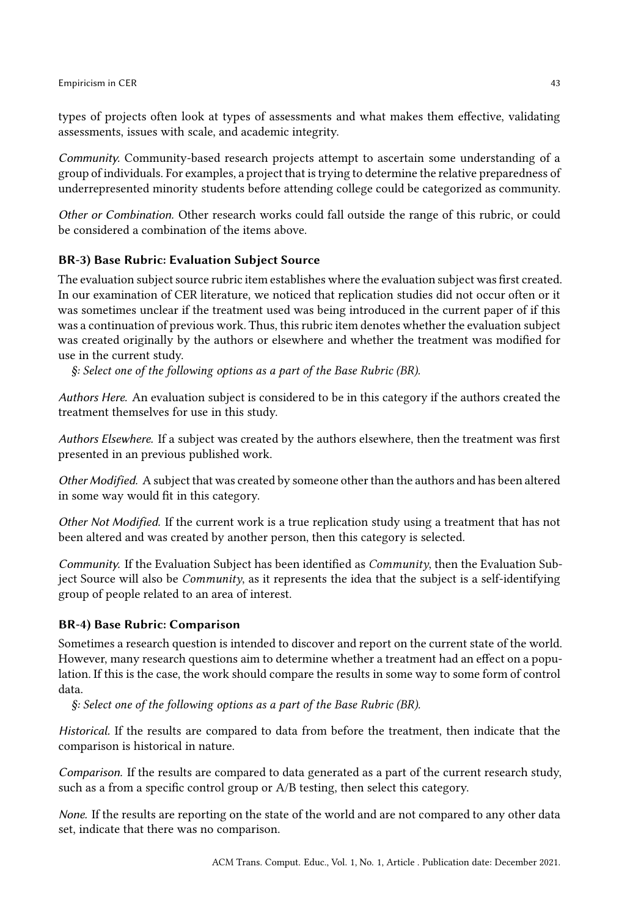types of projects often look at types of assessments and what makes them effective, validating assessments, issues with scale, and academic integrity.

Community. Community-based research projects attempt to ascertain some understanding of a group of individuals. For examples, a project that is trying to determine the relative preparedness of underrepresented minority students before attending college could be categorized as community.

Other or Combination. Other research works could fall outside the range of this rubric, or could be considered a combination of the items above.

### BR-3) Base Rubric: Evaluation Subject Source

The evaluation subject source rubric item establishes where the evaluation subject was first created. In our examination of CER literature, we noticed that replication studies did not occur often or it was sometimes unclear if the treatment used was being introduced in the current paper of if this was a continuation of previous work. Thus, this rubric item denotes whether the evaluation subject was created originally by the authors or elsewhere and whether the treatment was modified for use in the current study.

§: Select one of the following options as a part of the Base Rubric (BR).

Authors Here. An evaluation subject is considered to be in this category if the authors created the treatment themselves for use in this study.

Authors Elsewhere. If a subject was created by the authors elsewhere, then the treatment was first presented in an previous published work.

Other Modified. A subject that was created by someone other than the authors and has been altered in some way would fit in this category.

Other Not Modified. If the current work is a true replication study using a treatment that has not been altered and was created by another person, then this category is selected.

Community. If the Evaluation Subject has been identified as Community, then the Evaluation Subject Source will also be *Community*, as it represents the idea that the subject is a self-identifying group of people related to an area of interest.

### BR-4) Base Rubric: Comparison

Sometimes a research question is intended to discover and report on the current state of the world. However, many research questions aim to determine whether a treatment had an effect on a population. If this is the case, the work should compare the results in some way to some form of control data.

§: Select one of the following options as a part of the Base Rubric (BR).

Historical. If the results are compared to data from before the treatment, then indicate that the comparison is historical in nature.

Comparison. If the results are compared to data generated as a part of the current research study, such as a from a specific control group or A/B testing, then select this category.

None. If the results are reporting on the state of the world and are not compared to any other data set, indicate that there was no comparison.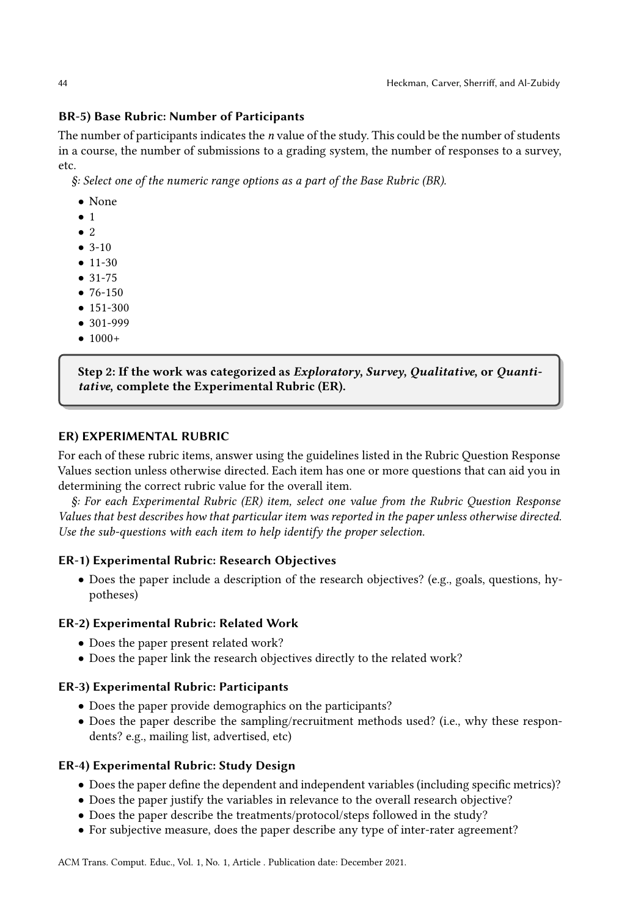### BR-5) Base Rubric: Number of Participants

The number of participants indicates the  $n$  value of the study. This could be the number of students in a course, the number of submissions to a grading system, the number of responses to a survey, etc.

§: Select one of the numeric range options as a part of the Base Rubric (BR).

- None
- 1
- $\bullet$  2
- 3-10
- 11-30
- 31-75
- 76-150
- 151-300
- 301-999
- $1000+$

Step 2: If the work was categorized as Exploratory, Survey, Qualitative, or Quantitative, complete the Experimental Rubric (ER).

### ER) EXPERIMENTAL RUBRIC

For each of these rubric items, answer using the guidelines listed in the Rubric Question Response Values section unless otherwise directed. Each item has one or more questions that can aid you in determining the correct rubric value for the overall item.

§: For each Experimental Rubric (ER) item, select one value from the Rubric Question Response Values that best describes how that particular item was reported in the paper unless otherwise directed. Use the sub-questions with each item to help identify the proper selection.

## ER-1) Experimental Rubric: Research Objectives

• Does the paper include a description of the research objectives? (e.g., goals, questions, hypotheses)

### ER-2) Experimental Rubric: Related Work

- Does the paper present related work?
- Does the paper link the research objectives directly to the related work?

### ER-3) Experimental Rubric: Participants

- Does the paper provide demographics on the participants?
- Does the paper describe the sampling/recruitment methods used? (i.e., why these respondents? e.g., mailing list, advertised, etc)

## ER-4) Experimental Rubric: Study Design

- Does the paper define the dependent and independent variables (including specific metrics)?
- Does the paper justify the variables in relevance to the overall research objective?
- Does the paper describe the treatments/protocol/steps followed in the study?
- For subjective measure, does the paper describe any type of inter-rater agreement?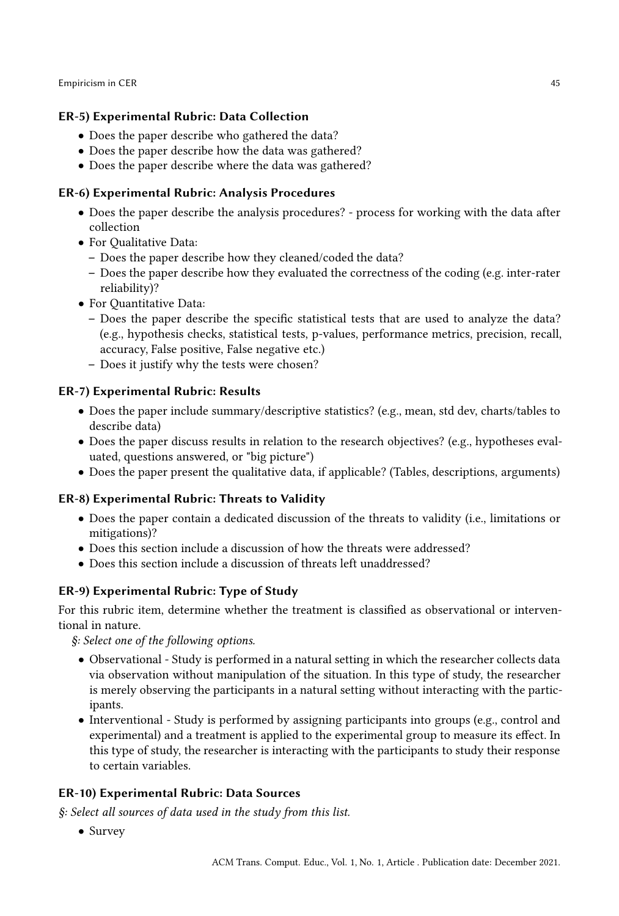# ER-5) Experimental Rubric: Data Collection

- Does the paper describe who gathered the data?
- Does the paper describe how the data was gathered?
- Does the paper describe where the data was gathered?

# ER-6) Experimental Rubric: Analysis Procedures

- Does the paper describe the analysis procedures? process for working with the data after collection
- For Qualitative Data:
	- Does the paper describe how they cleaned/coded the data?
	- Does the paper describe how they evaluated the correctness of the coding (e.g. inter-rater reliability)?
- For Quantitative Data:
	- Does the paper describe the specific statistical tests that are used to analyze the data? (e.g., hypothesis checks, statistical tests, p-values, performance metrics, precision, recall, accuracy, False positive, False negative etc.)
	- Does it justify why the tests were chosen?

# ER-7) Experimental Rubric: Results

- Does the paper include summary/descriptive statistics? (e.g., mean, std dev, charts/tables to describe data)
- Does the paper discuss results in relation to the research objectives? (e.g., hypotheses evaluated, questions answered, or "big picture")
- Does the paper present the qualitative data, if applicable? (Tables, descriptions, arguments)

# ER-8) Experimental Rubric: Threats to Validity

- Does the paper contain a dedicated discussion of the threats to validity (i.e., limitations or mitigations)?
- Does this section include a discussion of how the threats were addressed?
- Does this section include a discussion of threats left unaddressed?

# ER-9) Experimental Rubric: Type of Study

For this rubric item, determine whether the treatment is classified as observational or interventional in nature.

§: Select one of the following options.

- Observational Study is performed in a natural setting in which the researcher collects data via observation without manipulation of the situation. In this type of study, the researcher is merely observing the participants in a natural setting without interacting with the participants.
- Interventional Study is performed by assigning participants into groups (e.g., control and experimental) and a treatment is applied to the experimental group to measure its effect. In this type of study, the researcher is interacting with the participants to study their response to certain variables.

# ER-10) Experimental Rubric: Data Sources

§: Select all sources of data used in the study from this list.

• Survey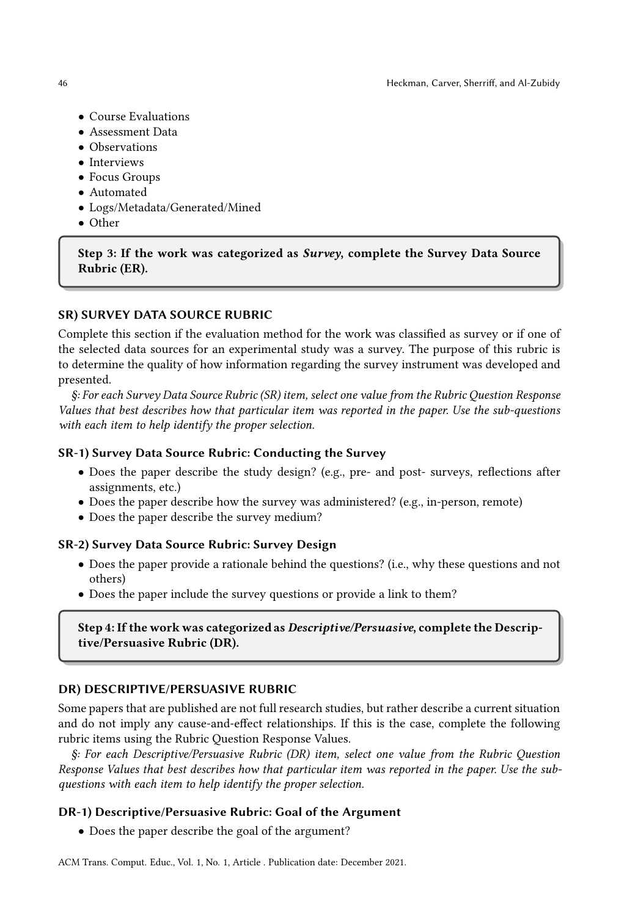- Course Evaluations
- Assessment Data
- Observations
- Interviews
- Focus Groups
- Automated
- Logs/Metadata/Generated/Mined
- Other

### Step 3: If the work was categorized as Survey, complete the Survey Data Source Rubric (ER).

### SR) SURVEY DATA SOURCE RUBRIC

Complete this section if the evaluation method for the work was classified as survey or if one of the selected data sources for an experimental study was a survey. The purpose of this rubric is to determine the quality of how information regarding the survey instrument was developed and presented.

§: For each Survey Data Source Rubric (SR) item, select one value from the Rubric Question Response Values that best describes how that particular item was reported in the paper. Use the sub-questions with each item to help identify the proper selection.

### SR-1) Survey Data Source Rubric: Conducting the Survey

- Does the paper describe the study design? (e.g., pre- and post- surveys, reflections after assignments, etc.)
- Does the paper describe how the survey was administered? (e.g., in-person, remote)
- Does the paper describe the survey medium?

### SR-2) Survey Data Source Rubric: Survey Design

- Does the paper provide a rationale behind the questions? (i.e., why these questions and not others)
- Does the paper include the survey questions or provide a link to them?

## Step 4: If the work was categorized as Descriptive/Persuasive, complete the Descriptive/Persuasive Rubric (DR).

### DR) DESCRIPTIVE/PERSUASIVE RUBRIC

Some papers that are published are not full research studies, but rather describe a current situation and do not imply any cause-and-effect relationships. If this is the case, complete the following rubric items using the Rubric Question Response Values.

§: For each Descriptive/Persuasive Rubric (DR) item, select one value from the Rubric Question Response Values that best describes how that particular item was reported in the paper. Use the subquestions with each item to help identify the proper selection.

### DR-1) Descriptive/Persuasive Rubric: Goal of the Argument

• Does the paper describe the goal of the argument?

ACM Trans. Comput. Educ., Vol. 1, No. 1, Article . Publication date: December 2021.